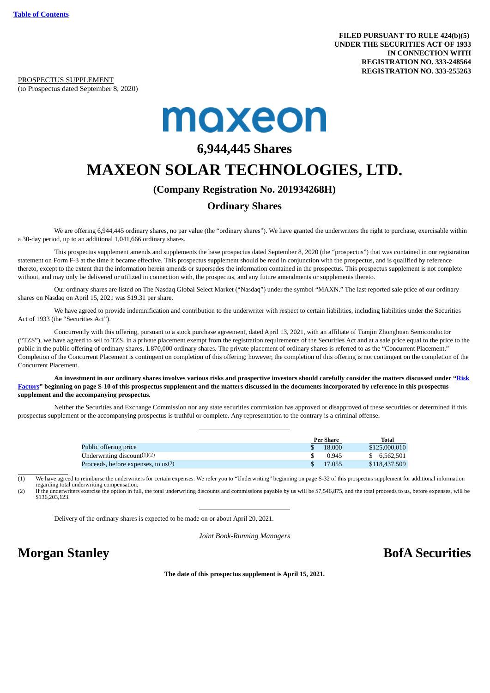PROSPECTUS SUPPLEMENT (to Prospectus dated September 8, 2020)

# maxeon

## **6,944,445 Shares**

## **MAXEON SOLAR TECHNOLOGIES, LTD.**

#### **(Company Registration No. 201934268H)**

### **Ordinary Shares**

We are offering 6,944,445 ordinary shares, no par value (the "ordinary shares"). We have granted the underwriters the right to purchase, exercisable within a 30-day period, up to an additional 1,041,666 ordinary shares.

This prospectus supplement amends and supplements the base prospectus dated September 8, 2020 (the "prospectus") that was contained in our registration statement on Form F-3 at the time it became effective. This prospectus supplement should be read in conjunction with the prospectus, and is qualified by reference thereto, except to the extent that the information herein amends or supersedes the information contained in the prospectus. This prospectus supplement is not complete without, and may only be delivered or utilized in connection with, the prospectus, and any future amendments or supplements thereto.

Our ordinary shares are listed on The Nasdaq Global Select Market ("Nasdaq") under the symbol "MAXN." The last reported sale price of our ordinary shares on Nasdaq on April 15, 2021 was \$19.31 per share.

We have agreed to provide indemnification and contribution to the underwriter with respect to certain liabilities, including liabilities under the Securities Act of 1933 (the "Securities Act").

Concurrently with this offering, pursuant to a stock purchase agreement, dated April 13, 2021, with an affiliate of Tianjin Zhonghuan Semiconductor ("TZS"), we have agreed to sell to TZS, in a private placement exempt from the registration requirements of the Securities Act and at a sale price equal to the price to the public in the public offering of ordinary shares, 1.870,000 ordinary shares. The private placement of ordinary shares is referred to as the "Concurrent Placement." Completion of the Concurrent Placement is contingent on completion of this offering; however, the completion of this offering is not contingent on the completion of the Concurrent Placement.

**An investment in our ordinary shares involves various risks and prospective investors should carefully consider the matters discussed under "Risk [Factors" beginning on page S-10 of this prospectus supplement and the matters discussed in the documents incorporated by reference in this prospectus](#page-15-0) supplement and the accompanying prospectus.**

Neither the Securities and Exchange Commission nor any state securities commission has approved or disapproved of these securities or determined if this prospectus supplement or the accompanying prospectus is truthful or complete. Any representation to the contrary is a criminal offense.

|                                       | Per Share    | Total         |
|---------------------------------------|--------------|---------------|
| Public offering price                 | 18.000<br>S. | \$125,000,010 |
| Underwriting discount $(1)(2)$        | 0.945        | \$ 6.562,501  |
| Proceeds, before expenses, to $us(2)$ | 17.055<br>S. | \$118,437,509 |

 $(1)$  We have agreed to reimburse the underwriters for certain expenses. We refer you to "Underwriting" beginning on page S-32 of this prospectus supplement for additional information

regarding total underwriting compensation.<br>(2) If the underwriters exercise the option in full, the total underwriting discounts and commissions payable by us will be \$7,546,875, and the total proceeds to us, before expens \$136,203,123.

Delivery of the ordinary shares is expected to be made on or about April 20, 2021.

*Joint Book-Running Managers*

## **Morgan Stanley BofA Securities**

**The date of this prospectus supplement is April 15, 2021.**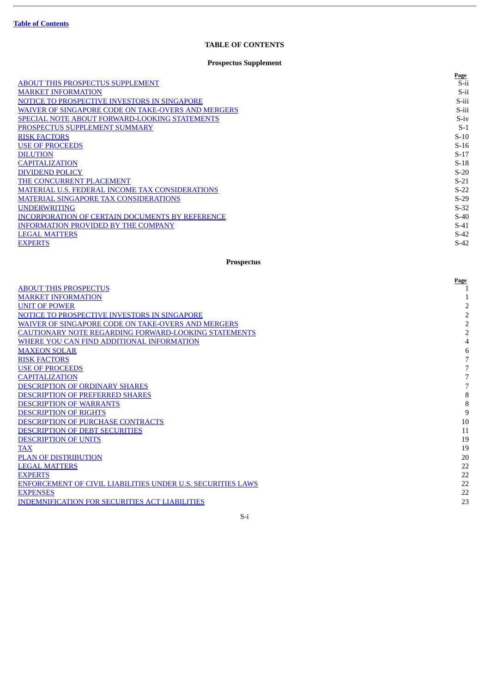#### **TABLE OF CONTENTS**

#### **Prospectus Supplement**

<span id="page-1-0"></span>

|                                                        | Page   |
|--------------------------------------------------------|--------|
| <b>ABOUT THIS PROSPECTUS SUPPLEMENT</b>                | S-ii   |
| <b>MARKET INFORMATION</b>                              | S-ii   |
| NOTICE TO PROSPECTIVE INVESTORS IN SINGAPORE           | S-iii  |
| WAIVER OF SINGAPORE CODE ON TAKE-OVERS AND MERGERS     | S-iii  |
| <b>SPECIAL NOTE ABOUT FORWARD-LOOKING STATEMENTS</b>   | $S-iv$ |
| PROSPECTUS SUPPLEMENT SUMMARY                          | $S-1$  |
| <b>RISK FACTORS</b>                                    | $S-10$ |
| <b>USE OF PROCEEDS</b>                                 | $S-16$ |
| <b>DILUTION</b>                                        | $S-17$ |
| <b>CAPITALIZATION</b>                                  | $S-18$ |
| <b>DIVIDEND POLICY</b>                                 | $S-20$ |
| THE CONCURRENT PLACEMENT                               | $S-21$ |
| <b>MATERIAL U.S. FEDERAL INCOME TAX CONSIDERATIONS</b> | $S-22$ |
| <b>MATERIAL SINGAPORE TAX CONSIDERATIONS</b>           | $S-29$ |
| <b>UNDERWRITING</b>                                    | $S-32$ |
| <b>INCORPORATION OF CERTAIN DOCUMENTS BY REFERENCE</b> | $S-40$ |
| <b>INFORMATION PROVIDED BY THE COMPANY</b>             | $S-41$ |
| <b>LEGAL MATTERS</b>                                   | $S-42$ |
| <b>EXPERTS</b>                                         | $S-42$ |

#### **Prospectus**

|                                                                    | Page           |
|--------------------------------------------------------------------|----------------|
| <b>ABOUT THIS PROSPECTUS</b>                                       |                |
| <b>MARKET INFORMATION</b>                                          |                |
| <b>UNIT OF POWER</b>                                               | 2              |
| NOTICE TO PROSPECTIVE INVESTORS IN SINGAPORE                       | 2              |
| WAIVER OF SINGAPORE CODE ON TAKE-OVERS AND MERGERS                 | 2              |
| CAUTIONARY NOTE REGARDING FORWARD-LOOKING STATEMENTS               | $\overline{2}$ |
| WHERE YOU CAN FIND ADDITIONAL INFORMATION                          | 4              |
| <b>MAXEON SOLAR</b>                                                | 6              |
| <b>RISK FACTORS</b>                                                |                |
| <b>USE OF PROCEEDS</b>                                             | 7              |
| <b>CAPITALIZATION</b>                                              | 7              |
| <b>DESCRIPTION OF ORDINARY SHARES</b>                              | 7              |
| <b>DESCRIPTION OF PREFERRED SHARES</b>                             | 8              |
| <b>DESCRIPTION OF WARRANTS</b>                                     | 8              |
| <b>DESCRIPTION OF RIGHTS</b>                                       | 9              |
| <b>DESCRIPTION OF PURCHASE CONTRACTS</b>                           | 10             |
| DESCRIPTION OF DEBT SECURITIES                                     | 11             |
| <b>DESCRIPTION OF UNITS</b>                                        | 19             |
| <b>TAX</b>                                                         | 19             |
| <b>PLAN OF DISTRIBUTION</b>                                        | 20             |
| <b>LEGAL MATTERS</b>                                               | 22             |
| <b>EXPERTS</b>                                                     | 22             |
| <b>ENFORCEMENT OF CIVIL LIABILITIES UNDER U.S. SECURITIES LAWS</b> | 22             |
| <b>EXPENSES</b>                                                    | 22             |
| <b>INDEMNIFICATION FOR SECURITIES ACT LIABILITIES</b>              | 23             |
|                                                                    |                |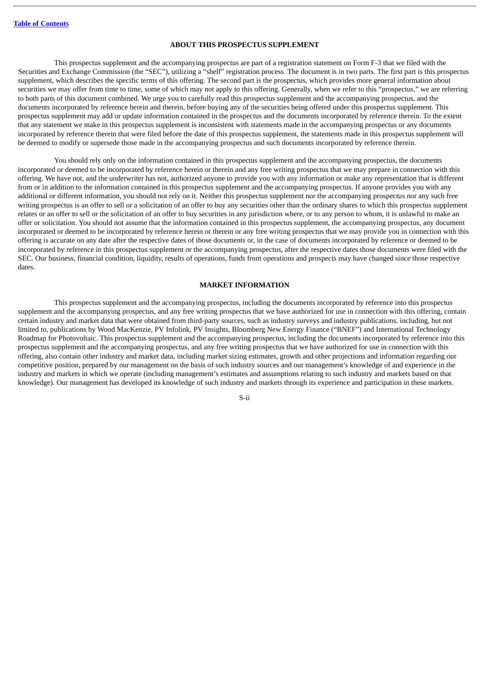#### **ABOUT THIS PROSPECTUS SUPPLEMENT**

<span id="page-2-0"></span>This prospectus supplement and the accompanying prospectus are part of a registration statement on Form F-3 that we filed with the Securities and Exchange Commission (the "SEC"), utilizing a "shelf" registration process. The document is in two parts. The first part is this prospectus supplement, which describes the specific terms of this offering. The second part is the prospectus, which provides more general information about securities we may offer from time to time, some of which may not apply to this offering. Generally, when we refer to this "prospectus," we are referring to both parts of this document combined. We urge you to carefully read this prospectus supplement and the accompanying prospectus, and the documents incorporated by reference herein and therein, before buying any of the securities being offered under this prospectus supplement. This prospectus supplement may add or update information contained in the prospectus and the documents incorporated by reference therein. To the extent that any statement we make in this prospectus supplement is inconsistent with statements made in the accompanying prospectus or any documents incorporated by reference therein that were filed before the date of this prospectus supplement, the statements made in this prospectus supplement will be deemed to modify or supersede those made in the accompanying prospectus and such documents incorporated by reference therein.

You should rely only on the information contained in this prospectus supplement and the accompanying prospectus, the documents incorporated or deemed to be incorporated by reference herein or therein and any free writing prospectus that we may prepare in connection with this offering. We have not, and the underwriter has not, authorized anyone to provide you with any information or make any representation that is different from or in addition to the information contained in this prospectus supplement and the accompanying prospectus. If anyone provides you with any additional or different information, you should not rely on it. Neither this prospectus supplement nor the accompanying prospectus nor any such free writing prospectus is an offer to sell or a solicitation of an offer to buy any securities other than the ordinary shares to which this prospectus supplement relates or an offer to sell or the solicitation of an offer to buy securities in any jurisdiction where, or to any person to whom, it is unlawful to make an offer or solicitation. You should not assume that the information contained in this prospectus supplement, the accompanying prospectus, any document incorporated or deemed to be incorporated by reference herein or therein or any free writing prospectus that we may provide you in connection with this offering is accurate on any date after the respective dates of those documents or, in the case of documents incorporated by reference or deemed to be incorporated by reference in this prospectus supplement or the accompanying prospectus, after the respective dates those documents were filed with the SEC. Our business, financial condition, liquidity, results of operations, funds from operations and prospects may have changed since those respective dates.

#### **MARKET INFORMATION**

<span id="page-2-1"></span>This prospectus supplement and the accompanying prospectus, including the documents incorporated by reference into this prospectus supplement and the accompanying prospectus, and any free writing prospectus that we have authorized for use in connection with this offering, contain certain industry and market data that were obtained from third-party sources, such as industry surveys and industry publications, including, but not limited to, publications by Wood MacKenzie, PV Infolink, PV Insights, Bloomberg New Energy Finance ("BNEF") and International Technology Roadmap for Photovoltaic. This prospectus supplement and the accompanying prospectus, including the documents incorporated by reference into this prospectus supplement and the accompanying prospectus, and any free writing prospectus that we have authorized for use in connection with this offering, also contain other industry and market data, including market sizing estimates, growth and other projections and information regarding our competitive position, prepared by our management on the basis of such industry sources and our management's knowledge of and experience in the industry and markets in which we operate (including management's estimates and assumptions relating to such industry and markets based on that knowledge). Our management has developed its knowledge of such industry and markets through its experience and participation in these markets.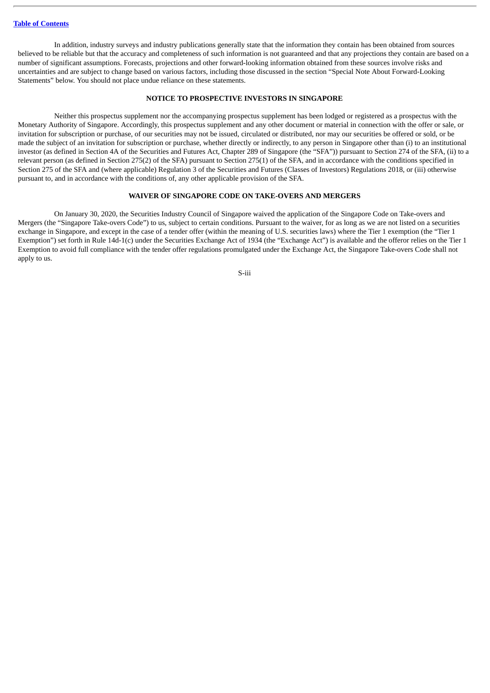In addition, industry surveys and industry publications generally state that the information they contain has been obtained from sources believed to be reliable but that the accuracy and completeness of such information is not guaranteed and that any projections they contain are based on a number of significant assumptions. Forecasts, projections and other forward-looking information obtained from these sources involve risks and uncertainties and are subject to change based on various factors, including those discussed in the section "Special Note About Forward-Looking Statements" below. You should not place undue reliance on these statements.

#### **NOTICE TO PROSPECTIVE INVESTORS IN SINGAPORE**

<span id="page-3-0"></span>Neither this prospectus supplement nor the accompanying prospectus supplement has been lodged or registered as a prospectus with the Monetary Authority of Singapore. Accordingly, this prospectus supplement and any other document or material in connection with the offer or sale, or invitation for subscription or purchase, of our securities may not be issued, circulated or distributed, nor may our securities be offered or sold, or be made the subject of an invitation for subscription or purchase, whether directly or indirectly, to any person in Singapore other than (i) to an institutional investor (as defined in Section 4A of the Securities and Futures Act, Chapter 289 of Singapore (the "SFA")) pursuant to Section 274 of the SFA, (ii) to a relevant person (as defined in Section 275(2) of the SFA) pursuant to Section 275(1) of the SFA, and in accordance with the conditions specified in Section 275 of the SFA and (where applicable) Regulation 3 of the Securities and Futures (Classes of Investors) Regulations 2018, or (iii) otherwise pursuant to, and in accordance with the conditions of, any other applicable provision of the SFA.

#### **WAIVER OF SINGAPORE CODE ON TAKE-OVERS AND MERGERS**

<span id="page-3-1"></span>On January 30, 2020, the Securities Industry Council of Singapore waived the application of the Singapore Code on Take-overs and Mergers (the "Singapore Take-overs Code") to us, subject to certain conditions. Pursuant to the waiver, for as long as we are not listed on a securities exchange in Singapore, and except in the case of a tender offer (within the meaning of U.S. securities laws) where the Tier 1 exemption (the "Tier 1 Exemption") set forth in Rule 14d-1(c) under the Securities Exchange Act of 1934 (the "Exchange Act") is available and the offeror relies on the Tier 1 Exemption to avoid full compliance with the tender offer regulations promulgated under the Exchange Act, the Singapore Take-overs Code shall not apply to us.

S-iii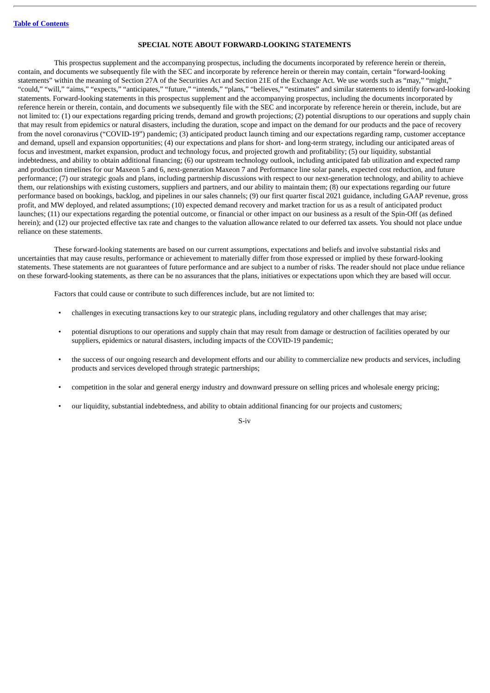#### **SPECIAL NOTE ABOUT FORWARD-LOOKING STATEMENTS**

<span id="page-4-0"></span>This prospectus supplement and the accompanying prospectus, including the documents incorporated by reference herein or therein, contain, and documents we subsequently file with the SEC and incorporate by reference herein or therein may contain, certain "forward-looking statements" within the meaning of Section 27A of the Securities Act and Section 21E of the Exchange Act. We use words such as "may," "might," "could," "will," "aims," "expects," "anticipates," "future," "intends," "plans," "believes," "estimates" and similar statements to identify forward-looking statements. Forward-looking statements in this prospectus supplement and the accompanying prospectus, including the documents incorporated by reference herein or therein, contain, and documents we subsequently file with the SEC and incorporate by reference herein or therein, include, but are not limited to: (1) our expectations regarding pricing trends, demand and growth projections; (2) potential disruptions to our operations and supply chain that may result from epidemics or natural disasters, including the duration, scope and impact on the demand for our products and the pace of recovery from the novel coronavirus ("COVID-19") pandemic; (3) anticipated product launch timing and our expectations regarding ramp, customer acceptance and demand, upsell and expansion opportunities; (4) our expectations and plans for short- and long-term strategy, including our anticipated areas of focus and investment, market expansion, product and technology focus, and projected growth and profitability; (5) our liquidity, substantial indebtedness, and ability to obtain additional financing; (6) our upstream technology outlook, including anticipated fab utilization and expected ramp and production timelines for our Maxeon 5 and 6, next-generation Maxeon 7 and Performance line solar panels, expected cost reduction, and future performance; (7) our strategic goals and plans, including partnership discussions with respect to our next-generation technology, and ability to achieve them, our relationships with existing customers, suppliers and partners, and our ability to maintain them; (8) our expectations regarding our future performance based on bookings, backlog, and pipelines in our sales channels; (9) our first quarter fiscal 2021 guidance, including GAAP revenue, gross profit, and MW deployed, and related assumptions; (10) expected demand recovery and market traction for us as a result of anticipated product launches; (11) our expectations regarding the potential outcome, or financial or other impact on our business as a result of the Spin-Off (as defined herein); and (12) our projected effective tax rate and changes to the valuation allowance related to our deferred tax assets. You should not place undue reliance on these statements.

These forward-looking statements are based on our current assumptions, expectations and beliefs and involve substantial risks and uncertainties that may cause results, performance or achievement to materially differ from those expressed or implied by these forward-looking statements. These statements are not guarantees of future performance and are subject to a number of risks. The reader should not place undue reliance on these forward-looking statements, as there can be no assurances that the plans, initiatives or expectations upon which they are based will occur.

Factors that could cause or contribute to such differences include, but are not limited to:

- challenges in executing transactions key to our strategic plans, including regulatory and other challenges that may arise;
- potential disruptions to our operations and supply chain that may result from damage or destruction of facilities operated by our suppliers, epidemics or natural disasters, including impacts of the COVID-19 pandemic;
- the success of our ongoing research and development efforts and our ability to commercialize new products and services, including products and services developed through strategic partnerships;
- competition in the solar and general energy industry and downward pressure on selling prices and wholesale energy pricing;
- our liquidity, substantial indebtedness, and ability to obtain additional financing for our projects and customers;

#### S-iv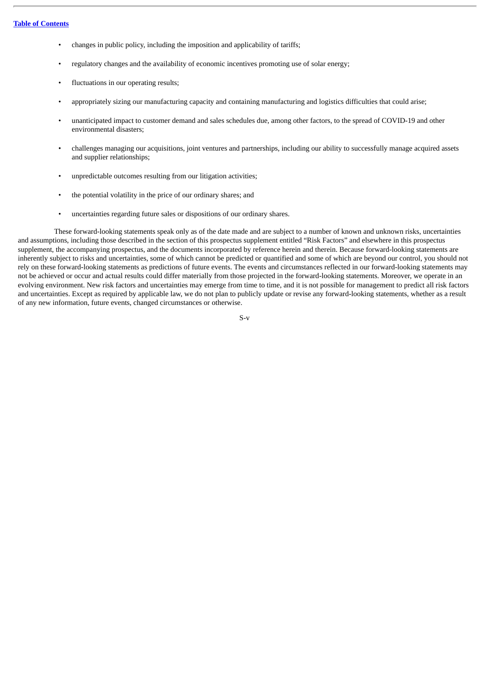- changes in public policy, including the imposition and applicability of tariffs;
- regulatory changes and the availability of economic incentives promoting use of solar energy;
- fluctuations in our operating results;
- appropriately sizing our manufacturing capacity and containing manufacturing and logistics difficulties that could arise;
- unanticipated impact to customer demand and sales schedules due, among other factors, to the spread of COVID-19 and other environmental disasters;
- challenges managing our acquisitions, joint ventures and partnerships, including our ability to successfully manage acquired assets and supplier relationships;
- unpredictable outcomes resulting from our litigation activities;
- the potential volatility in the price of our ordinary shares; and
- uncertainties regarding future sales or dispositions of our ordinary shares.

These forward-looking statements speak only as of the date made and are subject to a number of known and unknown risks, uncertainties and assumptions, including those described in the section of this prospectus supplement entitled "Risk Factors" and elsewhere in this prospectus supplement, the accompanying prospectus, and the documents incorporated by reference herein and therein. Because forward-looking statements are inherently subject to risks and uncertainties, some of which cannot be predicted or quantified and some of which are beyond our control, you should not rely on these forward-looking statements as predictions of future events. The events and circumstances reflected in our forward-looking statements may not be achieved or occur and actual results could differ materially from those projected in the forward-looking statements. Moreover, we operate in an evolving environment. New risk factors and uncertainties may emerge from time to time, and it is not possible for management to predict all risk factors and uncertainties. Except as required by applicable law, we do not plan to publicly update or revise any forward-looking statements, whether as a result of any new information, future events, changed circumstances or otherwise.

S-v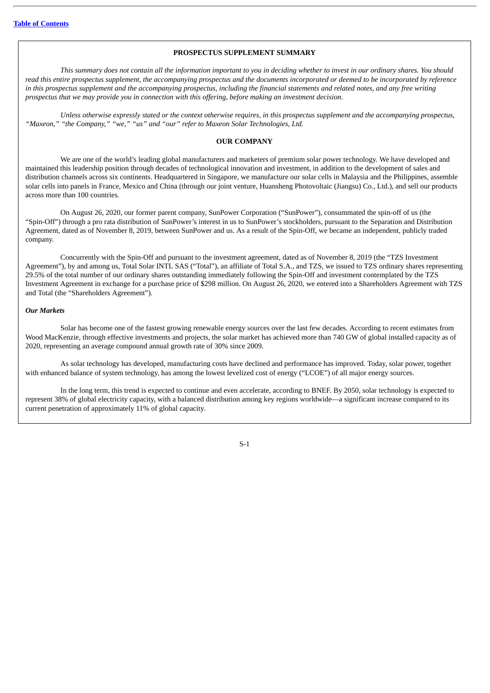#### **PROSPECTUS SUPPLEMENT SUMMARY**

<span id="page-6-0"></span>This summary does not contain all the information important to you in decidina whether to invest in our ordinary shares. You should read this entire prospectus supplement, the accompanying prospectus and the documents incorporated or deemed to be incorporated by reference in this prospectus supplement and the accompanying prospectus, including the financial statements and related notes, and any free writing *prospectus that we may provide you in connection with this offering, before making an investment decision.*

Unless otherwise expressly stated or the context otherwise requires, in this prospectus supplement and the accompanying prospectus, *"Maxeon," "the Company," "we," "us" and "our" refer to Maxeon Solar Technologies, Ltd.*

#### **OUR COMPANY**

We are one of the world's leading global manufacturers and marketers of premium solar power technology. We have developed and maintained this leadership position through decades of technological innovation and investment, in addition to the development of sales and distribution channels across six continents. Headquartered in Singapore, we manufacture our solar cells in Malaysia and the Philippines, assemble solar cells into panels in France, Mexico and China (through our joint venture, Huansheng Photovoltaic (Jiangsu) Co., Ltd.), and sell our products across more than 100 countries.

On August 26, 2020, our former parent company, SunPower Corporation ("SunPower"), consummated the spin-off of us (the "Spin-Off") through a pro rata distribution of SunPower's interest in us to SunPower's stockholders, pursuant to the Separation and Distribution Agreement, dated as of November 8, 2019, between SunPower and us. As a result of the Spin-Off, we became an independent, publicly traded company.

Concurrently with the Spin-Off and pursuant to the investment agreement, dated as of November 8, 2019 (the "TZS Investment Agreement"), by and among us, Total Solar INTL SAS ("Total"), an affiliate of Total S.A., and TZS, we issued to TZS ordinary shares representing 29.5% of the total number of our ordinary shares outstanding immediately following the Spin-Off and investment contemplated by the TZS Investment Agreement in exchange for a purchase price of \$298 million. On August 26, 2020, we entered into a Shareholders Agreement with TZS and Total (the "Shareholders Agreement").

#### *Our Markets*

Solar has become one of the fastest growing renewable energy sources over the last few decades. According to recent estimates from Wood MacKenzie, through effective investments and projects, the solar market has achieved more than 740 GW of global installed capacity as of 2020, representing an average compound annual growth rate of 30% since 2009.

As solar technology has developed, manufacturing costs have declined and performance has improved. Today, solar power, together with enhanced balance of system technology, has among the lowest levelized cost of energy ("LCOE") of all major energy sources.

In the long term, this trend is expected to continue and even accelerate, according to BNEF. By 2050, solar technology is expected to represent 38% of global electricity capacity, with a balanced distribution among key regions worldwide—a significant increase compared to its current penetration of approximately 11% of global capacity.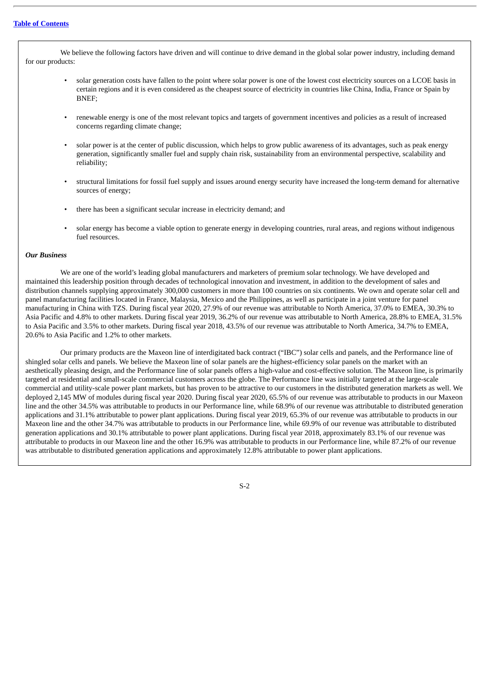We believe the following factors have driven and will continue to drive demand in the global solar power industry, including demand for our products:

- solar generation costs have fallen to the point where solar power is one of the lowest cost electricity sources on a LCOE basis in certain regions and it is even considered as the cheapest source of electricity in countries like China, India, France or Spain by BNEF;
- renewable energy is one of the most relevant topics and targets of government incentives and policies as a result of increased concerns regarding climate change;
- solar power is at the center of public discussion, which helps to grow public awareness of its advantages, such as peak energy generation, significantly smaller fuel and supply chain risk, sustainability from an environmental perspective, scalability and reliability;
- structural limitations for fossil fuel supply and issues around energy security have increased the long-term demand for alternative sources of energy;
- there has been a significant secular increase in electricity demand; and
- solar energy has become a viable option to generate energy in developing countries, rural areas, and regions without indigenous fuel resources.

#### *Our Business*

We are one of the world's leading global manufacturers and marketers of premium solar technology. We have developed and maintained this leadership position through decades of technological innovation and investment, in addition to the development of sales and distribution channels supplying approximately 300,000 customers in more than 100 countries on six continents. We own and operate solar cell and panel manufacturing facilities located in France, Malaysia, Mexico and the Philippines, as well as participate in a joint venture for panel manufacturing in China with TZS. During fiscal year 2020, 27.9% of our revenue was attributable to North America, 37.0% to EMEA, 30.3% to Asia Pacific and 4.8% to other markets. During fiscal year 2019, 36.2% of our revenue was attributable to North America, 28.8% to EMEA, 31.5% to Asia Pacific and 3.5% to other markets. During fiscal year 2018, 43.5% of our revenue was attributable to North America, 34.7% to EMEA, 20.6% to Asia Pacific and 1.2% to other markets.

Our primary products are the Maxeon line of interdigitated back contract ("IBC") solar cells and panels, and the Performance line of shingled solar cells and panels. We believe the Maxeon line of solar panels are the highest-efficiency solar panels on the market with an aesthetically pleasing design, and the Performance line of solar panels offers a high-value and cost-effective solution. The Maxeon line, is primarily targeted at residential and small-scale commercial customers across the globe. The Performance line was initially targeted at the large-scale commercial and utility-scale power plant markets, but has proven to be attractive to our customers in the distributed generation markets as well. We deployed 2,145 MW of modules during fiscal year 2020. During fiscal year 2020, 65.5% of our revenue was attributable to products in our Maxeon line and the other 34.5% was attributable to products in our Performance line, while 68.9% of our revenue was attributable to distributed generation applications and 31.1% attributable to power plant applications. During fiscal year 2019, 65.3% of our revenue was attributable to products in our Maxeon line and the other 34.7% was attributable to products in our Performance line, while 69.9% of our revenue was attributable to distributed generation applications and 30.1% attributable to power plant applications. During fiscal year 2018, approximately 83.1% of our revenue was attributable to products in our Maxeon line and the other 16.9% was attributable to products in our Performance line, while 87.2% of our revenue was attributable to distributed generation applications and approximately 12.8% attributable to power plant applications.

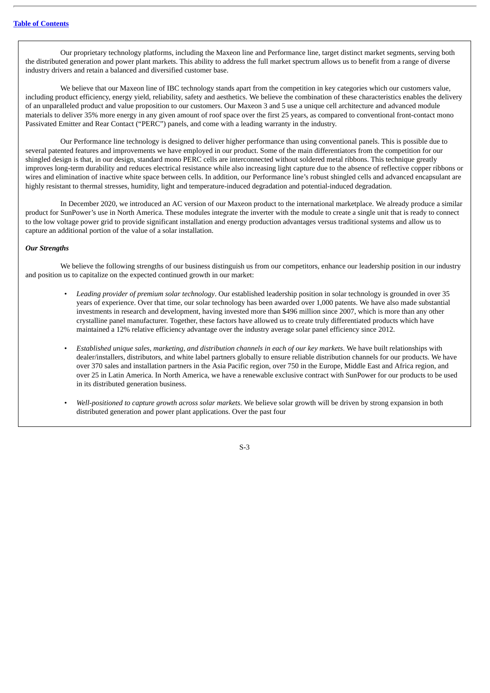Our proprietary technology platforms, including the Maxeon line and Performance line, target distinct market segments, serving both the distributed generation and power plant markets. This ability to address the full market spectrum allows us to benefit from a range of diverse industry drivers and retain a balanced and diversified customer base.

We believe that our Maxeon line of IBC technology stands apart from the competition in key categories which our customers value, including product efficiency, energy yield, reliability, safety and aesthetics. We believe the combination of these characteristics enables the delivery of an unparalleled product and value proposition to our customers. Our Maxeon 3 and 5 use a unique cell architecture and advanced module materials to deliver 35% more energy in any given amount of roof space over the first 25 years, as compared to conventional front-contact mono Passivated Emitter and Rear Contact ("PERC") panels, and come with a leading warranty in the industry.

Our Performance line technology is designed to deliver higher performance than using conventional panels. This is possible due to several patented features and improvements we have employed in our product. Some of the main differentiators from the competition for our shingled design is that, in our design, standard mono PERC cells are interconnected without soldered metal ribbons. This technique greatly improves long-term durability and reduces electrical resistance while also increasing light capture due to the absence of reflective copper ribbons or wires and elimination of inactive white space between cells. In addition, our Performance line's robust shingled cells and advanced encapsulant are highly resistant to thermal stresses, humidity, light and temperature-induced degradation and potential-induced degradation.

In December 2020, we introduced an AC version of our Maxeon product to the international marketplace. We already produce a similar product for SunPower's use in North America. These modules integrate the inverter with the module to create a single unit that is ready to connect to the low voltage power grid to provide significant installation and energy production advantages versus traditional systems and allow us to capture an additional portion of the value of a solar installation.

#### *Our Strengths*

We believe the following strengths of our business distinguish us from our competitors, enhance our leadership position in our industry and position us to capitalize on the expected continued growth in our market:

- *Leading provider of premium solar technology*. Our established leadership position in solar technology is grounded in over 35 years of experience. Over that time, our solar technology has been awarded over 1,000 patents. We have also made substantial investments in research and development, having invested more than \$496 million since 2007, which is more than any other crystalline panel manufacturer. Together, these factors have allowed us to create truly differentiated products which have maintained a 12% relative efficiency advantage over the industry average solar panel efficiency since 2012.
- *Established unique sales, marketing, and distribution channels in each of our key markets*. We have built relationships with dealer/installers, distributors, and white label partners globally to ensure reliable distribution channels for our products. We have over 370 sales and installation partners in the Asia Pacific region, over 750 in the Europe, Middle East and Africa region, and over 25 in Latin America. In North America, we have a renewable exclusive contract with SunPower for our products to be used in its distributed generation business.
- *Well-positioned to capture growth across solar markets*. We believe solar growth will be driven by strong expansion in both distributed generation and power plant applications. Over the past four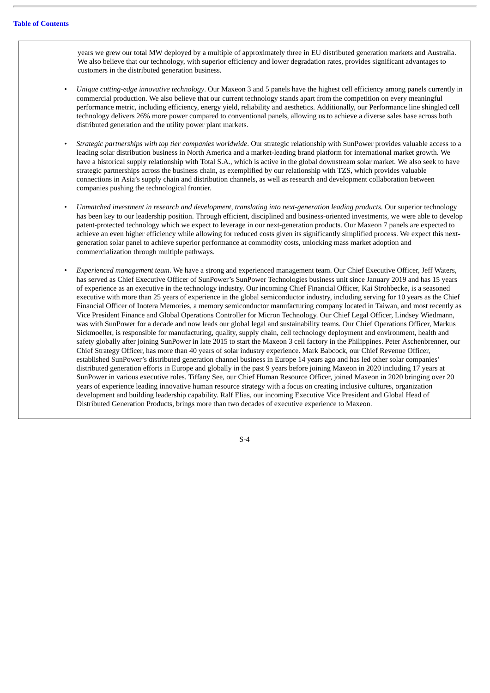years we grew our total MW deployed by a multiple of approximately three in EU distributed generation markets and Australia. We also believe that our technology, with superior efficiency and lower degradation rates, provides significant advantages to customers in the distributed generation business.

- *Unique cutting-edge innovative technology*. Our Maxeon 3 and 5 panels have the highest cell efficiency among panels currently in commercial production. We also believe that our current technology stands apart from the competition on every meaningful performance metric, including efficiency, energy yield, reliability and aesthetics. Additionally, our Performance line shingled cell technology delivers 26% more power compared to conventional panels, allowing us to achieve a diverse sales base across both distributed generation and the utility power plant markets.
- *Strategic partnerships with top tier companies worldwide*. Our strategic relationship with SunPower provides valuable access to a leading solar distribution business in North America and a market-leading brand platform for international market growth. We have a historical supply relationship with Total S.A., which is active in the global downstream solar market. We also seek to have strategic partnerships across the business chain, as exemplified by our relationship with TZS, which provides valuable connections in Asia's supply chain and distribution channels, as well as research and development collaboration between companies pushing the technological frontier.
- *Unmatched investment in research and development, translating into next-generation leading products*. Our superior technology has been key to our leadership position. Through efficient, disciplined and business-oriented investments, we were able to develop patent-protected technology which we expect to leverage in our next-generation products. Our Maxeon 7 panels are expected to achieve an even higher efficiency while allowing for reduced costs given its significantly simplified process. We expect this nextgeneration solar panel to achieve superior performance at commodity costs, unlocking mass market adoption and commercialization through multiple pathways.
- *Experienced management team*. We have a strong and experienced management team. Our Chief Executive Officer, Jeff Waters, has served as Chief Executive Officer of SunPower's SunPower Technologies business unit since January 2019 and has 15 years of experience as an executive in the technology industry. Our incoming Chief Financial Officer, Kai Strohbecke, is a seasoned executive with more than 25 years of experience in the global semiconductor industry, including serving for 10 years as the Chief Financial Officer of Inotera Memories, a memory semiconductor manufacturing company located in Taiwan, and most recently as Vice President Finance and Global Operations Controller for Micron Technology. Our Chief Legal Officer, Lindsey Wiedmann, was with SunPower for a decade and now leads our global legal and sustainability teams. Our Chief Operations Officer, Markus Sickmoeller, is responsible for manufacturing, quality, supply chain, cell technology deployment and environment, health and safety globally after joining SunPower in late 2015 to start the Maxeon 3 cell factory in the Philippines. Peter Aschenbrenner, our Chief Strategy Officer, has more than 40 years of solar industry experience. Mark Babcock, our Chief Revenue Officer, established SunPower's distributed generation channel business in Europe 14 years ago and has led other solar companies' distributed generation efforts in Europe and globally in the past 9 years before joining Maxeon in 2020 including 17 years at SunPower in various executive roles. Tiffany See, our Chief Human Resource Officer, joined Maxeon in 2020 bringing over 20 years of experience leading innovative human resource strategy with a focus on creating inclusive cultures, organization development and building leadership capability. Ralf Elias, our incoming Executive Vice President and Global Head of Distributed Generation Products, brings more than two decades of executive experience to Maxeon.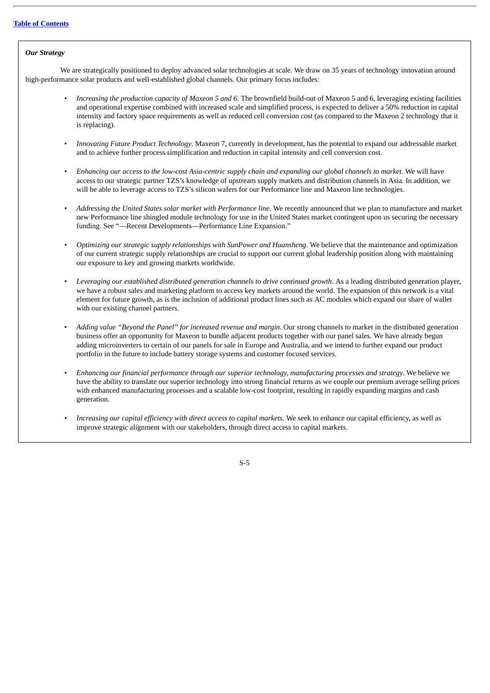#### *Our Strategy*

We are strategically positioned to deploy advanced solar technologies at scale. We draw on 35 years of technology innovation around high-performance solar products and well-established global channels. Our primary focus includes:

- *Increasing the production capacity of Maxeon 5 and 6*. The brownfield build-out of Maxeon 5 and 6, leveraging existing facilities and operational expertise combined with increased scale and simplified process, is expected to deliver a 50% reduction in capital intensity and factory space requirements as well as reduced cell conversion cost (as compared to the Maxeon 2 technology that it is replacing).
- *Innovating Future Product Technology*. Maxeon 7, currently in development, has the potential to expand our addressable market and to achieve further process simplification and reduction in capital intensity and cell conversion cost.
- Enhancing our access to the low-cost Asia-centric supply chain and expanding our global channels to market. We will have access to our strategic partner TZS's knowledge of upstream supply markets and distribution channels in Asia. In addition, we will be able to leverage access to TZS's silicon wafers for our Performance line and Maxeon line technologies.
- *Addressing the United States solar market with Performance line*. We recently announced that we plan to manufacture and market new Performance line shingled module technology for use in the United States market contingent upon us securing the necessary funding. See "—Recent Developments—Performance Line Expansion."
- *Optimizing our strategic supply relationships with SunPower and Huansheng*. We believe that the maintenance and optimization of our current strategic supply relationships are crucial to support our current global leadership position along with maintaining our exposure to key and growing markets worldwide.
- *Leveraging our established distributed generation channels to drive continued growth*. As a leading distributed generation player, we have a robust sales and marketing platform to access key markets around the world. The expansion of this network is a vital element for future growth, as is the inclusion of additional product lines such as AC modules which expand our share of wallet with our existing channel partners.
- *Adding value "Beyond the Panel" for increased revenue and margin*. Our strong channels to market in the distributed generation business offer an opportunity for Maxeon to bundle adjacent products together with our panel sales. We have already begun adding microinverters to certain of our panels for sale in Europe and Australia, and we intend to further expand our product portfolio in the future to include battery storage systems and customer focused services.
- *Enhancing our financial performance through our superior technology, manufacturing processes and strategy*. We believe we have the ability to translate our superior technology into strong financial returns as we couple our premium average selling prices with enhanced manufacturing processes and a scalable low-cost footprint, resulting in rapidly expanding margins and cash generation.
- *Increasing our capital efficiency with direct access to capital markets*. We seek to enhance our capital efficiency, as well as improve strategic alignment with our stakeholders, through direct access to capital markets.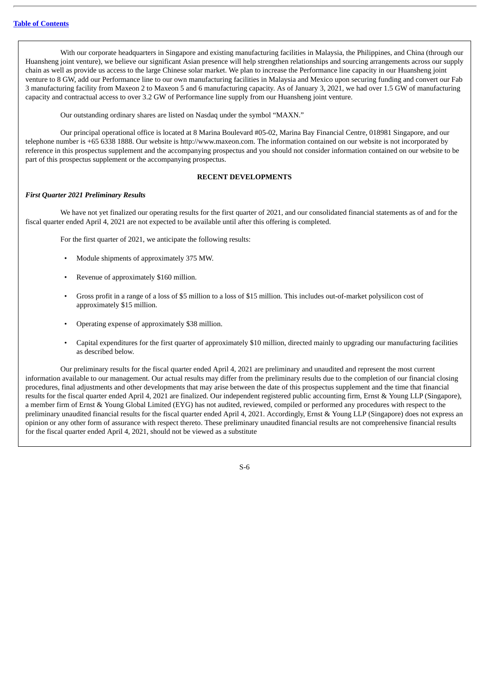With our corporate headquarters in Singapore and existing manufacturing facilities in Malaysia, the Philippines, and China (through our Huansheng joint venture), we believe our significant Asian presence will help strengthen relationships and sourcing arrangements across our supply chain as well as provide us access to the large Chinese solar market. We plan to increase the Performance line capacity in our Huansheng joint venture to 8 GW, add our Performance line to our own manufacturing facilities in Malaysia and Mexico upon securing funding and convert our Fab 3 manufacturing facility from Maxeon 2 to Maxeon 5 and 6 manufacturing capacity. As of January 3, 2021, we had over 1.5 GW of manufacturing capacity and contractual access to over 3.2 GW of Performance line supply from our Huansheng joint venture.

Our outstanding ordinary shares are listed on Nasdaq under the symbol "MAXN."

Our principal operational office is located at 8 Marina Boulevard #05-02, Marina Bay Financial Centre, 018981 Singapore, and our telephone number is +65 6338 1888. Our website is http://www.maxeon.com. The information contained on our website is not incorporated by reference in this prospectus supplement and the accompanying prospectus and you should not consider information contained on our website to be part of this prospectus supplement or the accompanying prospectus.

#### **RECENT DEVELOPMENTS**

#### *First Quarter 2021 Preliminary Results*

We have not yet finalized our operating results for the first quarter of 2021, and our consolidated financial statements as of and for the fiscal quarter ended April 4, 2021 are not expected to be available until after this offering is completed.

For the first quarter of 2021, we anticipate the following results:

- Module shipments of approximately 375 MW.
- Revenue of approximately \$160 million.
- Gross profit in a range of a loss of \$5 million to a loss of \$15 million. This includes out-of-market polysilicon cost of approximately \$15 million.
- Operating expense of approximately \$38 million.
- Capital expenditures for the first quarter of approximately \$10 million, directed mainly to upgrading our manufacturing facilities as described below.

Our preliminary results for the fiscal quarter ended April 4, 2021 are preliminary and unaudited and represent the most current information available to our management. Our actual results may differ from the preliminary results due to the completion of our financial closing procedures, final adjustments and other developments that may arise between the date of this prospectus supplement and the time that financial results for the fiscal quarter ended April 4, 2021 are finalized. Our independent registered public accounting firm, Ernst & Young LLP (Singapore), a member firm of Ernst & Young Global Limited (EYG) has not audited, reviewed, compiled or performed any procedures with respect to the preliminary unaudited financial results for the fiscal quarter ended April 4, 2021. Accordingly, Ernst & Young LLP (Singapore) does not express an opinion or any other form of assurance with respect thereto. These preliminary unaudited financial results are not comprehensive financial results for the fiscal quarter ended April 4, 2021, should not be viewed as a substitute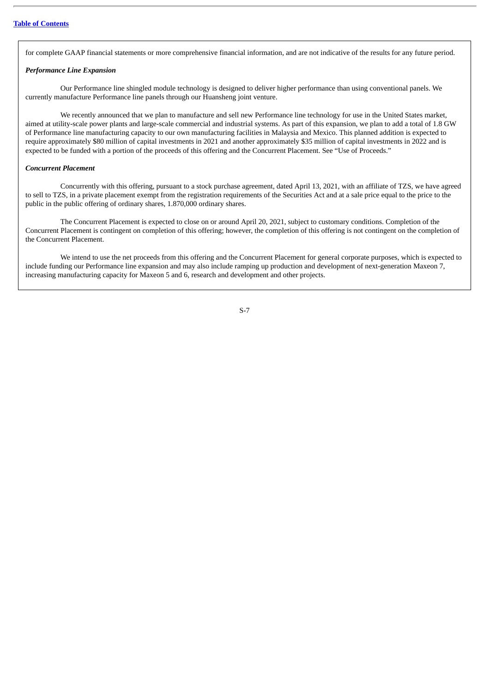for complete GAAP financial statements or more comprehensive financial information, and are not indicative of the results for any future period.

#### *Performance Line Expansion*

Our Performance line shingled module technology is designed to deliver higher performance than using conventional panels. We currently manufacture Performance line panels through our Huansheng joint venture.

We recently announced that we plan to manufacture and sell new Performance line technology for use in the United States market, aimed at utility-scale power plants and large-scale commercial and industrial systems. As part of this expansion, we plan to add a total of 1.8 GW of Performance line manufacturing capacity to our own manufacturing facilities in Malaysia and Mexico. This planned addition is expected to require approximately \$80 million of capital investments in 2021 and another approximately \$35 million of capital investments in 2022 and is expected to be funded with a portion of the proceeds of this offering and the Concurrent Placement. See "Use of Proceeds."

#### *Concurrent Placement*

Concurrently with this offering, pursuant to a stock purchase agreement, dated April 13, 2021, with an affiliate of TZS, we have agreed to sell to TZS, in a private placement exempt from the registration requirements of the Securities Act and at a sale price equal to the price to the public in the public offering of ordinary shares, 1.870,000 ordinary shares.

The Concurrent Placement is expected to close on or around April 20, 2021, subject to customary conditions. Completion of the Concurrent Placement is contingent on completion of this offering; however, the completion of this offering is not contingent on the completion of the Concurrent Placement.

We intend to use the net proceeds from this offering and the Concurrent Placement for general corporate purposes, which is expected to include funding our Performance line expansion and may also include ramping up production and development of next-generation Maxeon 7, increasing manufacturing capacity for Maxeon 5 and 6, research and development and other projects.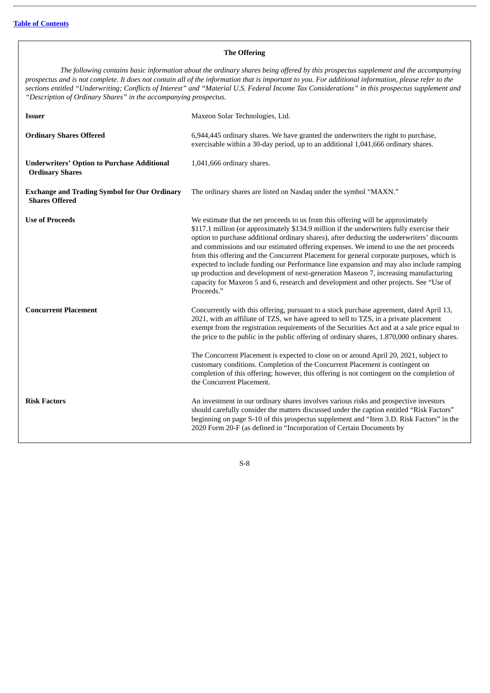#### **The Offering**

The following contains basic information about the ordinary shares being offered by this prospectus supplement and the accompanying prospectus and is not complete. It does not contain all of the information that is important to you. For additional information, please refer to the sections entitled "Underwriting; Conflicts of Interest" and "Material U.S. Federal Income Tax Considerations" in this prospectus supplement and *"Description of Ordinary Shares" in the accompanying prospectus.*

| <b>Issuer</b>                                                                | Maxeon Solar Technologies, Ltd.                                                                                                                                                                                                                                                                                                                                                                                                                                                                                                                                                                                                                                                                                                                              |
|------------------------------------------------------------------------------|--------------------------------------------------------------------------------------------------------------------------------------------------------------------------------------------------------------------------------------------------------------------------------------------------------------------------------------------------------------------------------------------------------------------------------------------------------------------------------------------------------------------------------------------------------------------------------------------------------------------------------------------------------------------------------------------------------------------------------------------------------------|
| <b>Ordinary Shares Offered</b>                                               | 6,944,445 ordinary shares. We have granted the underwriters the right to purchase,<br>exercisable within a 30-day period, up to an additional 1,041,666 ordinary shares.                                                                                                                                                                                                                                                                                                                                                                                                                                                                                                                                                                                     |
| <b>Underwriters' Option to Purchase Additional</b><br><b>Ordinary Shares</b> | 1,041,666 ordinary shares.                                                                                                                                                                                                                                                                                                                                                                                                                                                                                                                                                                                                                                                                                                                                   |
| <b>Exchange and Trading Symbol for Our Ordinary</b><br><b>Shares Offered</b> | The ordinary shares are listed on Nasdaq under the symbol "MAXN."                                                                                                                                                                                                                                                                                                                                                                                                                                                                                                                                                                                                                                                                                            |
| <b>Use of Proceeds</b>                                                       | We estimate that the net proceeds to us from this offering will be approximately<br>\$117.1 million (or approximately \$134.9 million if the underwriters fully exercise their<br>option to purchase additional ordinary shares), after deducting the underwriters' discounts<br>and commissions and our estimated offering expenses. We intend to use the net proceeds<br>from this offering and the Concurrent Placement for general corporate purposes, which is<br>expected to include funding our Performance line expansion and may also include ramping<br>up production and development of next-generation Maxeon 7, increasing manufacturing<br>capacity for Maxeon 5 and 6, research and development and other projects. See "Use of<br>Proceeds." |
| <b>Concurrent Placement</b>                                                  | Concurrently with this offering, pursuant to a stock purchase agreement, dated April 13,<br>2021, with an affiliate of TZS, we have agreed to sell to TZS, in a private placement<br>exempt from the registration requirements of the Securities Act and at a sale price equal to<br>the price to the public in the public offering of ordinary shares, 1.870,000 ordinary shares.                                                                                                                                                                                                                                                                                                                                                                           |
|                                                                              | The Concurrent Placement is expected to close on or around April 20, 2021, subject to<br>customary conditions. Completion of the Concurrent Placement is contingent on<br>completion of this offering; however, this offering is not contingent on the completion of<br>the Concurrent Placement.                                                                                                                                                                                                                                                                                                                                                                                                                                                            |
| <b>Risk Factors</b>                                                          | An investment in our ordinary shares involves various risks and prospective investors<br>should carefully consider the matters discussed under the caption entitled "Risk Factors"<br>beginning on page S-10 of this prospectus supplement and "Item 3.D. Risk Factors" in the<br>2020 Form 20-F (as defined in "Incorporation of Certain Documents by                                                                                                                                                                                                                                                                                                                                                                                                       |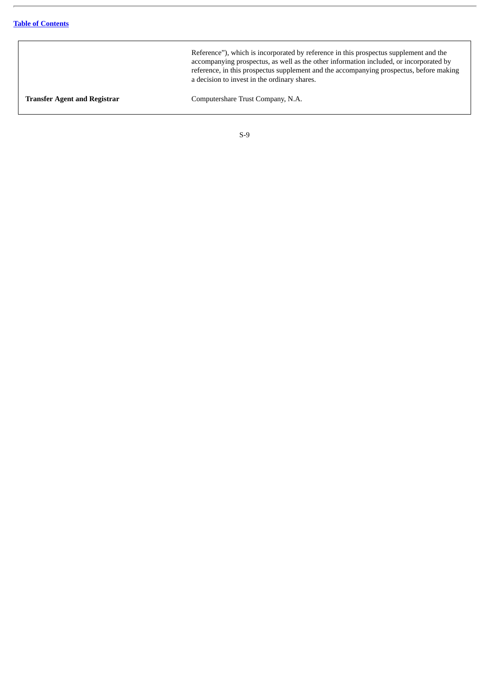Reference"), which is incorporated by reference in this prospectus supplement and the accompanying prospectus, as well as the other information included, or incorporated by reference, in this prospectus supplement and the accompanying prospectus, before making a decision to invest in the ordinary shares.

**Transfer Agent and Registrar** Computershare Trust Company, N.A.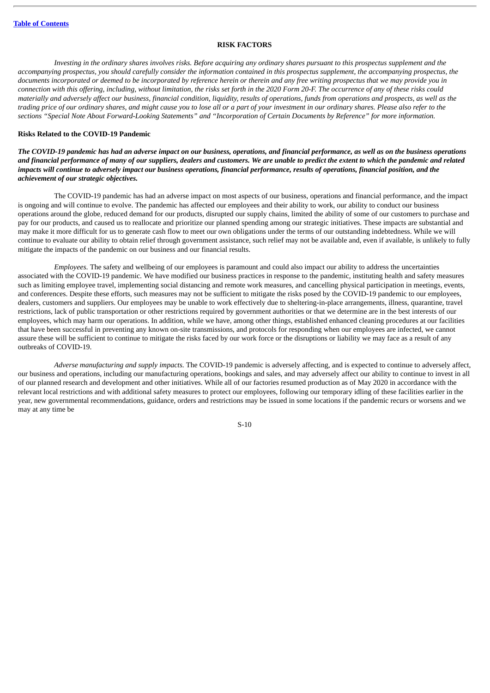#### **RISK FACTORS**

<span id="page-15-0"></span>Investing in the ordinary shares involves risks. Before acquiring any ordinary shares pursuant to this prospectus supplement and the accompanying prospectus, you should carefully consider the information contained in this prospectus supplement, the accompanying prospectus, the documents incorporated or deemed to be incorporated by reference herein or therein and any free writing prospectus that we may provide you in connection with this offering, including, without limitation, the risks set forth in the 2020 Form 20-F. The occurrence of any of these risks could materially and adversely affect our business, financial condition, liquidity, results of operations, funds from operations and prospects, as well as the trading price of our ordinary shares, and might cause you to lose all or a part of your investment in our ordinary shares. Please also refer to the sections "Special Note About Forward-Looking Statements" and "Incorporation of Certain Documents by Reference" for more information.

#### **Risks Related to the COVID-19 Pandemic**

The COVID-19 pandemic has had an adverse impact on our business, operations, and financial performance, as well as on the business operations and financial performance of many of our suppliers, dealers and customers. We are unable to predict the extent to which the pandemic and related impacts will continue to adversely impact our business operations, financial performance, results of operations, financial position, and the *achievement of our strategic objectives.*

The COVID-19 pandemic has had an adverse impact on most aspects of our business, operations and financial performance, and the impact is ongoing and will continue to evolve. The pandemic has affected our employees and their ability to work, our ability to conduct our business operations around the globe, reduced demand for our products, disrupted our supply chains, limited the ability of some of our customers to purchase and pay for our products, and caused us to reallocate and prioritize our planned spending among our strategic initiatives. These impacts are substantial and may make it more difficult for us to generate cash flow to meet our own obligations under the terms of our outstanding indebtedness. While we will continue to evaluate our ability to obtain relief through government assistance, such relief may not be available and, even if available, is unlikely to fully mitigate the impacts of the pandemic on our business and our financial results.

*Employees*. The safety and wellbeing of our employees is paramount and could also impact our ability to address the uncertainties associated with the COVID-19 pandemic. We have modified our business practices in response to the pandemic, instituting health and safety measures such as limiting employee travel, implementing social distancing and remote work measures, and cancelling physical participation in meetings, events, and conferences. Despite these efforts, such measures may not be sufficient to mitigate the risks posed by the COVID-19 pandemic to our employees, dealers, customers and suppliers. Our employees may be unable to work effectively due to sheltering-in-place arrangements, illness, quarantine, travel restrictions, lack of public transportation or other restrictions required by government authorities or that we determine are in the best interests of our employees, which may harm our operations. In addition, while we have, among other things, established enhanced cleaning procedures at our facilities that have been successful in preventing any known on-site transmissions, and protocols for responding when our employees are infected, we cannot assure these will be sufficient to continue to mitigate the risks faced by our work force or the disruptions or liability we may face as a result of any outbreaks of COVID-19.

*Adverse manufacturing and supply impacts.* The COVID-19 pandemic is adversely affecting, and is expected to continue to adversely affect, our business and operations, including our manufacturing operations, bookings and sales, and may adversely affect our ability to continue to invest in all of our planned research and development and other initiatives. While all of our factories resumed production as of May 2020 in accordance with the relevant local restrictions and with additional safety measures to protect our employees, following our temporary idling of these facilities earlier in the year, new governmental recommendations, guidance, orders and restrictions may be issued in some locations if the pandemic recurs or worsens and we may at any time be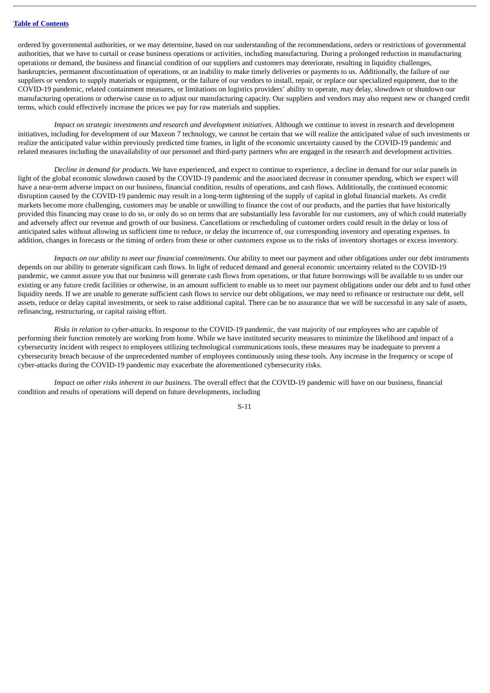ordered by governmental authorities, or we may determine, based on our understanding of the recommendations, orders or restrictions of governmental authorities, that we have to curtail or cease business operations or activities, including manufacturing. During a prolonged reduction in manufacturing operations or demand, the business and financial condition of our suppliers and customers may deteriorate, resulting in liquidity challenges, bankruptcies, permanent discontinuation of operations, or an inability to make timely deliveries or payments to us. Additionally, the failure of our suppliers or vendors to supply materials or equipment, or the failure of our vendors to install, repair, or replace our specialized equipment, due to the COVID-19 pandemic, related containment measures, or limitations on logistics providers' ability to operate, may delay, slowdown or shutdown our manufacturing operations or otherwise cause us to adjust our manufacturing capacity. Our suppliers and vendors may also request new or changed credit terms, which could effectively increase the prices we pay for raw materials and supplies.

*Impact on strategic investments and research and development initiatives.* Although we continue to invest in research and development initiatives, including for development of our Maxeon 7 technology, we cannot be certain that we will realize the anticipated value of such investments or realize the anticipated value within previously predicted time frames, in light of the economic uncertainty caused by the COVID-19 pandemic and related measures including the unavailability of our personnel and third-party partners who are engaged in the research and development activities.

*Decline in demand for products.* We have experienced, and expect to continue to experience, a decline in demand for our solar panels in light of the global economic slowdown caused by the COVID-19 pandemic and the associated decrease in consumer spending, which we expect will have a near-term adverse impact on our business, financial condition, results of operations, and cash flows. Additionally, the continued economic disruption caused by the COVID-19 pandemic may result in a long-term tightening of the supply of capital in global financial markets. As credit markets become more challenging, customers may be unable or unwilling to finance the cost of our products, and the parties that have historically provided this financing may cease to do so, or only do so on terms that are substantially less favorable for our customers, any of which could materially and adversely affect our revenue and growth of our business. Cancellations or rescheduling of customer orders could result in the delay or loss of anticipated sales without allowing us sufficient time to reduce, or delay the incurrence of, our corresponding inventory and operating expenses. In addition, changes in forecasts or the timing of orders from these or other customers expose us to the risks of inventory shortages or excess inventory.

*Impacts on our ability to meet our financial commitments.* Our ability to meet our payment and other obligations under our debt instruments depends on our ability to generate significant cash flows. In light of reduced demand and general economic uncertainty related to the COVID-19 pandemic, we cannot assure you that our business will generate cash flows from operations, or that future borrowings will be available to us under our existing or any future credit facilities or otherwise, in an amount sufficient to enable us to meet our payment obligations under our debt and to fund other liquidity needs. If we are unable to generate sufficient cash flows to service our debt obligations, we may need to refinance or restructure our debt, sell assets, reduce or delay capital investments, or seek to raise additional capital. There can be no assurance that we will be successful in any sale of assets, refinancing, restructuring, or capital raising effort.

*Risks in relation to cyber-attacks.* In response to the COVID-19 pandemic, the vast majority of our employees who are capable of performing their function remotely are working from home. While we have instituted security measures to minimize the likelihood and impact of a cybersecurity incident with respect to employees utilizing technological communications tools, these measures may be inadequate to prevent a cybersecurity breach because of the unprecedented number of employees continuously using these tools. Any increase in the frequency or scope of cyber-attacks during the COVID-19 pandemic may exacerbate the aforementioned cybersecurity risks.

*Impact on other risks inherent in our business.* The overall effect that the COVID-19 pandemic will have on our business, financial condition and results of operations will depend on future developments, including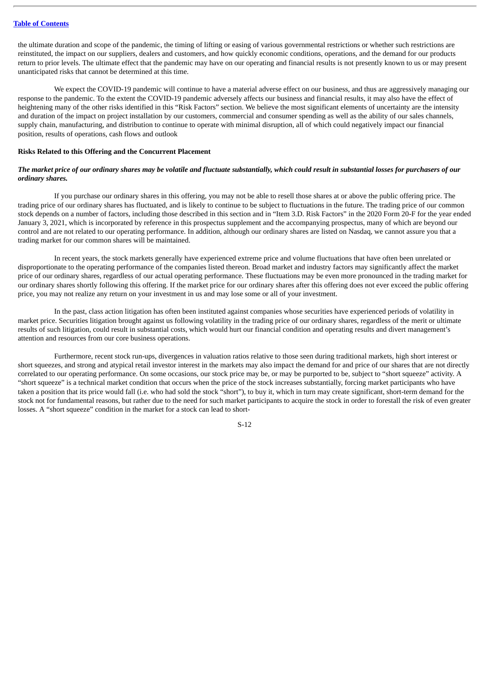the ultimate duration and scope of the pandemic, the timing of lifting or easing of various governmental restrictions or whether such restrictions are reinstituted, the impact on our suppliers, dealers and customers, and how quickly economic conditions, operations, and the demand for our products return to prior levels. The ultimate effect that the pandemic may have on our operating and financial results is not presently known to us or may present unanticipated risks that cannot be determined at this time.

We expect the COVID-19 pandemic will continue to have a material adverse effect on our business, and thus are aggressively managing our response to the pandemic. To the extent the COVID-19 pandemic adversely affects our business and financial results, it may also have the effect of heightening many of the other risks identified in this "Risk Factors" section. We believe the most significant elements of uncertainty are the intensity and duration of the impact on project installation by our customers, commercial and consumer spending as well as the ability of our sales channels, supply chain, manufacturing, and distribution to continue to operate with minimal disruption, all of which could negatively impact our financial position, results of operations, cash flows and outlook

#### **Risks Related to this Offering and the Concurrent Placement**

#### The market price of our ordinary shares may be volatile and fluctuate substantially, which could result in substantial losses for purchasers of our *ordinary shares.*

If you purchase our ordinary shares in this offering, you may not be able to resell those shares at or above the public offering price. The trading price of our ordinary shares has fluctuated, and is likely to continue to be subject to fluctuations in the future. The trading price of our common stock depends on a number of factors, including those described in this section and in "Item 3.D. Risk Factors" in the 2020 Form 20-F for the year ended January 3, 2021, which is incorporated by reference in this prospectus supplement and the accompanying prospectus, many of which are beyond our control and are not related to our operating performance. In addition, although our ordinary shares are listed on Nasdaq, we cannot assure you that a trading market for our common shares will be maintained.

In recent years, the stock markets generally have experienced extreme price and volume fluctuations that have often been unrelated or disproportionate to the operating performance of the companies listed thereon. Broad market and industry factors may significantly affect the market price of our ordinary shares, regardless of our actual operating performance. These fluctuations may be even more pronounced in the trading market for our ordinary shares shortly following this offering. If the market price for our ordinary shares after this offering does not ever exceed the public offering price, you may not realize any return on your investment in us and may lose some or all of your investment.

In the past, class action litigation has often been instituted against companies whose securities have experienced periods of volatility in market price. Securities litigation brought against us following volatility in the trading price of our ordinary shares, regardless of the merit or ultimate results of such litigation, could result in substantial costs, which would hurt our financial condition and operating results and divert management's attention and resources from our core business operations.

Furthermore, recent stock run-ups, divergences in valuation ratios relative to those seen during traditional markets, high short interest or short squeezes, and strong and atypical retail investor interest in the markets may also impact the demand for and price of our shares that are not directly correlated to our operating performance. On some occasions, our stock price may be, or may be purported to be, subject to "short squeeze" activity. A "short squeeze" is a technical market condition that occurs when the price of the stock increases substantially, forcing market participants who have taken a position that its price would fall (i.e. who had sold the stock "short"), to buy it, which in turn may create significant, short-term demand for the stock not for fundamental reasons, but rather due to the need for such market participants to acquire the stock in order to forestall the risk of even greater losses. A "short squeeze" condition in the market for a stock can lead to short-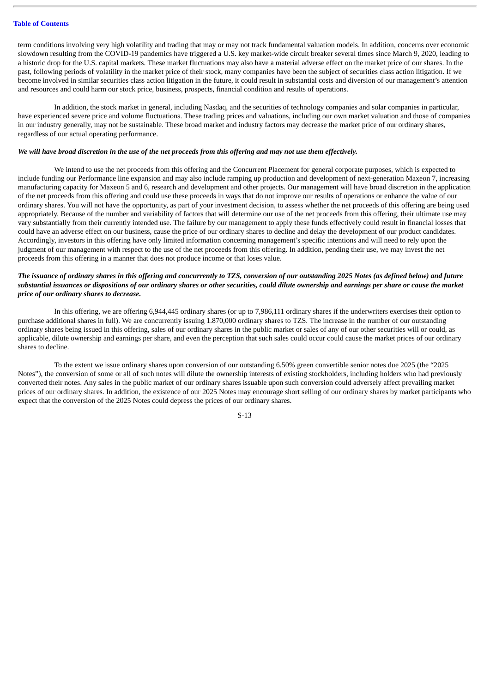term conditions involving very high volatility and trading that may or may not track fundamental valuation models. In addition, concerns over economic slowdown resulting from the COVID-19 pandemics have triggered a U.S. key market-wide circuit breaker several times since March 9, 2020, leading to a historic drop for the U.S. capital markets. These market fluctuations may also have a material adverse effect on the market price of our shares. In the past, following periods of volatility in the market price of their stock, many companies have been the subject of securities class action litigation. If we become involved in similar securities class action litigation in the future, it could result in substantial costs and diversion of our management's attention and resources and could harm our stock price, business, prospects, financial condition and results of operations.

In addition, the stock market in general, including Nasdaq, and the securities of technology companies and solar companies in particular, have experienced severe price and volume fluctuations. These trading prices and valuations, including our own market valuation and those of companies in our industry generally, may not be sustainable. These broad market and industry factors may decrease the market price of our ordinary shares, regardless of our actual operating performance.

#### We will have broad discretion in the use of the net proceeds from this offering and may not use them effectively.

We intend to use the net proceeds from this offering and the Concurrent Placement for general corporate purposes, which is expected to include funding our Performance line expansion and may also include ramping up production and development of next-generation Maxeon 7, increasing manufacturing capacity for Maxeon 5 and 6, research and development and other projects. Our management will have broad discretion in the application of the net proceeds from this offering and could use these proceeds in ways that do not improve our results of operations or enhance the value of our ordinary shares. You will not have the opportunity, as part of your investment decision, to assess whether the net proceeds of this offering are being used appropriately. Because of the number and variability of factors that will determine our use of the net proceeds from this offering, their ultimate use may vary substantially from their currently intended use. The failure by our management to apply these funds effectively could result in financial losses that could have an adverse effect on our business, cause the price of our ordinary shares to decline and delay the development of our product candidates. Accordingly, investors in this offering have only limited information concerning management's specific intentions and will need to rely upon the judgment of our management with respect to the use of the net proceeds from this offering. In addition, pending their use, we may invest the net proceeds from this offering in a manner that does not produce income or that loses value.

#### The issuance of ordinary shares in this offering and concurrently to TZS, conversion of our outstanding 2025 Notes (as defined below) and future substantial issuances or dispositions of our ordinary shares or other securities, could dilute ownership and earnings per share or cause the market *price of our ordinary shares to decrease.*

In this offering, we are offering 6,944,445 ordinary shares (or up to 7,986,111 ordinary shares if the underwriters exercises their option to purchase additional shares in full). We are concurrently issuing 1.870,000 ordinary shares to TZS. The increase in the number of our outstanding ordinary shares being issued in this offering, sales of our ordinary shares in the public market or sales of any of our other securities will or could, as applicable, dilute ownership and earnings per share, and even the perception that such sales could occur could cause the market prices of our ordinary shares to decline.

To the extent we issue ordinary shares upon conversion of our outstanding 6.50% green convertible senior notes due 2025 (the "2025 Notes"), the conversion of some or all of such notes will dilute the ownership interests of existing stockholders, including holders who had previously converted their notes. Any sales in the public market of our ordinary shares issuable upon such conversion could adversely affect prevailing market prices of our ordinary shares. In addition, the existence of our 2025 Notes may encourage short selling of our ordinary shares by market participants who expect that the conversion of the 2025 Notes could depress the prices of our ordinary shares.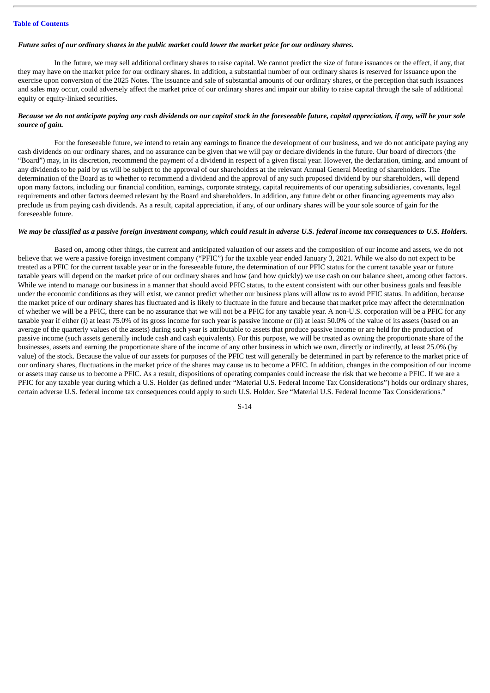#### Future sales of our ordinary shares in the public market could lower the market price for our ordinary shares.

In the future, we may sell additional ordinary shares to raise capital. We cannot predict the size of future issuances or the effect, if any, that they may have on the market price for our ordinary shares. In addition, a substantial number of our ordinary shares is reserved for issuance upon the exercise upon conversion of the 2025 Notes. The issuance and sale of substantial amounts of our ordinary shares, or the perception that such issuances and sales may occur, could adversely affect the market price of our ordinary shares and impair our ability to raise capital through the sale of additional equity or equity-linked securities.

#### Because we do not anticipate paying any cash dividends on our capital stock in the foreseeable future, capital appreciation, if any, will be your sole *source of gain.*

For the foreseeable future, we intend to retain any earnings to finance the development of our business, and we do not anticipate paying any cash dividends on our ordinary shares, and no assurance can be given that we will pay or declare dividends in the future. Our board of directors (the "Board") may, in its discretion, recommend the payment of a dividend in respect of a given fiscal year. However, the declaration, timing, and amount of any dividends to be paid by us will be subject to the approval of our shareholders at the relevant Annual General Meeting of shareholders. The determination of the Board as to whether to recommend a dividend and the approval of any such proposed dividend by our shareholders, will depend upon many factors, including our financial condition, earnings, corporate strategy, capital requirements of our operating subsidiaries, covenants, legal requirements and other factors deemed relevant by the Board and shareholders. In addition, any future debt or other financing agreements may also preclude us from paying cash dividends. As a result, capital appreciation, if any, of our ordinary shares will be your sole source of gain for the foreseeable future.

#### We may be classified as a passive foreian investment company, which could result in adverse U.S. federal income tax consequences to U.S. Holders,

Based on, among other things, the current and anticipated valuation of our assets and the composition of our income and assets, we do not believe that we were a passive foreign investment company ("PFIC") for the taxable year ended January 3, 2021. While we also do not expect to be treated as a PFIC for the current taxable year or in the foreseeable future, the determination of our PFIC status for the current taxable year or future taxable years will depend on the market price of our ordinary shares and how (and how quickly) we use cash on our balance sheet, among other factors. While we intend to manage our business in a manner that should avoid PFIC status, to the extent consistent with our other business goals and feasible under the economic conditions as they will exist, we cannot predict whether our business plans will allow us to avoid PFIC status. In addition, because the market price of our ordinary shares has fluctuated and is likely to fluctuate in the future and because that market price may affect the determination of whether we will be a PFIC, there can be no assurance that we will not be a PFIC for any taxable year. A non-U.S. corporation will be a PFIC for any taxable year if either (i) at least 75.0% of its gross income for such year is passive income or (ii) at least 50.0% of the value of its assets (based on an average of the quarterly values of the assets) during such year is attributable to assets that produce passive income or are held for the production of passive income (such assets generally include cash and cash equivalents). For this purpose, we will be treated as owning the proportionate share of the businesses, assets and earning the proportionate share of the income of any other business in which we own, directly or indirectly, at least 25.0% (by value) of the stock. Because the value of our assets for purposes of the PFIC test will generally be determined in part by reference to the market price of our ordinary shares, fluctuations in the market price of the shares may cause us to become a PFIC. In addition, changes in the composition of our income or assets may cause us to become a PFIC. As a result, dispositions of operating companies could increase the risk that we become a PFIC. If we are a PFIC for any taxable year during which a U.S. Holder (as defined under "Material U.S. Federal Income Tax Considerations") holds our ordinary shares, certain adverse U.S. federal income tax consequences could apply to such U.S. Holder. See "Material U.S. Federal Income Tax Considerations."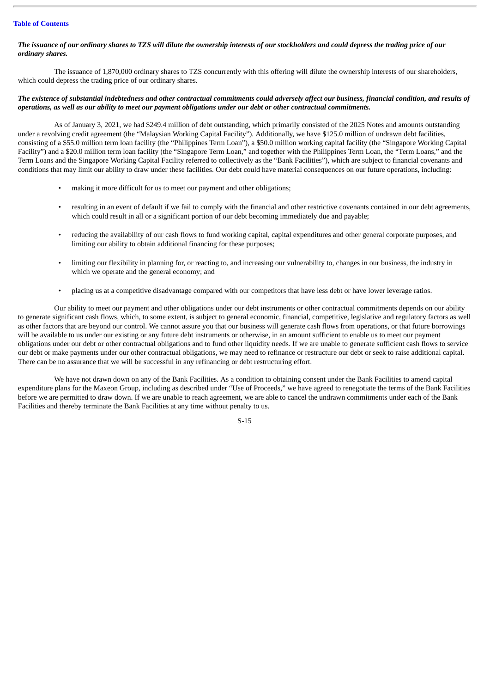#### **Table of [Contents](#page-1-0)**

#### The issuance of our ordinary shares to TZS will dilute the ownership interests of our stockholders and could depress the trading price of our *ordinary shares.*

The issuance of 1,870,000 ordinary shares to TZS concurrently with this offering will dilute the ownership interests of our shareholders, which could depress the trading price of our ordinary shares.

#### The existence of substantial indebtedness and other contractual commitments could adversely affect our business, financial condition, and results of operations, as well as our ability to meet our payment obligations under our debt or other contractual commitments.

As of January 3, 2021, we had \$249.4 million of debt outstanding, which primarily consisted of the 2025 Notes and amounts outstanding under a revolving credit agreement (the "Malaysian Working Capital Facility"). Additionally, we have \$125.0 million of undrawn debt facilities, consisting of a \$55.0 million term loan facility (the "Philippines Term Loan"), a \$50.0 million working capital facility (the "Singapore Working Capital Facility") and a \$20.0 million term loan facility (the "Singapore Term Loan," and together with the Philippines Term Loan, the "Term Loans," and the Term Loans and the Singapore Working Capital Facility referred to collectively as the "Bank Facilities"), which are subject to financial covenants and conditions that may limit our ability to draw under these facilities. Our debt could have material consequences on our future operations, including:

- making it more difficult for us to meet our payment and other obligations;
- resulting in an event of default if we fail to comply with the financial and other restrictive covenants contained in our debt agreements, which could result in all or a significant portion of our debt becoming immediately due and payable;
- reducing the availability of our cash flows to fund working capital, capital expenditures and other general corporate purposes, and limiting our ability to obtain additional financing for these purposes;
- limiting our flexibility in planning for, or reacting to, and increasing our vulnerability to, changes in our business, the industry in which we operate and the general economy; and
- placing us at a competitive disadvantage compared with our competitors that have less debt or have lower leverage ratios.

Our ability to meet our payment and other obligations under our debt instruments or other contractual commitments depends on our ability to generate significant cash flows, which, to some extent, is subject to general economic, financial, competitive, legislative and regulatory factors as well as other factors that are beyond our control. We cannot assure you that our business will generate cash flows from operations, or that future borrowings will be available to us under our existing or any future debt instruments or otherwise, in an amount sufficient to enable us to meet our payment obligations under our debt or other contractual obligations and to fund other liquidity needs. If we are unable to generate sufficient cash flows to service our debt or make payments under our other contractual obligations, we may need to refinance or restructure our debt or seek to raise additional capital. There can be no assurance that we will be successful in any refinancing or debt restructuring effort.

We have not drawn down on any of the Bank Facilities. As a condition to obtaining consent under the Bank Facilities to amend capital expenditure plans for the Maxeon Group, including as described under "Use of Proceeds," we have agreed to renegotiate the terms of the Bank Facilities before we are permitted to draw down. If we are unable to reach agreement, we are able to cancel the undrawn commitments under each of the Bank Facilities and thereby terminate the Bank Facilities at any time without penalty to us.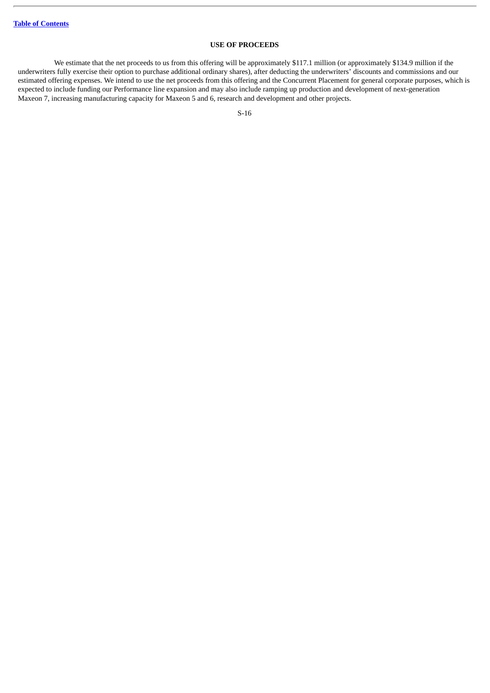#### **USE OF PROCEEDS**

<span id="page-21-0"></span>We estimate that the net proceeds to us from this offering will be approximately \$117.1 million (or approximately \$134.9 million if the underwriters fully exercise their option to purchase additional ordinary shares), after deducting the underwriters' discounts and commissions and our estimated offering expenses. We intend to use the net proceeds from this offering and the Concurrent Placement for general corporate purposes, which is expected to include funding our Performance line expansion and may also include ramping up production and development of next-generation Maxeon 7, increasing manufacturing capacity for Maxeon 5 and 6, research and development and other projects.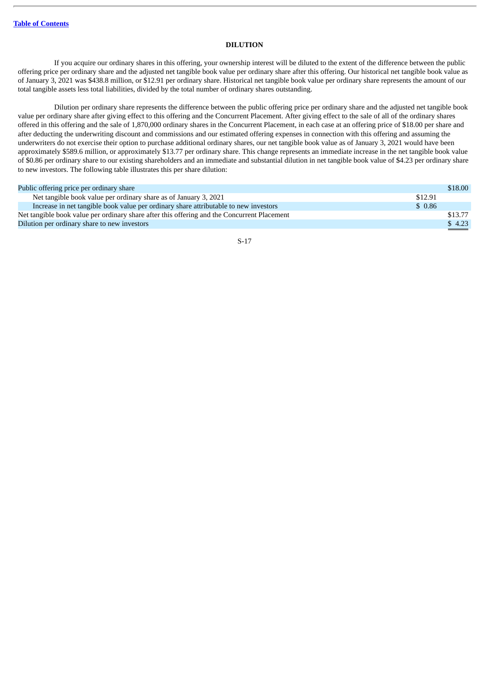#### **DILUTION**

<span id="page-22-0"></span>If you acquire our ordinary shares in this offering, your ownership interest will be diluted to the extent of the difference between the public offering price per ordinary share and the adjusted net tangible book value per ordinary share after this offering. Our historical net tangible book value as of January 3, 2021 was \$438.8 million, or \$12.91 per ordinary share. Historical net tangible book value per ordinary share represents the amount of our total tangible assets less total liabilities, divided by the total number of ordinary shares outstanding.

Dilution per ordinary share represents the difference between the public offering price per ordinary share and the adjusted net tangible book value per ordinary share after giving effect to this offering and the Concurrent Placement. After giving effect to the sale of all of the ordinary shares offered in this offering and the sale of 1,870,000 ordinary shares in the Concurrent Placement, in each case at an offering price of \$18.00 per share and after deducting the underwriting discount and commissions and our estimated offering expenses in connection with this offering and assuming the underwriters do not exercise their option to purchase additional ordinary shares, our net tangible book value as of January 3, 2021 would have been approximately \$589.6 million, or approximately \$13.77 per ordinary share. This change represents an immediate increase in the net tangible book value of \$0.86 per ordinary share to our existing shareholders and an immediate and substantial dilution in net tangible book value of \$4.23 per ordinary share to new investors. The following table illustrates this per share dilution:

| Public offering price per ordinary share                                                    |         | \$18.00       |
|---------------------------------------------------------------------------------------------|---------|---------------|
| Net tangible book value per ordinary share as of January 3, 2021                            | \$12.91 |               |
| Increase in net tangible book value per ordinary share attributable to new investors        | \$0.86  |               |
| Net tangible book value per ordinary share after this offering and the Concurrent Placement |         | \$13.77       |
| Dilution per ordinary share to new investors                                                |         | \$4.23        |
|                                                                                             |         | $\sim$ $\sim$ |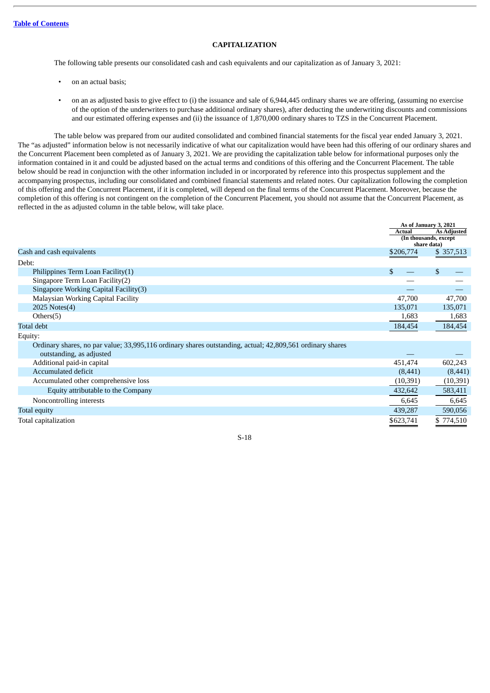#### **CAPITALIZATION**

<span id="page-23-0"></span>The following table presents our consolidated cash and cash equivalents and our capitalization as of January 3, 2021:

- on an actual basis;
- on an as adjusted basis to give effect to (i) the issuance and sale of 6,944,445 ordinary shares we are offering, (assuming no exercise of the option of the underwriters to purchase additional ordinary shares), after deducting the underwriting discounts and commissions and our estimated offering expenses and (ii) the issuance of 1,870,000 ordinary shares to TZS in the Concurrent Placement.

The table below was prepared from our audited consolidated and combined financial statements for the fiscal year ended January 3, 2021. The "as adjusted" information below is not necessarily indicative of what our capitalization would have been had this offering of our ordinary shares and the Concurrent Placement been completed as of January 3, 2021. We are providing the capitalization table below for informational purposes only the information contained in it and could be adjusted based on the actual terms and conditions of this offering and the Concurrent Placement. The table below should be read in conjunction with the other information included in or incorporated by reference into this prospectus supplement and the accompanying prospectus, including our consolidated and combined financial statements and related notes. Our capitalization following the completion of this offering and the Concurrent Placement, if it is completed, will depend on the final terms of the Concurrent Placement. Moreover, because the completion of this offering is not contingent on the completion of the Concurrent Placement, you should not assume that the Concurrent Placement, as reflected in the as adjusted column in the table below, will take place.

|                                                                                                                                       | As of January 3, 2021<br>Actual<br>(In thousands, except)<br>share data) | <b>As Adjusted</b> |
|---------------------------------------------------------------------------------------------------------------------------------------|--------------------------------------------------------------------------|--------------------|
| Cash and cash equivalents                                                                                                             | \$206,774                                                                | \$357,513          |
| Debt:                                                                                                                                 |                                                                          |                    |
| Philippines Term Loan Facility(1)                                                                                                     | \$.                                                                      | \$                 |
| Singapore Term Loan Facility(2)                                                                                                       |                                                                          |                    |
| Singapore Working Capital Facility(3)                                                                                                 |                                                                          |                    |
| Malaysian Working Capital Facility                                                                                                    | 47,700                                                                   | 47,700             |
| 2025 Notes(4)                                                                                                                         | 135,071                                                                  | 135,071            |
| Others $(5)$                                                                                                                          | 1,683                                                                    | 1,683              |
| Total debt                                                                                                                            | 184,454                                                                  | 184,454            |
| Equity:                                                                                                                               |                                                                          |                    |
| Ordinary shares, no par value; 33,995,116 ordinary shares outstanding, actual; 42,809,561 ordinary shares<br>outstanding, as adjusted |                                                                          |                    |
| Additional paid-in capital                                                                                                            | 451,474                                                                  | 602,243            |
| Accumulated deficit                                                                                                                   | (8, 441)                                                                 | (8,441)            |
| Accumulated other comprehensive loss                                                                                                  | (10, 391)                                                                | (10, 391)          |
| Equity attributable to the Company                                                                                                    | 432,642                                                                  | 583,411            |
| Noncontrolling interests                                                                                                              | 6,645                                                                    | 6,645              |

Total capitalization  $$774,510$ S-18

Total equity 439,287 590,056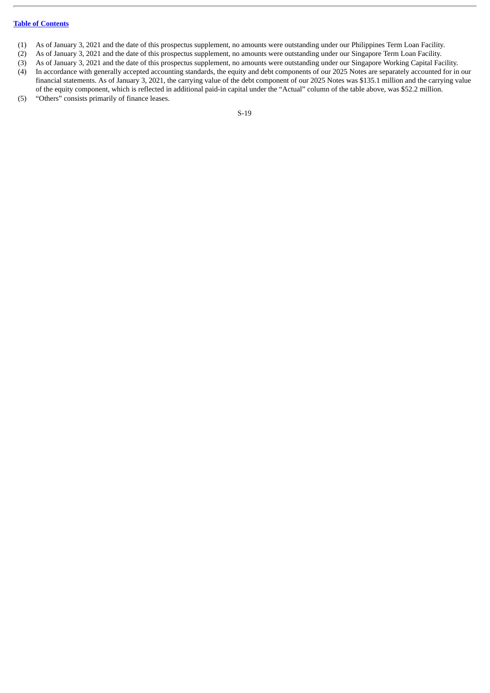#### **Table of [Contents](#page-1-0)**

- (1) As of January 3, 2021 and the date of this prospectus supplement, no amounts were outstanding under our Philippines Term Loan Facility.
- (2) As of January 3, 2021 and the date of this prospectus supplement, no amounts were outstanding under our Singapore Term Loan Facility.
- (3) As of January 3, 2021 and the date of this prospectus supplement, no amounts were outstanding under our Singapore Working Capital Facility.
- (4) In accordance with generally accepted accounting standards, the equity and debt components of our 2025 Notes are separately accounted for in our financial statements. As of January 3, 2021, the carrying value of the debt component of our 2025 Notes was \$135.1 million and the carrying value of the equity component, which is reflected in additional paid-in capital under the "Actual" column of the table above, was \$52.2 million.
- (5) "Others" consists primarily of finance leases.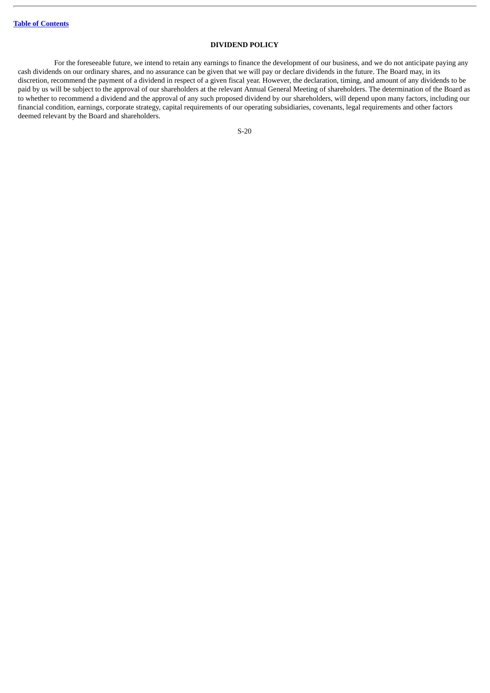#### **DIVIDEND POLICY**

<span id="page-25-0"></span>For the foreseeable future, we intend to retain any earnings to finance the development of our business, and we do not anticipate paying any cash dividends on our ordinary shares, and no assurance can be given that we will pay or declare dividends in the future. The Board may, in its discretion, recommend the payment of a dividend in respect of a given fiscal year. However, the declaration, timing, and amount of any dividends to be paid by us will be subject to the approval of our shareholders at the relevant Annual General Meeting of shareholders. The determination of the Board as to whether to recommend a dividend and the approval of any such proposed dividend by our shareholders, will depend upon many factors, including our financial condition, earnings, corporate strategy, capital requirements of our operating subsidiaries, covenants, legal requirements and other factors deemed relevant by the Board and shareholders.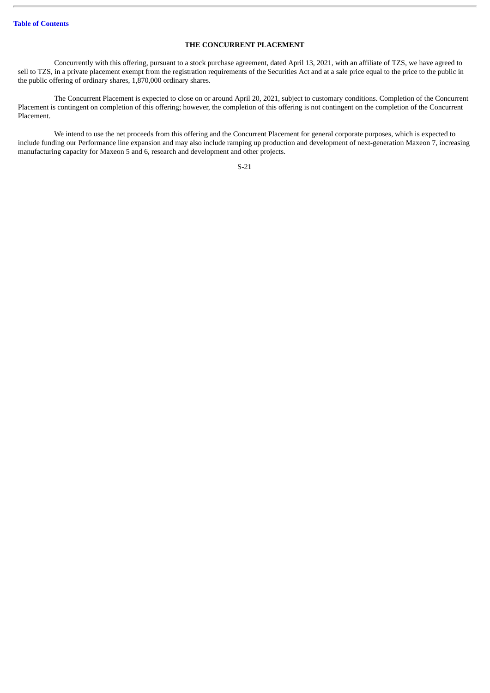#### **THE CONCURRENT PLACEMENT**

<span id="page-26-0"></span>Concurrently with this offering, pursuant to a stock purchase agreement, dated April 13, 2021, with an affiliate of TZS, we have agreed to sell to TZS, in a private placement exempt from the registration requirements of the Securities Act and at a sale price equal to the price to the public in the public offering of ordinary shares, 1,870,000 ordinary shares.

The Concurrent Placement is expected to close on or around April 20, 2021, subject to customary conditions. Completion of the Concurrent Placement is contingent on completion of this offering; however, the completion of this offering is not contingent on the completion of the Concurrent Placement.

We intend to use the net proceeds from this offering and the Concurrent Placement for general corporate purposes, which is expected to include funding our Performance line expansion and may also include ramping up production and development of next-generation Maxeon 7, increasing manufacturing capacity for Maxeon 5 and 6, research and development and other projects.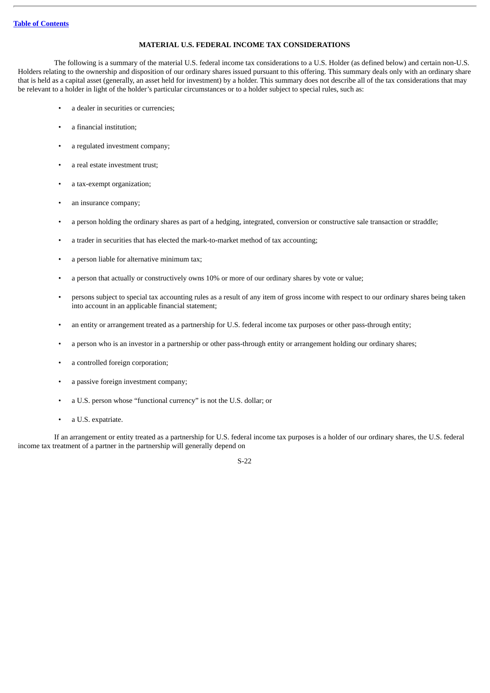#### **MATERIAL U.S. FEDERAL INCOME TAX CONSIDERATIONS**

<span id="page-27-0"></span>The following is a summary of the material U.S. federal income tax considerations to a U.S. Holder (as defined below) and certain non-U.S. Holders relating to the ownership and disposition of our ordinary shares issued pursuant to this offering. This summary deals only with an ordinary share that is held as a capital asset (generally, an asset held for investment) by a holder. This summary does not describe all of the tax considerations that may be relevant to a holder in light of the holder's particular circumstances or to a holder subject to special rules, such as:

- a dealer in securities or currencies;
- a financial institution;
- a regulated investment company;
- a real estate investment trust;
- a tax-exempt organization;
- an insurance company;
- a person holding the ordinary shares as part of a hedging, integrated, conversion or constructive sale transaction or straddle;
- a trader in securities that has elected the mark-to-market method of tax accounting;
- a person liable for alternative minimum tax;
- a person that actually or constructively owns 10% or more of our ordinary shares by vote or value;
- persons subject to special tax accounting rules as a result of any item of gross income with respect to our ordinary shares being taken into account in an applicable financial statement;
- an entity or arrangement treated as a partnership for U.S. federal income tax purposes or other pass-through entity;
- a person who is an investor in a partnership or other pass-through entity or arrangement holding our ordinary shares;
- a controlled foreign corporation;
- a passive foreign investment company;
- a U.S. person whose "functional currency" is not the U.S. dollar; or
- a U.S. expatriate.

If an arrangement or entity treated as a partnership for U.S. federal income tax purposes is a holder of our ordinary shares, the U.S. federal income tax treatment of a partner in the partnership will generally depend on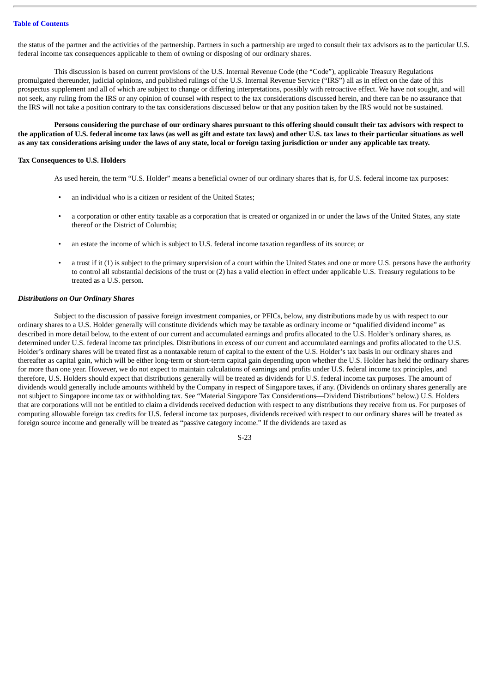the status of the partner and the activities of the partnership. Partners in such a partnership are urged to consult their tax advisors as to the particular U.S. federal income tax consequences applicable to them of owning or disposing of our ordinary shares.

This discussion is based on current provisions of the U.S. Internal Revenue Code (the "Code"), applicable Treasury Regulations promulgated thereunder, judicial opinions, and published rulings of the U.S. Internal Revenue Service ("IRS") all as in effect on the date of this prospectus supplement and all of which are subject to change or differing interpretations, possibly with retroactive effect. We have not sought, and will not seek, any ruling from the IRS or any opinion of counsel with respect to the tax considerations discussed herein, and there can be no assurance that the IRS will not take a position contrary to the tax considerations discussed below or that any position taken by the IRS would not be sustained.

Persons considering the purchase of our ordinary shares pursuant to this offering should consult their tax advisors with respect to the application of U.S. federal income tax laws (as well as gift and estate tax laws) and other U.S. tax laws to their particular situations as well as any tax considerations arising under the laws of any state, local or foreign taxing jurisdiction or under any applicable tax treaty.

#### **Tax Consequences to U.S. Holders**

As used herein, the term "U.S. Holder" means a beneficial owner of our ordinary shares that is, for U.S. federal income tax purposes:

- an individual who is a citizen or resident of the United States;
- a corporation or other entity taxable as a corporation that is created or organized in or under the laws of the United States, any state thereof or the District of Columbia;
- an estate the income of which is subject to U.S. federal income taxation regardless of its source; or
- a trust if it (1) is subject to the primary supervision of a court within the United States and one or more U.S. persons have the authority to control all substantial decisions of the trust or (2) has a valid election in effect under applicable U.S. Treasury regulations to be treated as a U.S. person.

#### *Distributions on Our Ordinary Shares*

Subject to the discussion of passive foreign investment companies, or PFICs, below, any distributions made by us with respect to our ordinary shares to a U.S. Holder generally will constitute dividends which may be taxable as ordinary income or "qualified dividend income" as described in more detail below, to the extent of our current and accumulated earnings and profits allocated to the U.S. Holder's ordinary shares, as determined under U.S. federal income tax principles. Distributions in excess of our current and accumulated earnings and profits allocated to the U.S. Holder's ordinary shares will be treated first as a nontaxable return of capital to the extent of the U.S. Holder's tax basis in our ordinary shares and thereafter as capital gain, which will be either long-term or short-term capital gain depending upon whether the U.S. Holder has held the ordinary shares for more than one year. However, we do not expect to maintain calculations of earnings and profits under U.S. federal income tax principles, and therefore, U.S. Holders should expect that distributions generally will be treated as dividends for U.S. federal income tax purposes. The amount of dividends would generally include amounts withheld by the Company in respect of Singapore taxes, if any. (Dividends on ordinary shares generally are not subject to Singapore income tax or withholding tax. See "Material Singapore Tax Considerations—Dividend Distributions" below.) U.S. Holders that are corporations will not be entitled to claim a dividends received deduction with respect to any distributions they receive from us. For purposes of computing allowable foreign tax credits for U.S. federal income tax purposes, dividends received with respect to our ordinary shares will be treated as foreign source income and generally will be treated as "passive category income." If the dividends are taxed as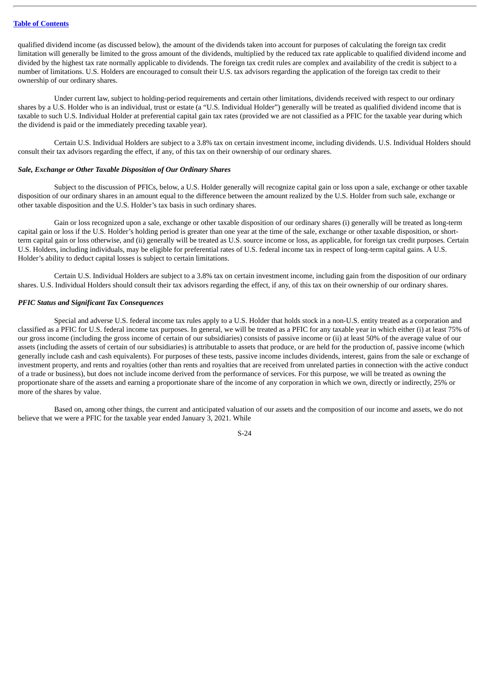qualified dividend income (as discussed below), the amount of the dividends taken into account for purposes of calculating the foreign tax credit limitation will generally be limited to the gross amount of the dividends, multiplied by the reduced tax rate applicable to qualified dividend income and divided by the highest tax rate normally applicable to dividends. The foreign tax credit rules are complex and availability of the credit is subject to a number of limitations. U.S. Holders are encouraged to consult their U.S. tax advisors regarding the application of the foreign tax credit to their ownership of our ordinary shares.

Under current law, subject to holding-period requirements and certain other limitations, dividends received with respect to our ordinary shares by a U.S. Holder who is an individual, trust or estate (a "U.S. Individual Holder") generally will be treated as qualified dividend income that is taxable to such U.S. Individual Holder at preferential capital gain tax rates (provided we are not classified as a PFIC for the taxable year during which the dividend is paid or the immediately preceding taxable year).

Certain U.S. Individual Holders are subject to a 3.8% tax on certain investment income, including dividends. U.S. Individual Holders should consult their tax advisors regarding the effect, if any, of this tax on their ownership of our ordinary shares.

#### *Sale, Exchange or Other Taxable Disposition of Our Ordinary Shares*

Subject to the discussion of PFICs, below, a U.S. Holder generally will recognize capital gain or loss upon a sale, exchange or other taxable disposition of our ordinary shares in an amount equal to the difference between the amount realized by the U.S. Holder from such sale, exchange or other taxable disposition and the U.S. Holder's tax basis in such ordinary shares.

Gain or loss recognized upon a sale, exchange or other taxable disposition of our ordinary shares (i) generally will be treated as long-term capital gain or loss if the U.S. Holder's holding period is greater than one year at the time of the sale, exchange or other taxable disposition, or shortterm capital gain or loss otherwise, and (ii) generally will be treated as U.S. source income or loss, as applicable, for foreign tax credit purposes. Certain U.S. Holders, including individuals, may be eligible for preferential rates of U.S. federal income tax in respect of long-term capital gains. A U.S. Holder's ability to deduct capital losses is subject to certain limitations.

Certain U.S. Individual Holders are subject to a 3.8% tax on certain investment income, including gain from the disposition of our ordinary shares. U.S. Individual Holders should consult their tax advisors regarding the effect, if any, of this tax on their ownership of our ordinary shares.

#### *PFIC Status and Significant Tax Consequences*

Special and adverse U.S. federal income tax rules apply to a U.S. Holder that holds stock in a non-U.S. entity treated as a corporation and classified as a PFIC for U.S. federal income tax purposes. In general, we will be treated as a PFIC for any taxable year in which either (i) at least 75% of our gross income (including the gross income of certain of our subsidiaries) consists of passive income or (ii) at least 50% of the average value of our assets (including the assets of certain of our subsidiaries) is attributable to assets that produce, or are held for the production of, passive income (which generally include cash and cash equivalents). For purposes of these tests, passive income includes dividends, interest, gains from the sale or exchange of investment property, and rents and royalties (other than rents and royalties that are received from unrelated parties in connection with the active conduct of a trade or business), but does not include income derived from the performance of services. For this purpose, we will be treated as owning the proportionate share of the assets and earning a proportionate share of the income of any corporation in which we own, directly or indirectly, 25% or more of the shares by value.

Based on, among other things, the current and anticipated valuation of our assets and the composition of our income and assets, we do not believe that we were a PFIC for the taxable year ended January 3, 2021. While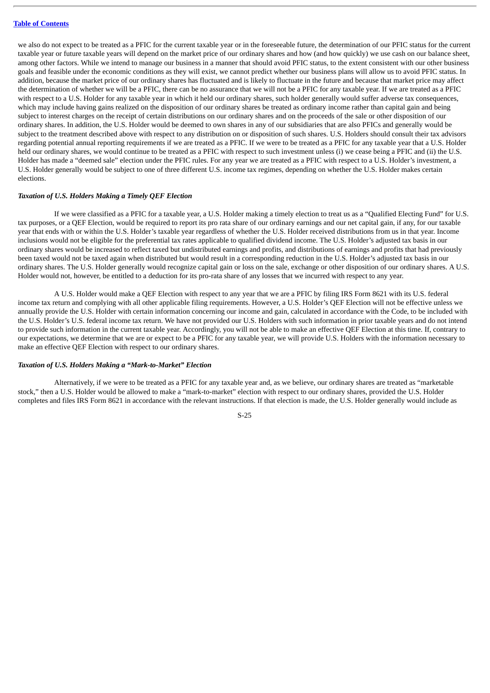we also do not expect to be treated as a PFIC for the current taxable year or in the foreseeable future, the determination of our PFIC status for the current taxable year or future taxable years will depend on the market price of our ordinary shares and how (and how quickly) we use cash on our balance sheet, among other factors. While we intend to manage our business in a manner that should avoid PFIC status, to the extent consistent with our other business goals and feasible under the economic conditions as they will exist, we cannot predict whether our business plans will allow us to avoid PFIC status. In addition, because the market price of our ordinary shares has fluctuated and is likely to fluctuate in the future and because that market price may affect the determination of whether we will be a PFIC, there can be no assurance that we will not be a PFIC for any taxable year. If we are treated as a PFIC with respect to a U.S. Holder for any taxable year in which it held our ordinary shares, such holder generally would suffer adverse tax consequences, which may include having gains realized on the disposition of our ordinary shares be treated as ordinary income rather than capital gain and being subject to interest charges on the receipt of certain distributions on our ordinary shares and on the proceeds of the sale or other disposition of our ordinary shares. In addition, the U.S. Holder would be deemed to own shares in any of our subsidiaries that are also PFICs and generally would be subject to the treatment described above with respect to any distribution on or disposition of such shares. U.S. Holders should consult their tax advisors regarding potential annual reporting requirements if we are treated as a PFIC. If we were to be treated as a PFIC for any taxable year that a U.S. Holder held our ordinary shares, we would continue to be treated as a PFIC with respect to such investment unless (i) we cease being a PFIC and (ii) the U.S. Holder has made a "deemed sale" election under the PFIC rules. For any year we are treated as a PFIC with respect to a U.S. Holder's investment, a U.S. Holder generally would be subject to one of three different U.S. income tax regimes, depending on whether the U.S. Holder makes certain elections.

#### *Taxation of U.S. Holders Making a Timely QEF Election*

If we were classified as a PFIC for a taxable year, a U.S. Holder making a timely election to treat us as a "Qualified Electing Fund" for U.S. tax purposes, or a QEF Election, would be required to report its pro rata share of our ordinary earnings and our net capital gain, if any, for our taxable year that ends with or within the U.S. Holder's taxable year regardless of whether the U.S. Holder received distributions from us in that year. Income inclusions would not be eligible for the preferential tax rates applicable to qualified dividend income. The U.S. Holder's adjusted tax basis in our ordinary shares would be increased to reflect taxed but undistributed earnings and profits, and distributions of earnings and profits that had previously been taxed would not be taxed again when distributed but would result in a corresponding reduction in the U.S. Holder's adjusted tax basis in our ordinary shares. The U.S. Holder generally would recognize capital gain or loss on the sale, exchange or other disposition of our ordinary shares. A U.S. Holder would not, however, be entitled to a deduction for its pro-rata share of any losses that we incurred with respect to any year.

A U.S. Holder would make a QEF Election with respect to any year that we are a PFIC by filing IRS Form 8621 with its U.S. federal income tax return and complying with all other applicable filing requirements. However, a U.S. Holder's QEF Election will not be effective unless we annually provide the U.S. Holder with certain information concerning our income and gain, calculated in accordance with the Code, to be included with the U.S. Holder's U.S. federal income tax return. We have not provided our U.S. Holders with such information in prior taxable years and do not intend to provide such information in the current taxable year. Accordingly, you will not be able to make an effective QEF Election at this time. If, contrary to our expectations, we determine that we are or expect to be a PFIC for any taxable year, we will provide U.S. Holders with the information necessary to make an effective QEF Election with respect to our ordinary shares.

#### *Taxation of U.S. Holders Making a "Mark-to-Market" Election*

Alternatively, if we were to be treated as a PFIC for any taxable year and, as we believe, our ordinary shares are treated as "marketable stock," then a U.S. Holder would be allowed to make a "mark-to-market" election with respect to our ordinary shares, provided the U.S. Holder completes and files IRS Form 8621 in accordance with the relevant instructions. If that election is made, the U.S. Holder generally would include as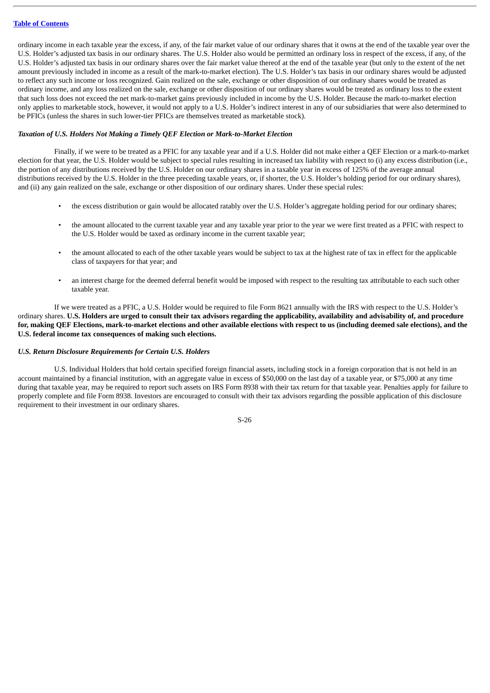ordinary income in each taxable year the excess, if any, of the fair market value of our ordinary shares that it owns at the end of the taxable year over the U.S. Holder's adjusted tax basis in our ordinary shares. The U.S. Holder also would be permitted an ordinary loss in respect of the excess, if any, of the U.S. Holder's adjusted tax basis in our ordinary shares over the fair market value thereof at the end of the taxable year (but only to the extent of the net amount previously included in income as a result of the mark-to-market election). The U.S. Holder's tax basis in our ordinary shares would be adjusted to reflect any such income or loss recognized. Gain realized on the sale, exchange or other disposition of our ordinary shares would be treated as ordinary income, and any loss realized on the sale, exchange or other disposition of our ordinary shares would be treated as ordinary loss to the extent that such loss does not exceed the net mark-to-market gains previously included in income by the U.S. Holder. Because the mark-to-market election only applies to marketable stock, however, it would not apply to a U.S. Holder's indirect interest in any of our subsidiaries that were also determined to be PFICs (unless the shares in such lower-tier PFICs are themselves treated as marketable stock).

#### *Taxation of U.S. Holders Not Making a Timely QEF Election or Mark-to-Market Election*

Finally, if we were to be treated as a PFIC for any taxable year and if a U.S. Holder did not make either a QEF Election or a mark-to-market election for that year, the U.S. Holder would be subject to special rules resulting in increased tax liability with respect to (i) any excess distribution (i.e., the portion of any distributions received by the U.S. Holder on our ordinary shares in a taxable year in excess of 125% of the average annual distributions received by the U.S. Holder in the three preceding taxable years, or, if shorter, the U.S. Holder's holding period for our ordinary shares), and (ii) any gain realized on the sale, exchange or other disposition of our ordinary shares. Under these special rules:

- the excess distribution or gain would be allocated ratably over the U.S. Holder's aggregate holding period for our ordinary shares;
- the amount allocated to the current taxable year and any taxable year prior to the year we were first treated as a PFIC with respect to the U.S. Holder would be taxed as ordinary income in the current taxable year;
- the amount allocated to each of the other taxable years would be subject to tax at the highest rate of tax in effect for the applicable class of taxpayers for that year; and
- an interest charge for the deemed deferral benefit would be imposed with respect to the resulting tax attributable to each such other taxable year.

If we were treated as a PFIC, a U.S. Holder would be required to file Form 8621 annually with the IRS with respect to the U.S. Holder's ordinary shares. U.S. Holders are urged to consult their tax advisors regarding the applicability, availability and advisability of, and procedure for, making QEF Elections, mark-to-market elections and other available elections with respect to us (including deemed sale elections), and the **U.S. federal income tax consequences of making such elections.**

#### *U.S. Return Disclosure Requirements for Certain U.S. Holders*

U.S. Individual Holders that hold certain specified foreign financial assets, including stock in a foreign corporation that is not held in an account maintained by a financial institution, with an aggregate value in excess of \$50,000 on the last day of a taxable year, or \$75,000 at any time during that taxable year, may be required to report such assets on IRS Form 8938 with their tax return for that taxable year. Penalties apply for failure to properly complete and file Form 8938. Investors are encouraged to consult with their tax advisors regarding the possible application of this disclosure requirement to their investment in our ordinary shares.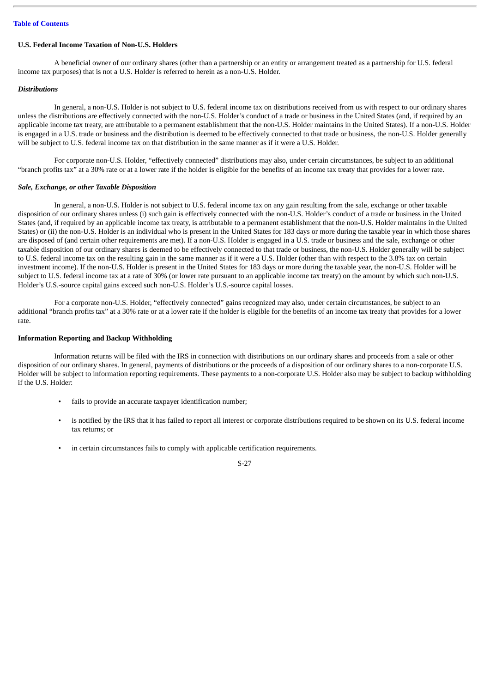#### **Table of [Contents](#page-1-0)**

#### **U.S. Federal Income Taxation of Non-U.S. Holders**

A beneficial owner of our ordinary shares (other than a partnership or an entity or arrangement treated as a partnership for U.S. federal income tax purposes) that is not a U.S. Holder is referred to herein as a non-U.S. Holder.

#### *Distributions*

In general, a non-U.S. Holder is not subject to U.S. federal income tax on distributions received from us with respect to our ordinary shares unless the distributions are effectively connected with the non-U.S. Holder's conduct of a trade or business in the United States (and, if required by an applicable income tax treaty, are attributable to a permanent establishment that the non-U.S. Holder maintains in the United States). If a non-U.S. Holder is engaged in a U.S. trade or business and the distribution is deemed to be effectively connected to that trade or business, the non-U.S. Holder generally will be subject to U.S. federal income tax on that distribution in the same manner as if it were a U.S. Holder.

For corporate non-U.S. Holder, "effectively connected" distributions may also, under certain circumstances, be subject to an additional "branch profits tax" at a 30% rate or at a lower rate if the holder is eligible for the benefits of an income tax treaty that provides for a lower rate.

#### *Sale, Exchange, or other Taxable Disposition*

In general, a non-U.S. Holder is not subject to U.S. federal income tax on any gain resulting from the sale, exchange or other taxable disposition of our ordinary shares unless (i) such gain is effectively connected with the non-U.S. Holder's conduct of a trade or business in the United States (and, if required by an applicable income tax treaty, is attributable to a permanent establishment that the non-U.S. Holder maintains in the United States) or (ii) the non-U.S. Holder is an individual who is present in the United States for 183 days or more during the taxable year in which those shares are disposed of (and certain other requirements are met). If a non-U.S. Holder is engaged in a U.S. trade or business and the sale, exchange or other taxable disposition of our ordinary shares is deemed to be effectively connected to that trade or business, the non-U.S. Holder generally will be subject to U.S. federal income tax on the resulting gain in the same manner as if it were a U.S. Holder (other than with respect to the 3.8% tax on certain investment income). If the non-U.S. Holder is present in the United States for 183 days or more during the taxable year, the non-U.S. Holder will be subject to U.S. federal income tax at a rate of 30% (or lower rate pursuant to an applicable income tax treaty) on the amount by which such non-U.S. Holder's U.S.-source capital gains exceed such non-U.S. Holder's U.S.-source capital losses.

For a corporate non-U.S. Holder, "effectively connected" gains recognized may also, under certain circumstances, be subject to an additional "branch profits tax" at a 30% rate or at a lower rate if the holder is eligible for the benefits of an income tax treaty that provides for a lower rate.

#### **Information Reporting and Backup Withholding**

Information returns will be filed with the IRS in connection with distributions on our ordinary shares and proceeds from a sale or other disposition of our ordinary shares. In general, payments of distributions or the proceeds of a disposition of our ordinary shares to a non-corporate U.S. Holder will be subject to information reporting requirements. These payments to a non-corporate U.S. Holder also may be subject to backup withholding if the U.S. Holder:

- fails to provide an accurate taxpayer identification number;
- is notified by the IRS that it has failed to report all interest or corporate distributions required to be shown on its U.S. federal income tax returns; or
- in certain circumstances fails to comply with applicable certification requirements.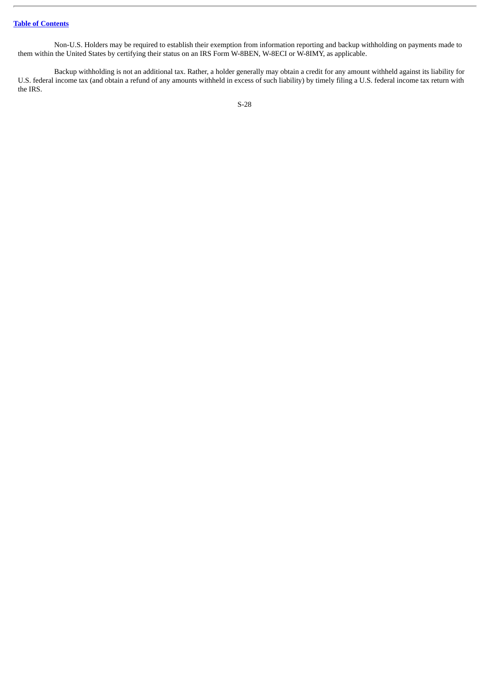Non-U.S. Holders may be required to establish their exemption from information reporting and backup withholding on payments made to them within the United States by certifying their status on an IRS Form W-8BEN, W-8ECI or W-8IMY, as applicable.

Backup withholding is not an additional tax. Rather, a holder generally may obtain a credit for any amount withheld against its liability for U.S. federal income tax (and obtain a refund of any amounts withheld in excess of such liability) by timely filing a U.S. federal income tax return with the IRS.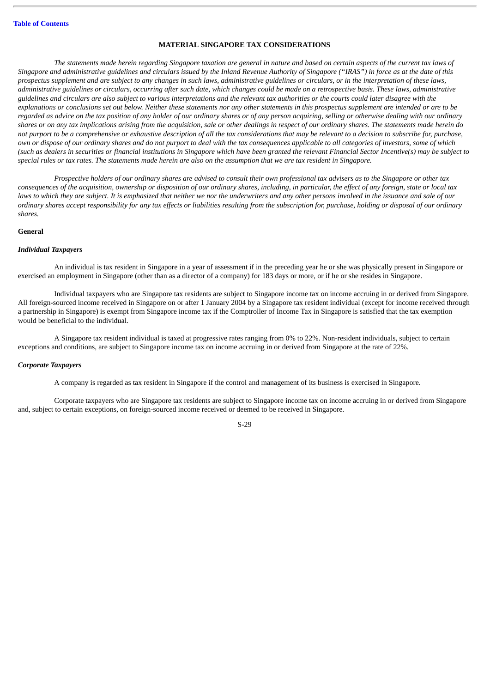#### **MATERIAL SINGAPORE TAX CONSIDERATIONS**

<span id="page-34-0"></span>The statements made herein regarding Singapore taxation are general in nature and based on certain aspects of the current tax laws of Singapore and administrative quidelines and circulars issued by the Inland Revenue Authority of Singapore ("IRAS") in force as at the date of this prospectus supplement and are subject to any changes in such laws, administrative quidelines or circulars, or in the interpretation of these laws, administrative quidelines or circulars, occurring after such date, which changes could be made on a retrospective basis. These laws, administrative guidelines and circulars are also subject to various interpretations and the relevant tax authorities or the courts could later disaaree with the explanations or conclusions set out below. Neither these statements nor any other statements in this prospectus supplement are intended or are to be regarded as advice on the tax position of any holder of our ordinary shares or of any person acquiring, selling or otherwise dealing with our ordinary shares or on any tax implications arising from the acquisition, sale or other dealings in respect of our ordinary shares. The statements made herein do not purport to be a comprehensive or exhaustive description of all the tax considerations that may be relevant to a decision to subscribe for, purchase, own or dispose of our ordinary shares and do not purport to deal with the tax consequences applicable to all categories of investors, some of which (such as dealers in securities or financial institutions in Singapore which have been granted the relevant Financial Sector Incentive(s) may be subject to special rules or tax rates. The statements made herein are also on the assumption that we are tax resident in Singapore.

Prospective holders of our ordinary shares are advised to consult their own professional tax advisers as to the Singapore or other tax consequences of the acquisition, ownership or disposition of our ordinary shares, including, in particular, the effect of any foreign, state or local tax laws to which they are subject. It is emphasized that neither we nor the underwriters and any other persons involved in the issuance and sale of our ordinary shares accept responsibility for any tax effects or liabilities resulting from the subscription for, purchase, holding or disposal of our ordinary *shares.*

#### **General**

#### *Individual Taxpayers*

An individual is tax resident in Singapore in a year of assessment if in the preceding year he or she was physically present in Singapore or exercised an employment in Singapore (other than as a director of a company) for 183 days or more, or if he or she resides in Singapore.

Individual taxpayers who are Singapore tax residents are subject to Singapore income tax on income accruing in or derived from Singapore. All foreign-sourced income received in Singapore on or after 1 January 2004 by a Singapore tax resident individual (except for income received through a partnership in Singapore) is exempt from Singapore income tax if the Comptroller of Income Tax in Singapore is satisfied that the tax exemption would be beneficial to the individual.

A Singapore tax resident individual is taxed at progressive rates ranging from 0% to 22%. Non-resident individuals, subject to certain exceptions and conditions, are subject to Singapore income tax on income accruing in or derived from Singapore at the rate of 22%.

#### *Corporate Taxpayers*

A company is regarded as tax resident in Singapore if the control and management of its business is exercised in Singapore.

Corporate taxpayers who are Singapore tax residents are subject to Singapore income tax on income accruing in or derived from Singapore and, subject to certain exceptions, on foreign-sourced income received or deemed to be received in Singapore.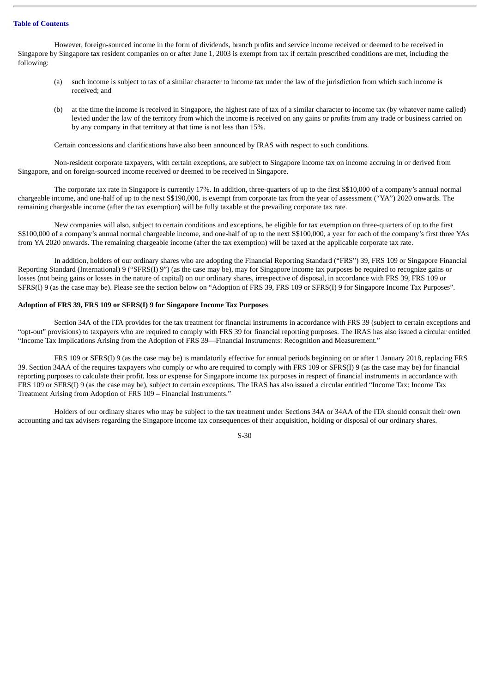However, foreign-sourced income in the form of dividends, branch profits and service income received or deemed to be received in Singapore by Singapore tax resident companies on or after June 1, 2003 is exempt from tax if certain prescribed conditions are met, including the following:

- (a) such income is subject to tax of a similar character to income tax under the law of the jurisdiction from which such income is received; and
- (b) at the time the income is received in Singapore, the highest rate of tax of a similar character to income tax (by whatever name called) levied under the law of the territory from which the income is received on any gains or profits from any trade or business carried on by any company in that territory at that time is not less than 15%.

Certain concessions and clarifications have also been announced by IRAS with respect to such conditions.

Non-resident corporate taxpayers, with certain exceptions, are subject to Singapore income tax on income accruing in or derived from Singapore, and on foreign-sourced income received or deemed to be received in Singapore.

The corporate tax rate in Singapore is currently 17%. In addition, three-quarters of up to the first S\$10,000 of a company's annual normal chargeable income, and one-half of up to the next S\$190,000, is exempt from corporate tax from the year of assessment ("YA") 2020 onwards. The remaining chargeable income (after the tax exemption) will be fully taxable at the prevailing corporate tax rate.

New companies will also, subject to certain conditions and exceptions, be eligible for tax exemption on three-quarters of up to the first S\$100,000 of a company's annual normal chargeable income, and one-half of up to the next S\$100,000, a year for each of the company's first three YAs from YA 2020 onwards. The remaining chargeable income (after the tax exemption) will be taxed at the applicable corporate tax rate.

In addition, holders of our ordinary shares who are adopting the Financial Reporting Standard ("FRS") 39, FRS 109 or Singapore Financial Reporting Standard (International) 9 ("SFRS(I) 9") (as the case may be), may for Singapore income tax purposes be required to recognize gains or losses (not being gains or losses in the nature of capital) on our ordinary shares, irrespective of disposal, in accordance with FRS 39, FRS 109 or SFRS(I) 9 (as the case may be). Please see the section below on "Adoption of FRS 39, FRS 109 or SFRS(I) 9 for Singapore Income Tax Purposes".

#### **Adoption of FRS 39, FRS 109 or SFRS(I) 9 for Singapore Income Tax Purposes**

Section 34A of the ITA provides for the tax treatment for financial instruments in accordance with FRS 39 (subject to certain exceptions and "opt-out" provisions) to taxpayers who are required to comply with FRS 39 for financial reporting purposes. The IRAS has also issued a circular entitled "Income Tax Implications Arising from the Adoption of FRS 39—Financial Instruments: Recognition and Measurement."

FRS 109 or SFRS(I) 9 (as the case may be) is mandatorily effective for annual periods beginning on or after 1 January 2018, replacing FRS 39. Section 34AA of the requires taxpayers who comply or who are required to comply with FRS 109 or SFRS(I) 9 (as the case may be) for financial reporting purposes to calculate their profit, loss or expense for Singapore income tax purposes in respect of financial instruments in accordance with FRS 109 or SFRS(I) 9 (as the case may be), subject to certain exceptions. The IRAS has also issued a circular entitled "Income Tax: Income Tax Treatment Arising from Adoption of FRS 109 – Financial Instruments."

Holders of our ordinary shares who may be subject to the tax treatment under Sections 34A or 34AA of the ITA should consult their own accounting and tax advisers regarding the Singapore income tax consequences of their acquisition, holding or disposal of our ordinary shares.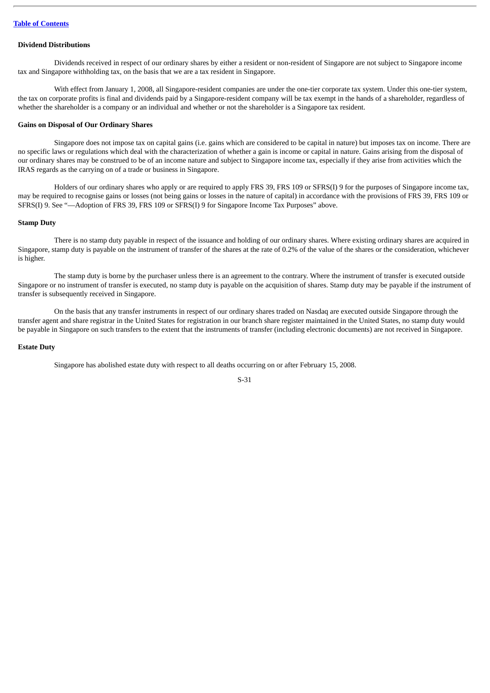## **Dividend Distributions**

Dividends received in respect of our ordinary shares by either a resident or non-resident of Singapore are not subject to Singapore income tax and Singapore withholding tax, on the basis that we are a tax resident in Singapore.

With effect from January 1, 2008, all Singapore-resident companies are under the one-tier corporate tax system. Under this one-tier system, the tax on corporate profits is final and dividends paid by a Singapore-resident company will be tax exempt in the hands of a shareholder, regardless of whether the shareholder is a company or an individual and whether or not the shareholder is a Singapore tax resident.

## **Gains on Disposal of Our Ordinary Shares**

Singapore does not impose tax on capital gains (i.e. gains which are considered to be capital in nature) but imposes tax on income. There are no specific laws or regulations which deal with the characterization of whether a gain is income or capital in nature. Gains arising from the disposal of our ordinary shares may be construed to be of an income nature and subject to Singapore income tax, especially if they arise from activities which the IRAS regards as the carrying on of a trade or business in Singapore.

Holders of our ordinary shares who apply or are required to apply FRS 39, FRS 109 or SFRS(I) 9 for the purposes of Singapore income tax, may be required to recognise gains or losses (not being gains or losses in the nature of capital) in accordance with the provisions of FRS 39, FRS 109 or SFRS(I) 9. See "—Adoption of FRS 39, FRS 109 or SFRS(I) 9 for Singapore Income Tax Purposes" above.

## **Stamp Duty**

There is no stamp duty payable in respect of the issuance and holding of our ordinary shares. Where existing ordinary shares are acquired in Singapore, stamp duty is payable on the instrument of transfer of the shares at the rate of 0.2% of the value of the shares or the consideration, whichever is higher.

The stamp duty is borne by the purchaser unless there is an agreement to the contrary. Where the instrument of transfer is executed outside Singapore or no instrument of transfer is executed, no stamp duty is payable on the acquisition of shares. Stamp duty may be payable if the instrument of transfer is subsequently received in Singapore.

On the basis that any transfer instruments in respect of our ordinary shares traded on Nasdaq are executed outside Singapore through the transfer agent and share registrar in the United States for registration in our branch share register maintained in the United States, no stamp duty would be payable in Singapore on such transfers to the extent that the instruments of transfer (including electronic documents) are not received in Singapore.

#### **Estate Duty**

Singapore has abolished estate duty with respect to all deaths occurring on or after February 15, 2008.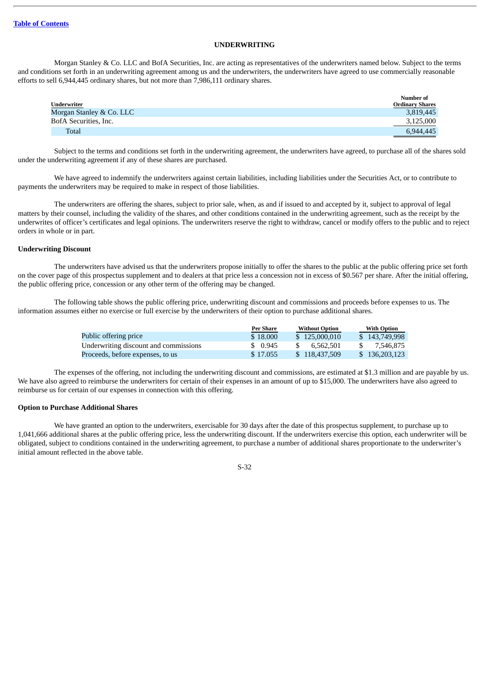## **UNDERWRITING**

Morgan Stanley & Co. LLC and BofA Securities, Inc. are acting as representatives of the underwriters named below. Subject to the terms and conditions set forth in an underwriting agreement among us and the underwriters, the underwriters have agreed to use commercially reasonable efforts to sell 6,944,445 ordinary shares, but not more than 7,986,111 ordinary shares.

| Underwriter              | Number of<br>Ordinary Shares |
|--------------------------|------------------------------|
| Morgan Stanley & Co. LLC | 3,819,445                    |
| BofA Securities, Inc.    | 3,125,000                    |
| Total                    | 6,944,445                    |

Subject to the terms and conditions set forth in the underwriting agreement, the underwriters have agreed, to purchase all of the shares sold under the underwriting agreement if any of these shares are purchased.

We have agreed to indemnify the underwriters against certain liabilities, including liabilities under the Securities Act, or to contribute to payments the underwriters may be required to make in respect of those liabilities.

The underwriters are offering the shares, subject to prior sale, when, as and if issued to and accepted by it, subject to approval of legal matters by their counsel, including the validity of the shares, and other conditions contained in the underwriting agreement, such as the receipt by the underwrites of officer's certificates and legal opinions. The underwriters reserve the right to withdraw, cancel or modify offers to the public and to reject orders in whole or in part.

## **Underwriting Discount**

The underwriters have advised us that the underwriters propose initially to offer the shares to the public at the public offering price set forth on the cover page of this prospectus supplement and to dealers at that price less a concession not in excess of \$0.567 per share. After the initial offering, the public offering price, concession or any other term of the offering may be changed.

The following table shows the public offering price, underwriting discount and commissions and proceeds before expenses to us. The information assumes either no exercise or full exercise by the underwriters of their option to purchase additional shares.

|                                       | Per Share | <b>Without Option</b> | <b>With Option</b> |
|---------------------------------------|-----------|-----------------------|--------------------|
| Public offering price                 | \$18,000  | \$125,000,010         | \$143,749,998      |
| Underwriting discount and commissions | \$0.945   | 6.562.501             | 7.546.875          |
| Proceeds, before expenses, to us      | \$17.055  | \$118,437,509         | \$136,203,123      |

The expenses of the offering, not including the underwriting discount and commissions, are estimated at \$1.3 million and are payable by us. We have also agreed to reimburse the underwriters for certain of their expenses in an amount of up to \$15,000. The underwriters have also agreed to reimburse us for certain of our expenses in connection with this offering.

#### **Option to Purchase Additional Shares**

We have granted an option to the underwriters, exercisable for 30 days after the date of this prospectus supplement, to purchase up to 1,041,666 additional shares at the public offering price, less the underwriting discount. If the underwriters exercise this option, each underwriter will be obligated, subject to conditions contained in the underwriting agreement, to purchase a number of additional shares proportionate to the underwriter's initial amount reflected in the above table.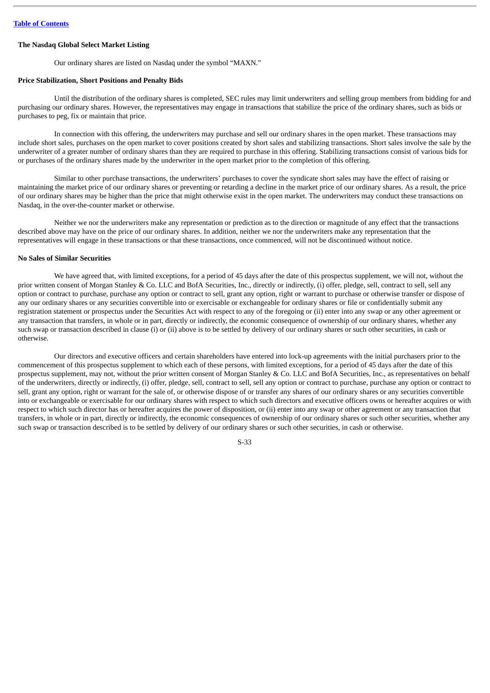## **The Nasdaq Global Select Market Listing**

Our ordinary shares are listed on Nasdaq under the symbol "MAXN."

## **Price Stabilization, Short Positions and Penalty Bids**

Until the distribution of the ordinary shares is completed, SEC rules may limit underwriters and selling group members from bidding for and purchasing our ordinary shares. However, the representatives may engage in transactions that stabilize the price of the ordinary shares, such as bids or purchases to peg, fix or maintain that price.

In connection with this offering, the underwriters may purchase and sell our ordinary shares in the open market. These transactions may include short sales, purchases on the open market to cover positions created by short sales and stabilizing transactions. Short sales involve the sale by the underwriter of a greater number of ordinary shares than they are required to purchase in this offering. Stabilizing transactions consist of various bids for or purchases of the ordinary shares made by the underwriter in the open market prior to the completion of this offering.

Similar to other purchase transactions, the underwriters' purchases to cover the syndicate short sales may have the effect of raising or maintaining the market price of our ordinary shares or preventing or retarding a decline in the market price of our ordinary shares. As a result, the price of our ordinary shares may be higher than the price that might otherwise exist in the open market. The underwriters may conduct these transactions on Nasdaq, in the over-the-counter market or otherwise.

Neither we nor the underwriters make any representation or prediction as to the direction or magnitude of any effect that the transactions described above may have on the price of our ordinary shares. In addition, neither we nor the underwriters make any representation that the representatives will engage in these transactions or that these transactions, once commenced, will not be discontinued without notice.

## **No Sales of Similar Securities**

We have agreed that, with limited exceptions, for a period of 45 days after the date of this prospectus supplement, we will not, without the prior written consent of Morgan Stanley & Co. LLC and BofA Securities, Inc., directly or indirectly, (i) offer, pledge, sell, contract to sell, sell any option or contract to purchase, purchase any option or contract to sell, grant any option, right or warrant to purchase or otherwise transfer or dispose of any our ordinary shares or any securities convertible into or exercisable or exchangeable for ordinary shares or file or confidentially submit any registration statement or prospectus under the Securities Act with respect to any of the foregoing or (ii) enter into any swap or any other agreement or any transaction that transfers, in whole or in part, directly or indirectly, the economic consequence of ownership of our ordinary shares, whether any such swap or transaction described in clause (i) or (ii) above is to be settled by delivery of our ordinary shares or such other securities, in cash or otherwise.

Our directors and executive officers and certain shareholders have entered into lock-up agreements with the initial purchasers prior to the commencement of this prospectus supplement to which each of these persons, with limited exceptions, for a period of 45 days after the date of this prospectus supplement, may not, without the prior written consent of Morgan Stanley & Co. LLC and BofA Securities, Inc., as representatives on behalf of the underwriters, directly or indirectly, (i) offer, pledge, sell, contract to sell, sell any option or contract to purchase, purchase any option or contract to sell, grant any option, right or warrant for the sale of, or otherwise dispose of or transfer any shares of our ordinary shares or any securities convertible into or exchangeable or exercisable for our ordinary shares with respect to which such directors and executive officers owns or hereafter acquires or with respect to which such director has or hereafter acquires the power of disposition, or (ii) enter into any swap or other agreement or any transaction that transfers, in whole or in part, directly or indirectly, the economic consequences of ownership of our ordinary shares or such other securities, whether any such swap or transaction described is to be settled by delivery of our ordinary shares or such other securities, in cash or otherwise.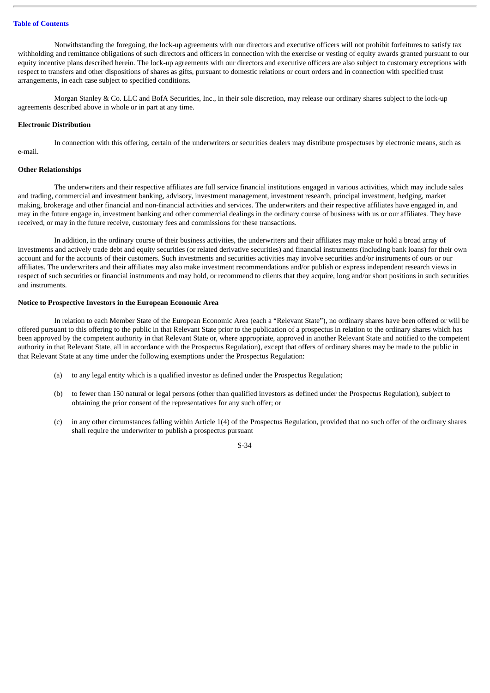Notwithstanding the foregoing, the lock-up agreements with our directors and executive officers will not prohibit forfeitures to satisfy tax withholding and remittance obligations of such directors and officers in connection with the exercise or vesting of equity awards granted pursuant to our equity incentive plans described herein. The lock-up agreements with our directors and executive officers are also subject to customary exceptions with respect to transfers and other dispositions of shares as gifts, pursuant to domestic relations or court orders and in connection with specified trust arrangements, in each case subject to specified conditions.

Morgan Stanley & Co. LLC and BofA Securities, Inc., in their sole discretion, may release our ordinary shares subject to the lock-up agreements described above in whole or in part at any time.

#### **Electronic Distribution**

In connection with this offering, certain of the underwriters or securities dealers may distribute prospectuses by electronic means, such as e-mail.

## **Other Relationships**

The underwriters and their respective affiliates are full service financial institutions engaged in various activities, which may include sales and trading, commercial and investment banking, advisory, investment management, investment research, principal investment, hedging, market making, brokerage and other financial and non-financial activities and services. The underwriters and their respective affiliates have engaged in, and may in the future engage in, investment banking and other commercial dealings in the ordinary course of business with us or our affiliates. They have received, or may in the future receive, customary fees and commissions for these transactions.

In addition, in the ordinary course of their business activities, the underwriters and their affiliates may make or hold a broad array of investments and actively trade debt and equity securities (or related derivative securities) and financial instruments (including bank loans) for their own account and for the accounts of their customers. Such investments and securities activities may involve securities and/or instruments of ours or our affiliates. The underwriters and their affiliates may also make investment recommendations and/or publish or express independent research views in respect of such securities or financial instruments and may hold, or recommend to clients that they acquire, long and/or short positions in such securities and instruments.

## **Notice to Prospective Investors in the European Economic Area**

In relation to each Member State of the European Economic Area (each a "Relevant State"), no ordinary shares have been offered or will be offered pursuant to this offering to the public in that Relevant State prior to the publication of a prospectus in relation to the ordinary shares which has been approved by the competent authority in that Relevant State or, where appropriate, approved in another Relevant State and notified to the competent authority in that Relevant State, all in accordance with the Prospectus Regulation), except that offers of ordinary shares may be made to the public in that Relevant State at any time under the following exemptions under the Prospectus Regulation:

- (a) to any legal entity which is a qualified investor as defined under the Prospectus Regulation;
- (b) to fewer than 150 natural or legal persons (other than qualified investors as defined under the Prospectus Regulation), subject to obtaining the prior consent of the representatives for any such offer; or
- (c) in any other circumstances falling within Article 1(4) of the Prospectus Regulation, provided that no such offer of the ordinary shares shall require the underwriter to publish a prospectus pursuant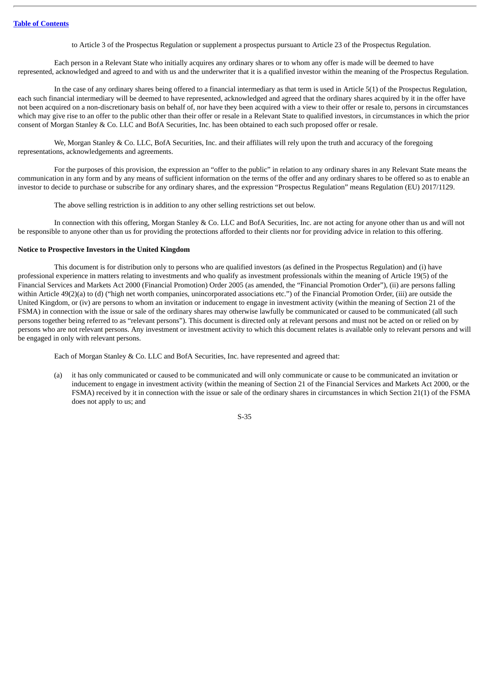to Article 3 of the Prospectus Regulation or supplement a prospectus pursuant to Article 23 of the Prospectus Regulation.

Each person in a Relevant State who initially acquires any ordinary shares or to whom any offer is made will be deemed to have represented, acknowledged and agreed to and with us and the underwriter that it is a qualified investor within the meaning of the Prospectus Regulation.

In the case of any ordinary shares being offered to a financial intermediary as that term is used in Article 5(1) of the Prospectus Regulation, each such financial intermediary will be deemed to have represented, acknowledged and agreed that the ordinary shares acquired by it in the offer have not been acquired on a non-discretionary basis on behalf of, nor have they been acquired with a view to their offer or resale to, persons in circumstances which may give rise to an offer to the public other than their offer or resale in a Relevant State to qualified investors, in circumstances in which the prior consent of Morgan Stanley & Co. LLC and BofA Securities, Inc. has been obtained to each such proposed offer or resale.

We, Morgan Stanley & Co. LLC, BofA Securities, Inc. and their affiliates will rely upon the truth and accuracy of the foregoing representations, acknowledgements and agreements.

For the purposes of this provision, the expression an "offer to the public" in relation to any ordinary shares in any Relevant State means the communication in any form and by any means of sufficient information on the terms of the offer and any ordinary shares to be offered so as to enable an investor to decide to purchase or subscribe for any ordinary shares, and the expression "Prospectus Regulation" means Regulation (EU) 2017/1129.

The above selling restriction is in addition to any other selling restrictions set out below.

In connection with this offering, Morgan Stanley & Co. LLC and BofA Securities, Inc. are not acting for anyone other than us and will not be responsible to anyone other than us for providing the protections afforded to their clients nor for providing advice in relation to this offering.

## **Notice to Prospective Investors in the United Kingdom**

This document is for distribution only to persons who are qualified investors (as defined in the Prospectus Regulation) and (i) have professional experience in matters relating to investments and who qualify as investment professionals within the meaning of Article 19(5) of the Financial Services and Markets Act 2000 (Financial Promotion) Order 2005 (as amended, the "Financial Promotion Order"), (ii) are persons falling within Article 49(2)(a) to (d) ("high net worth companies, unincorporated associations etc.") of the Financial Promotion Order, (iii) are outside the United Kingdom, or (iv) are persons to whom an invitation or inducement to engage in investment activity (within the meaning of Section 21 of the FSMA) in connection with the issue or sale of the ordinary shares may otherwise lawfully be communicated or caused to be communicated (all such persons together being referred to as "relevant persons"). This document is directed only at relevant persons and must not be acted on or relied on by persons who are not relevant persons. Any investment or investment activity to which this document relates is available only to relevant persons and will be engaged in only with relevant persons.

Each of Morgan Stanley & Co. LLC and BofA Securities, Inc. have represented and agreed that:

(a) it has only communicated or caused to be communicated and will only communicate or cause to be communicated an invitation or inducement to engage in investment activity (within the meaning of Section 21 of the Financial Services and Markets Act 2000, or the FSMA) received by it in connection with the issue or sale of the ordinary shares in circumstances in which Section 21(1) of the FSMA does not apply to us; and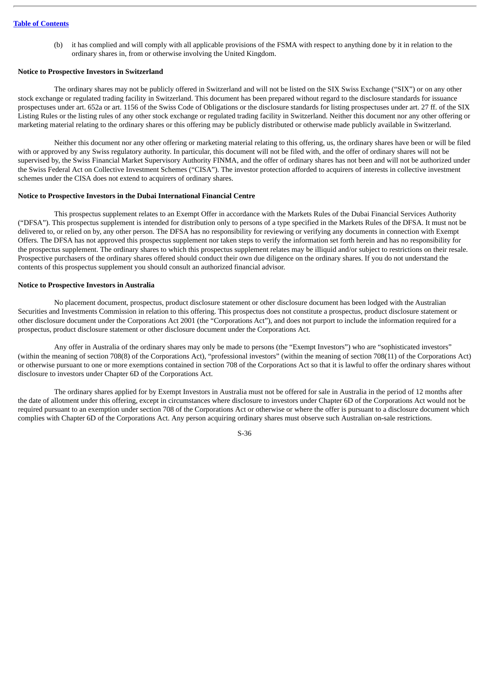(b) it has complied and will comply with all applicable provisions of the FSMA with respect to anything done by it in relation to the ordinary shares in, from or otherwise involving the United Kingdom.

## **Notice to Prospective Investors in Switzerland**

The ordinary shares may not be publicly offered in Switzerland and will not be listed on the SIX Swiss Exchange ("SIX") or on any other stock exchange or regulated trading facility in Switzerland. This document has been prepared without regard to the disclosure standards for issuance prospectuses under art. 652a or art. 1156 of the Swiss Code of Obligations or the disclosure standards for listing prospectuses under art. 27 ff. of the SIX Listing Rules or the listing rules of any other stock exchange or regulated trading facility in Switzerland. Neither this document nor any other offering or marketing material relating to the ordinary shares or this offering may be publicly distributed or otherwise made publicly available in Switzerland.

Neither this document nor any other offering or marketing material relating to this offering, us, the ordinary shares have been or will be filed with or approved by any Swiss regulatory authority. In particular, this document will not be filed with, and the offer of ordinary shares will not be supervised by, the Swiss Financial Market Supervisory Authority FINMA, and the offer of ordinary shares has not been and will not be authorized under the Swiss Federal Act on Collective Investment Schemes ("CISA"). The investor protection afforded to acquirers of interests in collective investment schemes under the CISA does not extend to acquirers of ordinary shares.

#### **Notice to Prospective Investors in the Dubai International Financial Centre**

This prospectus supplement relates to an Exempt Offer in accordance with the Markets Rules of the Dubai Financial Services Authority ("DFSA"). This prospectus supplement is intended for distribution only to persons of a type specified in the Markets Rules of the DFSA. It must not be delivered to, or relied on by, any other person. The DFSA has no responsibility for reviewing or verifying any documents in connection with Exempt Offers. The DFSA has not approved this prospectus supplement nor taken steps to verify the information set forth herein and has no responsibility for the prospectus supplement. The ordinary shares to which this prospectus supplement relates may be illiquid and/or subject to restrictions on their resale. Prospective purchasers of the ordinary shares offered should conduct their own due diligence on the ordinary shares. If you do not understand the contents of this prospectus supplement you should consult an authorized financial advisor.

## **Notice to Prospective Investors in Australia**

No placement document, prospectus, product disclosure statement or other disclosure document has been lodged with the Australian Securities and Investments Commission in relation to this offering. This prospectus does not constitute a prospectus, product disclosure statement or other disclosure document under the Corporations Act 2001 (the "Corporations Act"), and does not purport to include the information required for a prospectus, product disclosure statement or other disclosure document under the Corporations Act.

Any offer in Australia of the ordinary shares may only be made to persons (the "Exempt Investors") who are "sophisticated investors" (within the meaning of section 708(8) of the Corporations Act), "professional investors" (within the meaning of section 708(11) of the Corporations Act) or otherwise pursuant to one or more exemptions contained in section 708 of the Corporations Act so that it is lawful to offer the ordinary shares without disclosure to investors under Chapter 6D of the Corporations Act.

The ordinary shares applied for by Exempt Investors in Australia must not be offered for sale in Australia in the period of 12 months after the date of allotment under this offering, except in circumstances where disclosure to investors under Chapter 6D of the Corporations Act would not be required pursuant to an exemption under section 708 of the Corporations Act or otherwise or where the offer is pursuant to a disclosure document which complies with Chapter 6D of the Corporations Act. Any person acquiring ordinary shares must observe such Australian on-sale restrictions.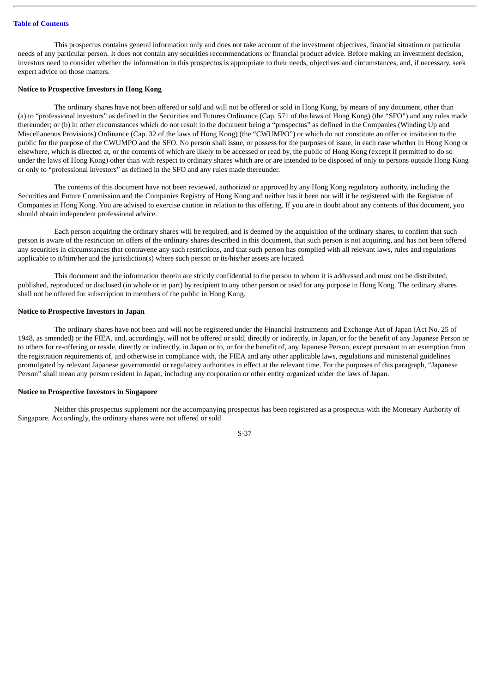This prospectus contains general information only and does not take account of the investment objectives, financial situation or particular needs of any particular person. It does not contain any securities recommendations or financial product advice. Before making an investment decision, investors need to consider whether the information in this prospectus is appropriate to their needs, objectives and circumstances, and, if necessary, seek expert advice on those matters.

#### **Notice to Prospective Investors in Hong Kong**

The ordinary shares have not been offered or sold and will not be offered or sold in Hong Kong, by means of any document, other than (a) to "professional investors" as defined in the Securities and Futures Ordinance (Cap. 571 of the laws of Hong Kong) (the "SFO") and any rules made thereunder; or (b) in other circumstances which do not result in the document being a "prospectus" as defined in the Companies (Winding Up and Miscellaneous Provisions) Ordinance (Cap. 32 of the laws of Hong Kong) (the "CWUMPO") or which do not constitute an offer or invitation to the public for the purpose of the CWUMPO and the SFO. No person shall issue, or possess for the purposes of issue, in each case whether in Hong Kong or elsewhere, which is directed at, or the contents of which are likely to be accessed or read by, the public of Hong Kong (except if permitted to do so under the laws of Hong Kong) other than with respect to ordinary shares which are or are intended to be disposed of only to persons outside Hong Kong or only to "professional investors" as defined in the SFO and any rules made thereunder.

The contents of this document have not been reviewed, authorized or approved by any Hong Kong regulatory authority, including the Securities and Future Commission and the Companies Registry of Hong Kong and neither has it been nor will it be registered with the Registrar of Companies in Hong Kong. You are advised to exercise caution in relation to this offering. If you are in doubt about any contents of this document, you should obtain independent professional advice.

Each person acquiring the ordinary shares will be required, and is deemed by the acquisition of the ordinary shares, to confirm that such person is aware of the restriction on offers of the ordinary shares described in this document, that such person is not acquiring, and has not been offered any securities in circumstances that contravene any such restrictions, and that such person has complied with all relevant laws, rules and regulations applicable to it/him/her and the jurisdiction(s) where such person or its/his/her assets are located.

This document and the information therein are strictly confidential to the person to whom it is addressed and must not be distributed, published, reproduced or disclosed (in whole or in part) by recipient to any other person or used for any purpose in Hong Kong. The ordinary shares shall not be offered for subscription to members of the public in Hong Kong.

#### **Notice to Prospective Investors in Japan**

The ordinary shares have not been and will not be registered under the Financial Instruments and Exchange Act of Japan (Act No. 25 of 1948, as amended) or the FIEA, and, accordingly, will not be offered or sold, directly or indirectly, in Japan, or for the benefit of any Japanese Person or to others for re-offering or resale, directly or indirectly, in Japan or to, or for the benefit of, any Japanese Person, except pursuant to an exemption from the registration requirements of, and otherwise in compliance with, the FIEA and any other applicable laws, regulations and ministerial guidelines promulgated by relevant Japanese governmental or regulatory authorities in effect at the relevant time. For the purposes of this paragraph, "Japanese Person" shall mean any person resident in Japan, including any corporation or other entity organized under the laws of Japan.

## **Notice to Prospective Investors in Singapore**

Neither this prospectus supplement nor the accompanying prospectus has been registered as a prospectus with the Monetary Authority of Singapore. Accordingly, the ordinary shares were not offered or sold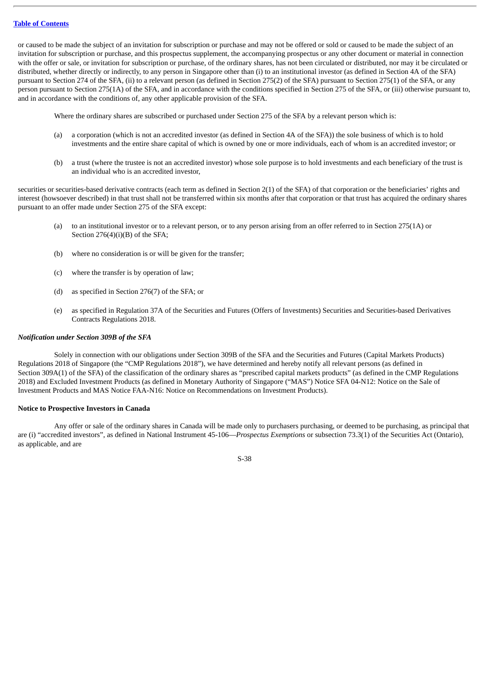or caused to be made the subject of an invitation for subscription or purchase and may not be offered or sold or caused to be made the subject of an invitation for subscription or purchase, and this prospectus supplement, the accompanying prospectus or any other document or material in connection with the offer or sale, or invitation for subscription or purchase, of the ordinary shares, has not been circulated or distributed, nor may it be circulated or distributed, whether directly or indirectly, to any person in Singapore other than (i) to an institutional investor (as defined in Section 4A of the SFA) pursuant to Section 274 of the SFA, (ii) to a relevant person (as defined in Section 275(2) of the SFA) pursuant to Section 275(1) of the SFA, or any person pursuant to Section 275(1A) of the SFA, and in accordance with the conditions specified in Section 275 of the SFA, or (iii) otherwise pursuant to, and in accordance with the conditions of, any other applicable provision of the SFA.

Where the ordinary shares are subscribed or purchased under Section 275 of the SFA by a relevant person which is:

- (a) a corporation (which is not an accredited investor (as defined in Section 4A of the SFA)) the sole business of which is to hold investments and the entire share capital of which is owned by one or more individuals, each of whom is an accredited investor; or
- (b) a trust (where the trustee is not an accredited investor) whose sole purpose is to hold investments and each beneficiary of the trust is an individual who is an accredited investor,

securities or securities-based derivative contracts (each term as defined in Section 2(1) of the SFA) of that corporation or the beneficiaries' rights and interest (howsoever described) in that trust shall not be transferred within six months after that corporation or that trust has acquired the ordinary shares pursuant to an offer made under Section 275 of the SFA except:

- (a) to an institutional investor or to a relevant person, or to any person arising from an offer referred to in Section 275(1A) or Section 276(4)(i)(B) of the SFA;
- (b) where no consideration is or will be given for the transfer;
- (c) where the transfer is by operation of law;
- (d) as specified in Section 276(7) of the SFA; or
- (e) as specified in Regulation 37A of the Securities and Futures (Offers of Investments) Securities and Securities-based Derivatives Contracts Regulations 2018.

#### *Notification under Section 309B of the SFA*

Solely in connection with our obligations under Section 309B of the SFA and the Securities and Futures (Capital Markets Products) Regulations 2018 of Singapore (the "CMP Regulations 2018"), we have determined and hereby notify all relevant persons (as defined in Section 309A(1) of the SFA) of the classification of the ordinary shares as "prescribed capital markets products" (as defined in the CMP Regulations 2018) and Excluded Investment Products (as defined in Monetary Authority of Singapore ("MAS") Notice SFA 04-N12: Notice on the Sale of Investment Products and MAS Notice FAA-N16: Notice on Recommendations on Investment Products).

## **Notice to Prospective Investors in Canada**

Any offer or sale of the ordinary shares in Canada will be made only to purchasers purchasing, or deemed to be purchasing, as principal that are (i) "accredited investors", as defined in National Instrument 45-106—*Prospectus Exemptions* or subsection 73.3(1) of the Securities Act (Ontario), as applicable, and are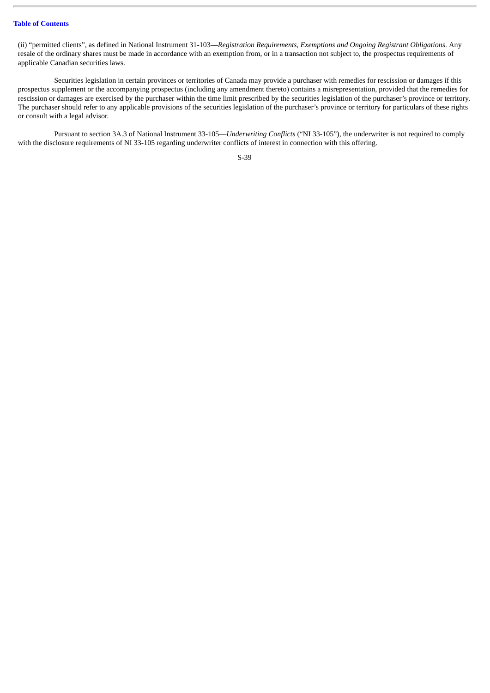(ii) "permitted clients", as defined in National Instrument 31-103—*Registration Requirements, Exemptions and Ongoing Registrant Obligations*. Any resale of the ordinary shares must be made in accordance with an exemption from, or in a transaction not subject to, the prospectus requirements of applicable Canadian securities laws.

Securities legislation in certain provinces or territories of Canada may provide a purchaser with remedies for rescission or damages if this prospectus supplement or the accompanying prospectus (including any amendment thereto) contains a misrepresentation, provided that the remedies for rescission or damages are exercised by the purchaser within the time limit prescribed by the securities legislation of the purchaser's province or territory. The purchaser should refer to any applicable provisions of the securities legislation of the purchaser's province or territory for particulars of these rights or consult with a legal advisor.

Pursuant to section 3A.3 of National Instrument 33-105—*Underwriting Conflicts* ("NI 33-105"), the underwriter is not required to comply with the disclosure requirements of NI 33-105 regarding underwriter conflicts of interest in connection with this offering.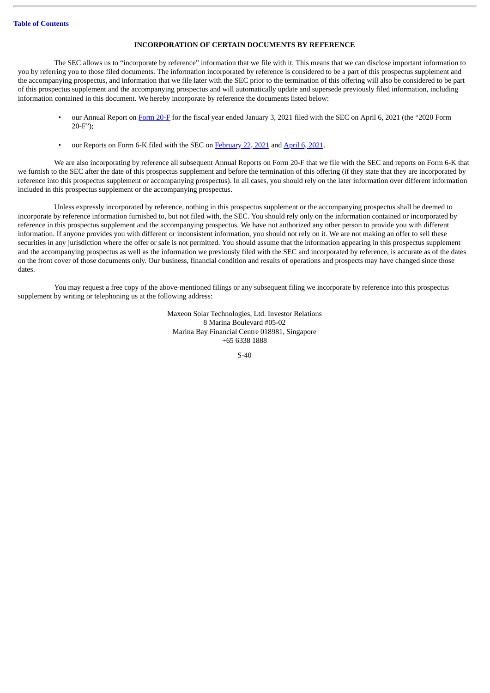## **INCORPORATION OF CERTAIN DOCUMENTS BY REFERENCE**

The SEC allows us to "incorporate by reference" information that we file with it. This means that we can disclose important information to you by referring you to those filed documents. The information incorporated by reference is considered to be a part of this prospectus supplement and the accompanying prospectus, and information that we file later with the SEC prior to the termination of this offering will also be considered to be part of this prospectus supplement and the accompanying prospectus and will automatically update and supersede previously filed information, including information contained in this document. We hereby incorporate by reference the documents listed below:

- our Annual Report on [Form](http://www.sec.gov/ix?doc=/Archives/edgar/data/1796898/000179689821000016/maxn-20210103.htm) 20-F for the fiscal year ended January 3, 2021 filed with the SEC on April 6, 2021 (the "2020 Form 20-F");
- our Reports on Form 6-K filed with the SEC on [February](http://www.sec.gov/Archives/edgar/data/1796898/000179689821000003/cover.htm) 22, 2021 and [April](http://www.sec.gov/Archives/edgar/data/0001796898/000179689821000014/cover-q420.htm) 6, 2021.

We are also incorporating by reference all subsequent Annual Reports on Form 20-F that we file with the SEC and reports on Form 6-K that we furnish to the SEC after the date of this prospectus supplement and before the termination of this offering (if they state that they are incorporated by reference into this prospectus supplement or accompanying prospectus). In all cases, you should rely on the later information over different information included in this prospectus supplement or the accompanying prospectus.

Unless expressly incorporated by reference, nothing in this prospectus supplement or the accompanying prospectus shall be deemed to incorporate by reference information furnished to, but not filed with, the SEC. You should rely only on the information contained or incorporated by reference in this prospectus supplement and the accompanying prospectus. We have not authorized any other person to provide you with different information. If anyone provides you with different or inconsistent information, you should not rely on it. We are not making an offer to sell these securities in any jurisdiction where the offer or sale is not permitted. You should assume that the information appearing in this prospectus supplement and the accompanying prospectus as well as the information we previously filed with the SEC and incorporated by reference, is accurate as of the dates on the front cover of those documents only. Our business, financial condition and results of operations and prospects may have changed since those dates.

You may request a free copy of the above-mentioned filings or any subsequent filing we incorporate by reference into this prospectus supplement by writing or telephoning us at the following address:

> Maxeon Solar Technologies, Ltd. Investor Relations 8 Marina Boulevard #05-02 Marina Bay Financial Centre 018981, Singapore +65 6338 1888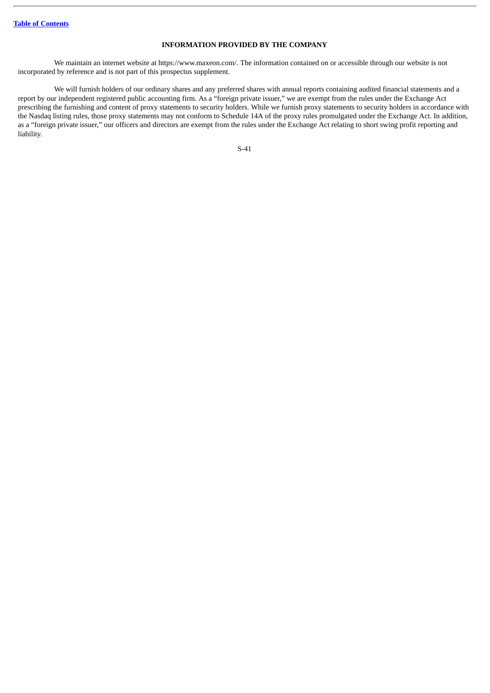## **INFORMATION PROVIDED BY THE COMPANY**

We maintain an internet website at https://www.maxeon.com/. The information contained on or accessible through our website is not incorporated by reference and is not part of this prospectus supplement.

We will furnish holders of our ordinary shares and any preferred shares with annual reports containing audited financial statements and a report by our independent registered public accounting firm. As a "foreign private issuer," we are exempt from the rules under the Exchange Act prescribing the furnishing and content of proxy statements to security holders. While we furnish proxy statements to security holders in accordance with the Nasdaq listing rules, those proxy statements may not conform to Schedule 14A of the proxy rules promulgated under the Exchange Act. In addition, as a "foreign private issuer," our officers and directors are exempt from the rules under the Exchange Act relating to short swing profit reporting and liability.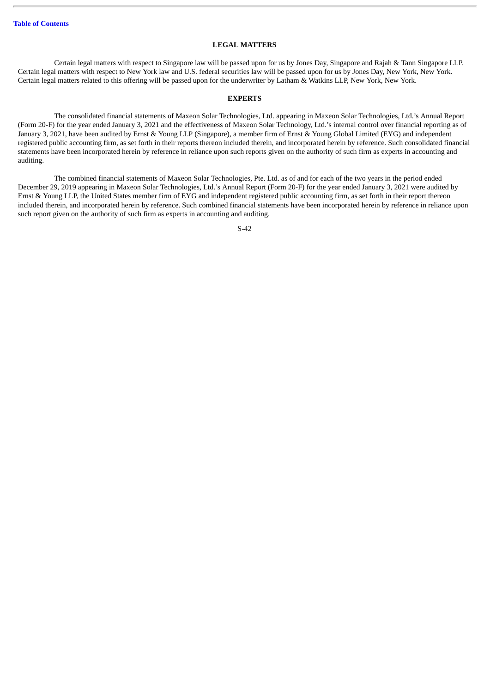## **LEGAL MATTERS**

Certain legal matters with respect to Singapore law will be passed upon for us by Jones Day, Singapore and Rajah & Tann Singapore LLP. Certain legal matters with respect to New York law and U.S. federal securities law will be passed upon for us by Jones Day, New York, New York. Certain legal matters related to this offering will be passed upon for the underwriter by Latham & Watkins LLP, New York, New York.

#### **EXPERTS**

The consolidated financial statements of Maxeon Solar Technologies, Ltd. appearing in Maxeon Solar Technologies, Ltd.'s Annual Report (Form 20-F) for the year ended January 3, 2021 and the effectiveness of Maxeon Solar Technology, Ltd.'s internal control over financial reporting as of January 3, 2021, have been audited by Ernst & Young LLP (Singapore), a member firm of Ernst & Young Global Limited (EYG) and independent registered public accounting firm, as set forth in their reports thereon included therein, and incorporated herein by reference. Such consolidated financial statements have been incorporated herein by reference in reliance upon such reports given on the authority of such firm as experts in accounting and auditing.

The combined financial statements of Maxeon Solar Technologies, Pte. Ltd. as of and for each of the two years in the period ended December 29, 2019 appearing in Maxeon Solar Technologies, Ltd.'s Annual Report (Form 20-F) for the year ended January 3, 2021 were audited by Ernst & Young LLP, the United States member firm of EYG and independent registered public accounting firm, as set forth in their report thereon included therein, and incorporated herein by reference. Such combined financial statements have been incorporated herein by reference in reliance upon such report given on the authority of such firm as experts in accounting and auditing.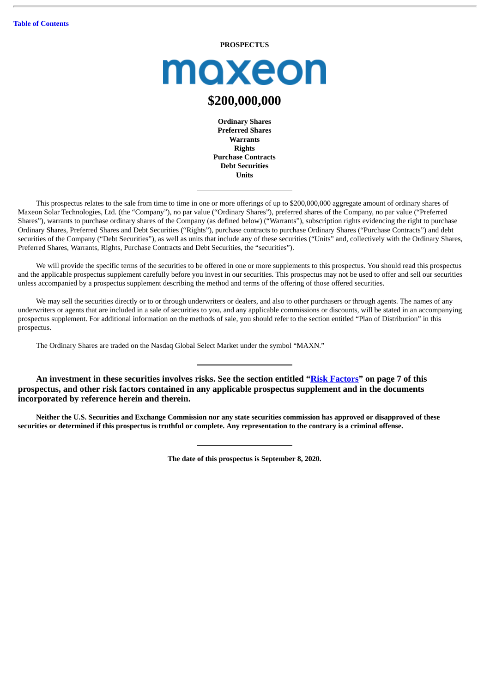### **PROSPECTUS**

moxeon

# **\$200,000,000**

**Ordinary Shares Preferred Shares Warrants Rights Purchase Contracts Debt Securities Units**

This prospectus relates to the sale from time to time in one or more offerings of up to \$200,000,000 aggregate amount of ordinary shares of Maxeon Solar Technologies, Ltd. (the "Company"), no par value ("Ordinary Shares"), preferred shares of the Company, no par value ("Preferred Shares"), warrants to purchase ordinary shares of the Company (as defined below) ("Warrants"), subscription rights evidencing the right to purchase Ordinary Shares, Preferred Shares and Debt Securities ("Rights"), purchase contracts to purchase Ordinary Shares ("Purchase Contracts") and debt securities of the Company ("Debt Securities"), as well as units that include any of these securities ("Units" and, collectively with the Ordinary Shares, Preferred Shares, Warrants, Rights, Purchase Contracts and Debt Securities, the "securities").

We will provide the specific terms of the securities to be offered in one or more supplements to this prospectus. You should read this prospectus and the applicable prospectus supplement carefully before you invest in our securities. This prospectus may not be used to offer and sell our securities unless accompanied by a prospectus supplement describing the method and terms of the offering of those offered securities.

We may sell the securities directly or to or through underwriters or dealers, and also to other purchasers or through agents. The names of any underwriters or agents that are included in a sale of securities to you, and any applicable commissions or discounts, will be stated in an accompanying prospectus supplement. For additional information on the methods of sale, you should refer to the section entitled "Plan of Distribution" in this prospectus.

The Ordinary Shares are traded on the Nasdaq Global Select Market under the symbol "MAXN."

**An investment in these securities involves risks. See the section entitled "[Risk Factors"](#page-56-0) on page 7 of this prospectus, and other risk factors contained in any applicable prospectus supplement and in the documents incorporated by reference herein and therein.**

Neither the U.S. Securities and Exchange Commission nor any state securities commission has approved or disapproved of these securities or determined if this prospectus is truthful or complete. Any representation to the contrary is a criminal offense.

**The date of this prospectus is September 8, 2020.**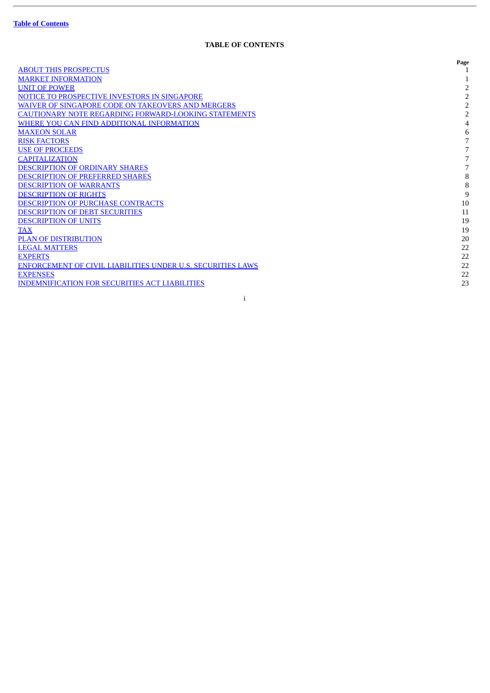ł.

# **TABLE OF CONTENTS**

|                                                                    | Page           |
|--------------------------------------------------------------------|----------------|
| <b>ABOUT THIS PROSPECTUS</b>                                       |                |
| <b>MARKET INFORMATION</b>                                          |                |
| <b>UNIT OF POWER</b>                                               | 2              |
| NOTICE TO PROSPECTIVE INVESTORS IN SINGAPORE                       | 2              |
| WAIVER OF SINGAPORE CODE ON TAKEOVERS AND MERGERS                  | 2              |
| <b>CAUTIONARY NOTE REGARDING FORWARD-LOOKING STATEMENTS</b>        | $\overline{2}$ |
| WHERE YOU CAN FIND ADDITIONAL INFORMATION                          | 4              |
| <b>MAXEON SOLAR</b>                                                | 6              |
| <b>RISK FACTORS</b>                                                |                |
| <b>USE OF PROCEEDS</b>                                             |                |
| <b>CAPITALIZATION</b>                                              |                |
| <b>DESCRIPTION OF ORDINARY SHARES</b>                              |                |
| <b>DESCRIPTION OF PREFERRED SHARES</b>                             | 8              |
| <b>DESCRIPTION OF WARRANTS</b>                                     | 8              |
| <b>DESCRIPTION OF RIGHTS</b>                                       | 9              |
| DESCRIPTION OF PURCHASE CONTRACTS                                  | 10             |
| <b>DESCRIPTION OF DEBT SECURITIES</b>                              | 11             |
| <b>DESCRIPTION OF UNITS</b>                                        | 19             |
| <b>TAX</b>                                                         | 19             |
| <b>PLAN OF DISTRIBUTION</b>                                        | 20             |
| <b>LEGAL MATTERS</b>                                               | 22             |
| <b>EXPERTS</b>                                                     | 22             |
| <b>ENFORCEMENT OF CIVIL LIABILITIES UNDER U.S. SECURITIES LAWS</b> | 22             |
| <b>EXPENSES</b>                                                    | 22             |
| <b>INDEMNIFICATION FOR SECURITIES ACT LIABILITIES</b>              | 23             |
|                                                                    |                |

i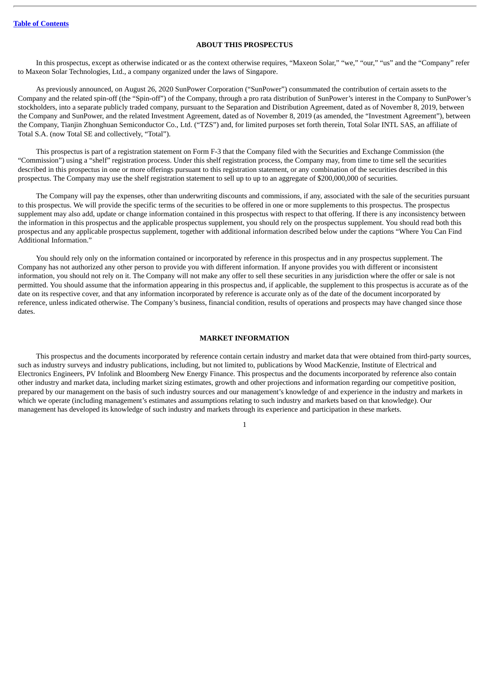## **ABOUT THIS PROSPECTUS**

<span id="page-50-0"></span>In this prospectus, except as otherwise indicated or as the context otherwise requires, "Maxeon Solar," "we," "our," "us" and the "Company" refer to Maxeon Solar Technologies, Ltd., a company organized under the laws of Singapore.

As previously announced, on August 26, 2020 SunPower Corporation ("SunPower") consummated the contribution of certain assets to the Company and the related spin-off (the "Spin-off") of the Company, through a pro rata distribution of SunPower's interest in the Company to SunPower's stockholders, into a separate publicly traded company, pursuant to the Separation and Distribution Agreement, dated as of November 8, 2019, between the Company and SunPower, and the related Investment Agreement, dated as of November 8, 2019 (as amended, the "Investment Agreement"), between the Company, Tianjin Zhonghuan Semiconductor Co., Ltd. ("TZS") and, for limited purposes set forth therein, Total Solar INTL SAS, an affiliate of Total S.A. (now Total SE and collectively, "Total").

This prospectus is part of a registration statement on Form F-3 that the Company filed with the Securities and Exchange Commission (the "Commission") using a "shelf" registration process. Under this shelf registration process, the Company may, from time to time sell the securities described in this prospectus in one or more offerings pursuant to this registration statement, or any combination of the securities described in this prospectus. The Company may use the shelf registration statement to sell up to up to an aggregate of \$200,000,000 of securities.

The Company will pay the expenses, other than underwriting discounts and commissions, if any, associated with the sale of the securities pursuant to this prospectus. We will provide the specific terms of the securities to be offered in one or more supplements to this prospectus. The prospectus supplement may also add, update or change information contained in this prospectus with respect to that offering. If there is any inconsistency between the information in this prospectus and the applicable prospectus supplement, you should rely on the prospectus supplement. You should read both this prospectus and any applicable prospectus supplement, together with additional information described below under the captions "Where You Can Find Additional Information."

You should rely only on the information contained or incorporated by reference in this prospectus and in any prospectus supplement. The Company has not authorized any other person to provide you with different information. If anyone provides you with different or inconsistent information, you should not rely on it. The Company will not make any offer to sell these securities in any jurisdiction where the offer or sale is not permitted. You should assume that the information appearing in this prospectus and, if applicable, the supplement to this prospectus is accurate as of the date on its respective cover, and that any information incorporated by reference is accurate only as of the date of the document incorporated by reference, unless indicated otherwise. The Company's business, financial condition, results of operations and prospects may have changed since those dates.

## **MARKET INFORMATION**

<span id="page-50-1"></span>This prospectus and the documents incorporated by reference contain certain industry and market data that were obtained from third-party sources, such as industry surveys and industry publications, including, but not limited to, publications by Wood MacKenzie, Institute of Electrical and Electronics Engineers, PV Infolink and Bloomberg New Energy Finance. This prospectus and the documents incorporated by reference also contain other industry and market data, including market sizing estimates, growth and other projections and information regarding our competitive position, prepared by our management on the basis of such industry sources and our management's knowledge of and experience in the industry and markets in which we operate (including management's estimates and assumptions relating to such industry and markets based on that knowledge). Our management has developed its knowledge of such industry and markets through its experience and participation in these markets.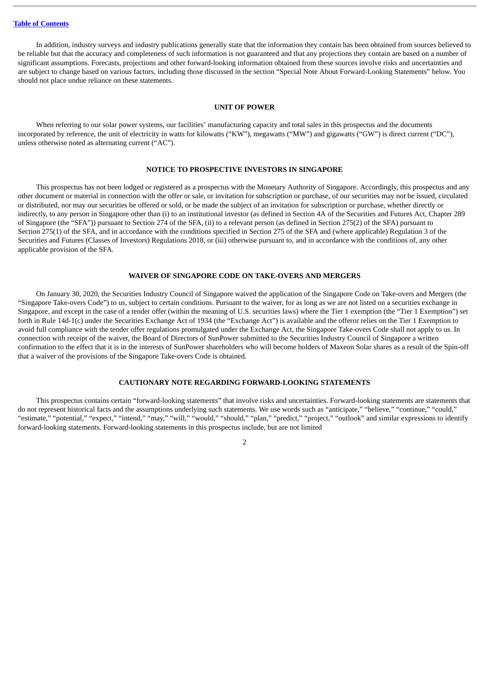In addition, industry surveys and industry publications generally state that the information they contain has been obtained from sources believed to be reliable but that the accuracy and completeness of such information is not guaranteed and that any projections they contain are based on a number of significant assumptions. Forecasts, projections and other forward-looking information obtained from these sources involve risks and uncertainties and are subject to change based on various factors, including those discussed in the section "Special Note About Forward-Looking Statements" below. You should not place undue reliance on these statements.

## **UNIT OF POWER**

<span id="page-51-0"></span>When referring to our solar power systems, our facilities' manufacturing capacity and total sales in this prospectus and the documents incorporated by reference, the unit of electricity in watts for kilowatts ("KW"), megawatts ("MW") and gigawatts ("GW") is direct current ("DC"), unless otherwise noted as alternating current ("AC").

## **NOTICE TO PROSPECTIVE INVESTORS IN SINGAPORE**

<span id="page-51-1"></span>This prospectus has not been lodged or registered as a prospectus with the Monetary Authority of Singapore. Accordingly, this prospectus and any other document or material in connection with the offer or sale, or invitation for subscription or purchase, of our securities may not be issued, circulated or distributed, nor may our securities be offered or sold, or be made the subject of an invitation for subscription or purchase, whether directly or indirectly, to any person in Singapore other than (i) to an institutional investor (as defined in Section 4A of the Securities and Futures Act, Chapter 289 of Singapore (the "SFA")) pursuant to Section 274 of the SFA, (ii) to a relevant person (as defined in Section 275(2) of the SFA) pursuant to Section 275(1) of the SFA, and in accordance with the conditions specified in Section 275 of the SFA and (where applicable) Regulation 3 of the Securities and Futures (Classes of Investors) Regulations 2018, or (iii) otherwise pursuant to, and in accordance with the conditions of, any other applicable provision of the SFA.

## **WAIVER OF SINGAPORE CODE ON TAKE-OVERS AND MERGERS**

<span id="page-51-2"></span>On January 30, 2020, the Securities Industry Council of Singapore waived the application of the Singapore Code on Take-overs and Mergers (the "Singapore Take-overs Code") to us, subject to certain conditions. Pursuant to the waiver, for as long as we are not listed on a securities exchange in Singapore, and except in the case of a tender offer (within the meaning of U.S. securities laws) where the Tier 1 exemption (the "Tier 1 Exemption") set forth in Rule 14d-1(c) under the Securities Exchange Act of 1934 (the "Exchange Act") is available and the offeror relies on the Tier 1 Exemption to avoid full compliance with the tender offer regulations promulgated under the Exchange Act, the Singapore Take-overs Code shall not apply to us. In connection with receipt of the waiver, the Board of Directors of SunPower submitted to the Securities Industry Council of Singapore a written confirmation to the effect that it is in the interests of SunPower shareholders who will become holders of Maxeon Solar shares as a result of the Spin-off that a waiver of the provisions of the Singapore Take-overs Code is obtained.

## **CAUTIONARY NOTE REGARDING FORWARD-LOOKING STATEMENTS**

<span id="page-51-3"></span>This prospectus contains certain "forward-looking statements" that involve risks and uncertainties. Forward-looking statements are statements that do not represent historical facts and the assumptions underlying such statements. We use words such as "anticipate," "believe," "continue," "could," "estimate," "potential," "expect," "intend," "may," "will," "would," "should," "plan," "predict," "project," "outlook" and similar expressions to identify forward-looking statements. Forward-looking statements in this prospectus include, but are not limited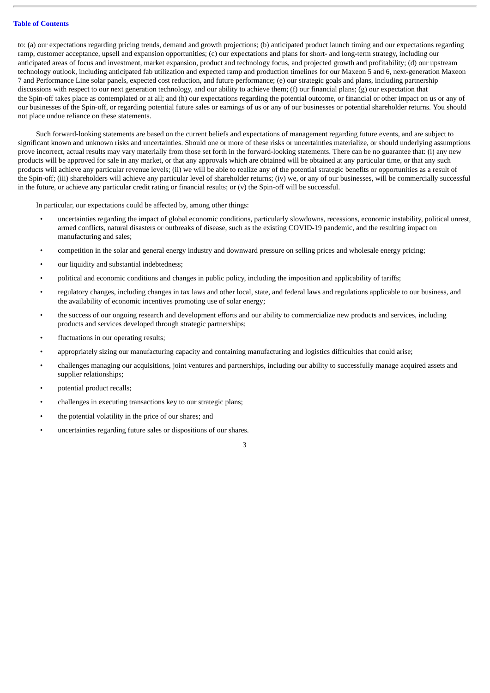to: (a) our expectations regarding pricing trends, demand and growth projections; (b) anticipated product launch timing and our expectations regarding ramp, customer acceptance, upsell and expansion opportunities; (c) our expectations and plans for short- and long-term strategy, including our anticipated areas of focus and investment, market expansion, product and technology focus, and projected growth and profitability; (d) our upstream technology outlook, including anticipated fab utilization and expected ramp and production timelines for our Maxeon 5 and 6, next-generation Maxeon 7 and Performance Line solar panels, expected cost reduction, and future performance; (e) our strategic goals and plans, including partnership discussions with respect to our next generation technology, and our ability to achieve them; (f) our financial plans; (g) our expectation that the Spin-off takes place as contemplated or at all; and (h) our expectations regarding the potential outcome, or financial or other impact on us or any of our businesses of the Spin-off, or regarding potential future sales or earnings of us or any of our businesses or potential shareholder returns. You should not place undue reliance on these statements.

Such forward-looking statements are based on the current beliefs and expectations of management regarding future events, and are subject to significant known and unknown risks and uncertainties. Should one or more of these risks or uncertainties materialize, or should underlying assumptions prove incorrect, actual results may vary materially from those set forth in the forward-looking statements. There can be no guarantee that: (i) any new products will be approved for sale in any market, or that any approvals which are obtained will be obtained at any particular time, or that any such products will achieve any particular revenue levels; (ii) we will be able to realize any of the potential strategic benefits or opportunities as a result of the Spin-off; (iii) shareholders will achieve any particular level of shareholder returns; (iv) we, or any of our businesses, will be commercially successful in the future, or achieve any particular credit rating or financial results; or (v) the Spin-off will be successful.

In particular, our expectations could be affected by, among other things:

- uncertainties regarding the impact of global economic conditions, particularly slowdowns, recessions, economic instability, political unrest, armed conflicts, natural disasters or outbreaks of disease, such as the existing COVID-19 pandemic, and the resulting impact on manufacturing and sales;
- competition in the solar and general energy industry and downward pressure on selling prices and wholesale energy pricing;
- our liquidity and substantial indebtedness;
- political and economic conditions and changes in public policy, including the imposition and applicability of tariffs;
- regulatory changes, including changes in tax laws and other local, state, and federal laws and regulations applicable to our business, and the availability of economic incentives promoting use of solar energy;
- the success of our ongoing research and development efforts and our ability to commercialize new products and services, including products and services developed through strategic partnerships;
- fluctuations in our operating results;
- appropriately sizing our manufacturing capacity and containing manufacturing and logistics difficulties that could arise;
- challenges managing our acquisitions, joint ventures and partnerships, including our ability to successfully manage acquired assets and supplier relationships;
- potential product recalls;
- challenges in executing transactions key to our strategic plans;
- the potential volatility in the price of our shares; and
- uncertainties regarding future sales or dispositions of our shares.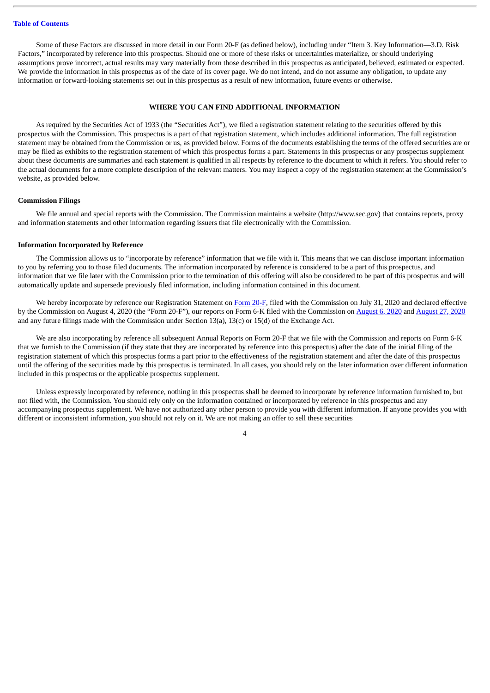Some of these Factors are discussed in more detail in our Form 20-F (as defined below), including under "Item 3. Key Information—3.D. Risk Factors," incorporated by reference into this prospectus. Should one or more of these risks or uncertainties materialize, or should underlying assumptions prove incorrect, actual results may vary materially from those described in this prospectus as anticipated, believed, estimated or expected. We provide the information in this prospectus as of the date of its cover page. We do not intend, and do not assume any obligation, to update any information or forward-looking statements set out in this prospectus as a result of new information, future events or otherwise.

## **WHERE YOU CAN FIND ADDITIONAL INFORMATION**

<span id="page-53-0"></span>As required by the Securities Act of 1933 (the "Securities Act"), we filed a registration statement relating to the securities offered by this prospectus with the Commission. This prospectus is a part of that registration statement, which includes additional information. The full registration statement may be obtained from the Commission or us, as provided below. Forms of the documents establishing the terms of the offered securities are or may be filed as exhibits to the registration statement of which this prospectus forms a part. Statements in this prospectus or any prospectus supplement about these documents are summaries and each statement is qualified in all respects by reference to the document to which it refers. You should refer to the actual documents for a more complete description of the relevant matters. You may inspect a copy of the registration statement at the Commission's website, as provided below.

#### **Commission Filings**

We file annual and special reports with the Commission. The Commission maintains a website (http://www.sec.gov) that contains reports, proxy and information statements and other information regarding issuers that file electronically with the Commission.

#### **Information Incorporated by Reference**

The Commission allows us to "incorporate by reference" information that we file with it. This means that we can disclose important information to you by referring you to those filed documents. The information incorporated by reference is considered to be a part of this prospectus, and information that we file later with the Commission prior to the termination of this offering will also be considered to be part of this prospectus and will automatically update and supersede previously filed information, including information contained in this document.

We hereby incorporate by reference our Registration Statement on [Form](http://www.sec.gov/Archives/edgar/data/1796898/000119312520206456/d822476d20fr12ba.htm) 20-F, filed with the Commission on July 31, 2020 and declared effective by the Commission on August 4, 2020 (the "Form 20-F"), our reports on Form 6-K filed with the Commission on [August](http://www.sec.gov/Archives/edgar/data/1796898/000119312520212009/d70513d6k.htm) 6, 2020 and [August](http://www.sec.gov/Archives/edgar/data/1796898/000119312520231817/d74228d6k.htm) 27, 2020 and any future filings made with the Commission under Section 13(a), 13(c) or 15(d) of the Exchange Act.

We are also incorporating by reference all subsequent Annual Reports on Form 20-F that we file with the Commission and reports on Form 6-K that we furnish to the Commission (if they state that they are incorporated by reference into this prospectus) after the date of the initial filing of the registration statement of which this prospectus forms a part prior to the effectiveness of the registration statement and after the date of this prospectus until the offering of the securities made by this prospectus is terminated. In all cases, you should rely on the later information over different information included in this prospectus or the applicable prospectus supplement.

Unless expressly incorporated by reference, nothing in this prospectus shall be deemed to incorporate by reference information furnished to, but not filed with, the Commission. You should rely only on the information contained or incorporated by reference in this prospectus and any accompanying prospectus supplement. We have not authorized any other person to provide you with different information. If anyone provides you with different or inconsistent information, you should not rely on it. We are not making an offer to sell these securities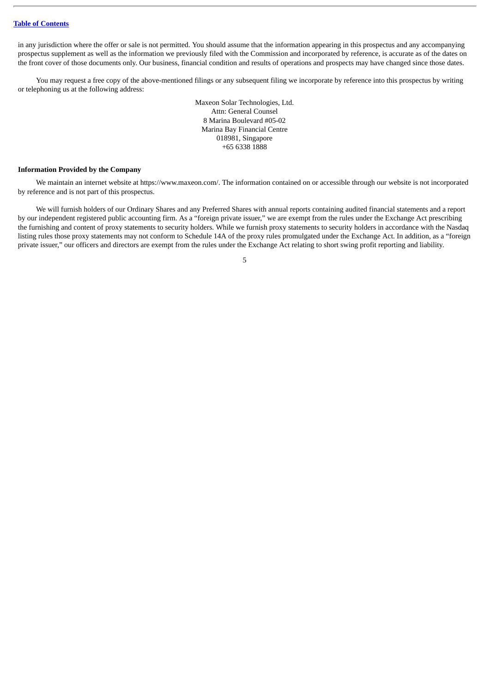in any jurisdiction where the offer or sale is not permitted. You should assume that the information appearing in this prospectus and any accompanying prospectus supplement as well as the information we previously filed with the Commission and incorporated by reference, is accurate as of the dates on the front cover of those documents only. Our business, financial condition and results of operations and prospects may have changed since those dates.

You may request a free copy of the above-mentioned filings or any subsequent filing we incorporate by reference into this prospectus by writing or telephoning us at the following address:

> Maxeon Solar Technologies, Ltd. Attn: General Counsel 8 Marina Boulevard #05-02 Marina Bay Financial Centre 018981, Singapore +65 6338 1888

## **Information Provided by the Company**

We maintain an internet website at https://www.maxeon.com/. The information contained on or accessible through our website is not incorporated by reference and is not part of this prospectus.

We will furnish holders of our Ordinary Shares and any Preferred Shares with annual reports containing audited financial statements and a report by our independent registered public accounting firm. As a "foreign private issuer," we are exempt from the rules under the Exchange Act prescribing the furnishing and content of proxy statements to security holders. While we furnish proxy statements to security holders in accordance with the Nasdaq listing rules those proxy statements may not conform to Schedule 14A of the proxy rules promulgated under the Exchange Act. In addition, as a "foreign private issuer," our officers and directors are exempt from the rules under the Exchange Act relating to short swing profit reporting and liability.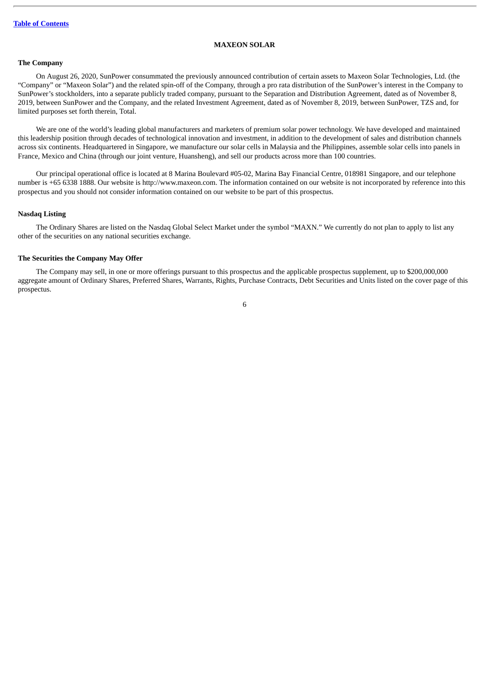## **MAXEON SOLAR**

## <span id="page-55-0"></span>**The Company**

On August 26, 2020, SunPower consummated the previously announced contribution of certain assets to Maxeon Solar Technologies, Ltd. (the "Company" or "Maxeon Solar") and the related spin-off of the Company, through a pro rata distribution of the SunPower's interest in the Company to SunPower's stockholders, into a separate publicly traded company, pursuant to the Separation and Distribution Agreement, dated as of November 8, 2019, between SunPower and the Company, and the related Investment Agreement, dated as of November 8, 2019, between SunPower, TZS and, for limited purposes set forth therein, Total.

We are one of the world's leading global manufacturers and marketers of premium solar power technology. We have developed and maintained this leadership position through decades of technological innovation and investment, in addition to the development of sales and distribution channels across six continents. Headquartered in Singapore, we manufacture our solar cells in Malaysia and the Philippines, assemble solar cells into panels in France, Mexico and China (through our joint venture, Huansheng), and sell our products across more than 100 countries.

Our principal operational office is located at 8 Marina Boulevard #05-02, Marina Bay Financial Centre, 018981 Singapore, and our telephone number is +65 6338 1888. Our website is http://www.maxeon.com. The information contained on our website is not incorporated by reference into this prospectus and you should not consider information contained on our website to be part of this prospectus.

## **Nasdaq Listing**

The Ordinary Shares are listed on the Nasdaq Global Select Market under the symbol "MAXN." We currently do not plan to apply to list any other of the securities on any national securities exchange.

## **The Securities the Company May Offer**

The Company may sell, in one or more offerings pursuant to this prospectus and the applicable prospectus supplement, up to \$200,000,000 aggregate amount of Ordinary Shares, Preferred Shares, Warrants, Rights, Purchase Contracts, Debt Securities and Units listed on the cover page of this prospectus.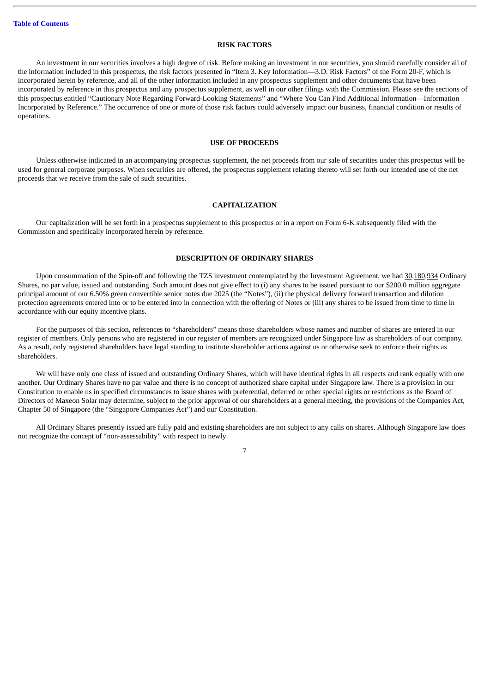### **RISK FACTORS**

<span id="page-56-0"></span>An investment in our securities involves a high degree of risk. Before making an investment in our securities, you should carefully consider all of the information included in this prospectus, the risk factors presented in "Item 3. Key Information—3.D. Risk Factors" of the Form 20-F, which is incorporated herein by reference, and all of the other information included in any prospectus supplement and other documents that have been incorporated by reference in this prospectus and any prospectus supplement, as well in our other filings with the Commission. Please see the sections of this prospectus entitled "Cautionary Note Regarding Forward-Looking Statements" and "Where You Can Find Additional Information—Information Incorporated by Reference." The occurrence of one or more of those risk factors could adversely impact our business, financial condition or results of operations.

## **USE OF PROCEEDS**

<span id="page-56-1"></span>Unless otherwise indicated in an accompanying prospectus supplement, the net proceeds from our sale of securities under this prospectus will be used for general corporate purposes. When securities are offered, the prospectus supplement relating thereto will set forth our intended use of the net proceeds that we receive from the sale of such securities.

## **CAPITALIZATION**

<span id="page-56-2"></span>Our capitalization will be set forth in a prospectus supplement to this prospectus or in a report on Form 6-K subsequently filed with the Commission and specifically incorporated herein by reference.

## **DESCRIPTION OF ORDINARY SHARES**

<span id="page-56-3"></span>Upon consummation of the Spin-off and following the TZS investment contemplated by the Investment Agreement, we had 30,180,934 Ordinary Shares, no par value, issued and outstanding. Such amount does not give effect to (i) any shares to be issued pursuant to our \$200.0 million aggregate principal amount of our 6.50% green convertible senior notes due 2025 (the "Notes"), (ii) the physical delivery forward transaction and dilution protection agreements entered into or to be entered into in connection with the offering of Notes or (iii) any shares to be issued from time to time in accordance with our equity incentive plans.

For the purposes of this section, references to "shareholders" means those shareholders whose names and number of shares are entered in our register of members. Only persons who are registered in our register of members are recognized under Singapore law as shareholders of our company. As a result, only registered shareholders have legal standing to institute shareholder actions against us or otherwise seek to enforce their rights as shareholders.

We will have only one class of issued and outstanding Ordinary Shares, which will have identical rights in all respects and rank equally with one another. Our Ordinary Shares have no par value and there is no concept of authorized share capital under Singapore law. There is a provision in our Constitution to enable us in specified circumstances to issue shares with preferential, deferred or other special rights or restrictions as the Board of Directors of Maxeon Solar may determine, subject to the prior approval of our shareholders at a general meeting, the provisions of the Companies Act, Chapter 50 of Singapore (the "Singapore Companies Act") and our Constitution.

All Ordinary Shares presently issued are fully paid and existing shareholders are not subject to any calls on shares. Although Singapore law does not recognize the concept of "non-assessability" with respect to newly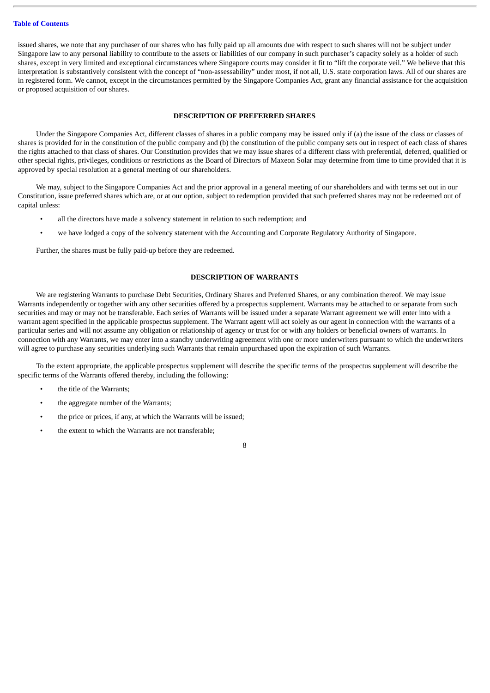issued shares, we note that any purchaser of our shares who has fully paid up all amounts due with respect to such shares will not be subject under Singapore law to any personal liability to contribute to the assets or liabilities of our company in such purchaser's capacity solely as a holder of such shares, except in very limited and exceptional circumstances where Singapore courts may consider it fit to "lift the corporate veil." We believe that this interpretation is substantively consistent with the concept of "non-assessability" under most, if not all, U.S. state corporation laws. All of our shares are in registered form. We cannot, except in the circumstances permitted by the Singapore Companies Act, grant any financial assistance for the acquisition or proposed acquisition of our shares.

## **DESCRIPTION OF PREFERRED SHARES**

<span id="page-57-0"></span>Under the Singapore Companies Act, different classes of shares in a public company may be issued only if (a) the issue of the class or classes of shares is provided for in the constitution of the public company and (b) the constitution of the public company sets out in respect of each class of shares the rights attached to that class of shares. Our Constitution provides that we may issue shares of a different class with preferential, deferred, qualified or other special rights, privileges, conditions or restrictions as the Board of Directors of Maxeon Solar may determine from time to time provided that it is approved by special resolution at a general meeting of our shareholders.

We may, subject to the Singapore Companies Act and the prior approval in a general meeting of our shareholders and with terms set out in our Constitution, issue preferred shares which are, or at our option, subject to redemption provided that such preferred shares may not be redeemed out of capital unless:

- all the directors have made a solvency statement in relation to such redemption; and
- we have lodged a copy of the solvency statement with the Accounting and Corporate Regulatory Authority of Singapore.

Further, the shares must be fully paid-up before they are redeemed.

## **DESCRIPTION OF WARRANTS**

<span id="page-57-1"></span>We are registering Warrants to purchase Debt Securities, Ordinary Shares and Preferred Shares, or any combination thereof. We may issue Warrants independently or together with any other securities offered by a prospectus supplement. Warrants may be attached to or separate from such securities and may or may not be transferable. Each series of Warrants will be issued under a separate Warrant agreement we will enter into with a warrant agent specified in the applicable prospectus supplement. The Warrant agent will act solely as our agent in connection with the warrants of a particular series and will not assume any obligation or relationship of agency or trust for or with any holders or beneficial owners of warrants. In connection with any Warrants, we may enter into a standby underwriting agreement with one or more underwriters pursuant to which the underwriters will agree to purchase any securities underlying such Warrants that remain unpurchased upon the expiration of such Warrants.

To the extent appropriate, the applicable prospectus supplement will describe the specific terms of the prospectus supplement will describe the specific terms of the Warrants offered thereby, including the following:

- the title of the Warrants;
- the aggregate number of the Warrants;
- the price or prices, if any, at which the Warrants will be issued;
- the extent to which the Warrants are not transferable;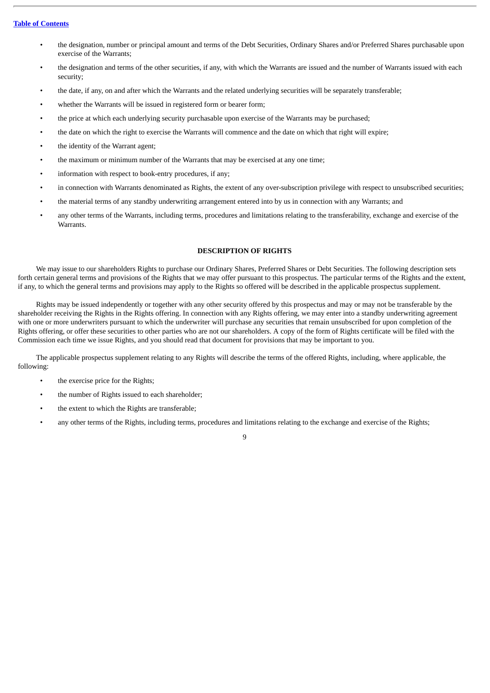- the designation, number or principal amount and terms of the Debt Securities, Ordinary Shares and/or Preferred Shares purchasable upon exercise of the Warrants;
- the designation and terms of the other securities, if any, with which the Warrants are issued and the number of Warrants issued with each security;
- the date, if any, on and after which the Warrants and the related underlying securities will be separately transferable;
- whether the Warrants will be issued in registered form or bearer form;
- the price at which each underlying security purchasable upon exercise of the Warrants may be purchased;
- the date on which the right to exercise the Warrants will commence and the date on which that right will expire;
- the identity of the Warrant agent;
- the maximum or minimum number of the Warrants that may be exercised at any one time;
- information with respect to book-entry procedures, if any;
- in connection with Warrants denominated as Rights, the extent of any over-subscription privilege with respect to unsubscribed securities;
- the material terms of any standby underwriting arrangement entered into by us in connection with any Warrants; and
- any other terms of the Warrants, including terms, procedures and limitations relating to the transferability, exchange and exercise of the Warrants.

## **DESCRIPTION OF RIGHTS**

<span id="page-58-0"></span>We may issue to our shareholders Rights to purchase our Ordinary Shares, Preferred Shares or Debt Securities. The following description sets forth certain general terms and provisions of the Rights that we may offer pursuant to this prospectus. The particular terms of the Rights and the extent, if any, to which the general terms and provisions may apply to the Rights so offered will be described in the applicable prospectus supplement.

Rights may be issued independently or together with any other security offered by this prospectus and may or may not be transferable by the shareholder receiving the Rights in the Rights offering. In connection with any Rights offering, we may enter into a standby underwriting agreement with one or more underwriters pursuant to which the underwriter will purchase any securities that remain unsubscribed for upon completion of the Rights offering, or offer these securities to other parties who are not our shareholders. A copy of the form of Rights certificate will be filed with the Commission each time we issue Rights, and you should read that document for provisions that may be important to you.

The applicable prospectus supplement relating to any Rights will describe the terms of the offered Rights, including, where applicable, the following:

- the exercise price for the Rights;
- the number of Rights issued to each shareholder;
- the extent to which the Rights are transferable;
- any other terms of the Rights, including terms, procedures and limitations relating to the exchange and exercise of the Rights;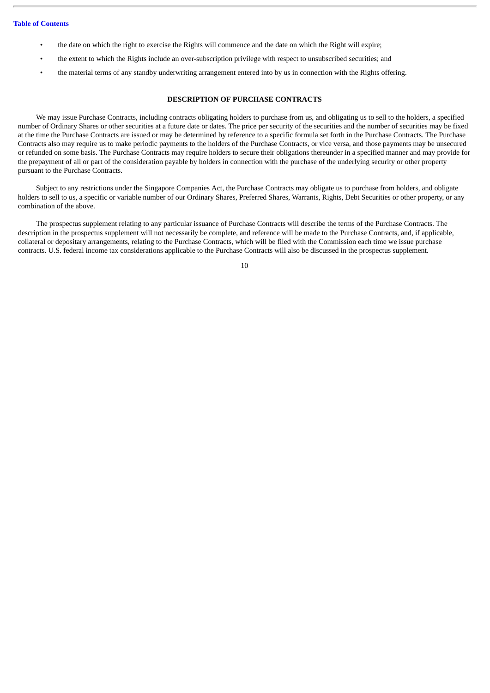- the date on which the right to exercise the Rights will commence and the date on which the Right will expire;
- the extent to which the Rights include an over-subscription privilege with respect to unsubscribed securities; and
- the material terms of any standby underwriting arrangement entered into by us in connection with the Rights offering.

## **DESCRIPTION OF PURCHASE CONTRACTS**

<span id="page-59-0"></span>We may issue Purchase Contracts, including contracts obligating holders to purchase from us, and obligating us to sell to the holders, a specified number of Ordinary Shares or other securities at a future date or dates. The price per security of the securities and the number of securities may be fixed at the time the Purchase Contracts are issued or may be determined by reference to a specific formula set forth in the Purchase Contracts. The Purchase Contracts also may require us to make periodic payments to the holders of the Purchase Contracts, or vice versa, and those payments may be unsecured or refunded on some basis. The Purchase Contracts may require holders to secure their obligations thereunder in a specified manner and may provide for the prepayment of all or part of the consideration payable by holders in connection with the purchase of the underlying security or other property pursuant to the Purchase Contracts.

Subject to any restrictions under the Singapore Companies Act, the Purchase Contracts may obligate us to purchase from holders, and obligate holders to sell to us, a specific or variable number of our Ordinary Shares, Preferred Shares, Warrants, Rights, Debt Securities or other property, or any combination of the above.

The prospectus supplement relating to any particular issuance of Purchase Contracts will describe the terms of the Purchase Contracts. The description in the prospectus supplement will not necessarily be complete, and reference will be made to the Purchase Contracts, and, if applicable, collateral or depositary arrangements, relating to the Purchase Contracts, which will be filed with the Commission each time we issue purchase contracts. U.S. federal income tax considerations applicable to the Purchase Contracts will also be discussed in the prospectus supplement.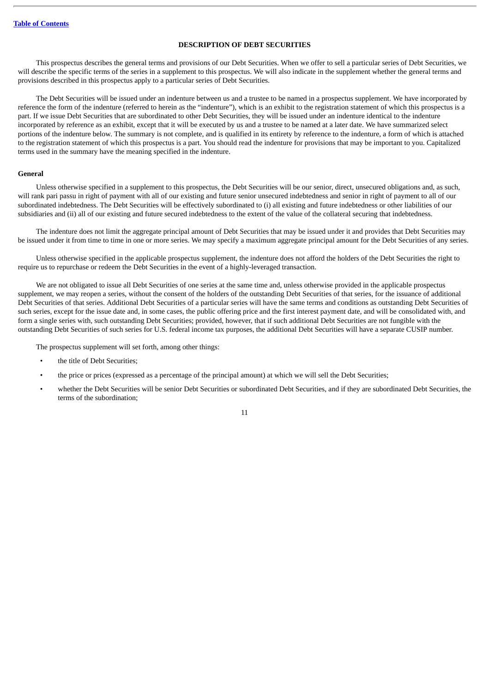## **DESCRIPTION OF DEBT SECURITIES**

<span id="page-60-0"></span>This prospectus describes the general terms and provisions of our Debt Securities. When we offer to sell a particular series of Debt Securities, we will describe the specific terms of the series in a supplement to this prospectus. We will also indicate in the supplement whether the general terms and provisions described in this prospectus apply to a particular series of Debt Securities.

The Debt Securities will be issued under an indenture between us and a trustee to be named in a prospectus supplement. We have incorporated by reference the form of the indenture (referred to herein as the "indenture"), which is an exhibit to the registration statement of which this prospectus is a part. If we issue Debt Securities that are subordinated to other Debt Securities, they will be issued under an indenture identical to the indenture incorporated by reference as an exhibit, except that it will be executed by us and a trustee to be named at a later date. We have summarized select portions of the indenture below. The summary is not complete, and is qualified in its entirety by reference to the indenture, a form of which is attached to the registration statement of which this prospectus is a part. You should read the indenture for provisions that may be important to you. Capitalized terms used in the summary have the meaning specified in the indenture.

## **General**

Unless otherwise specified in a supplement to this prospectus, the Debt Securities will be our senior, direct, unsecured obligations and, as such, will rank pari passu in right of payment with all of our existing and future senior unsecured indebtedness and senior in right of payment to all of our subordinated indebtedness. The Debt Securities will be effectively subordinated to (i) all existing and future indebtedness or other liabilities of our subsidiaries and (ii) all of our existing and future secured indebtedness to the extent of the value of the collateral securing that indebtedness.

The indenture does not limit the aggregate principal amount of Debt Securities that may be issued under it and provides that Debt Securities may be issued under it from time to time in one or more series. We may specify a maximum aggregate principal amount for the Debt Securities of any series.

Unless otherwise specified in the applicable prospectus supplement, the indenture does not afford the holders of the Debt Securities the right to require us to repurchase or redeem the Debt Securities in the event of a highly-leveraged transaction.

We are not obligated to issue all Debt Securities of one series at the same time and, unless otherwise provided in the applicable prospectus supplement, we may reopen a series, without the consent of the holders of the outstanding Debt Securities of that series, for the issuance of additional Debt Securities of that series. Additional Debt Securities of a particular series will have the same terms and conditions as outstanding Debt Securities of such series, except for the issue date and, in some cases, the public offering price and the first interest payment date, and will be consolidated with, and form a single series with, such outstanding Debt Securities; provided, however, that if such additional Debt Securities are not fungible with the outstanding Debt Securities of such series for U.S. federal income tax purposes, the additional Debt Securities will have a separate CUSIP number.

The prospectus supplement will set forth, among other things:

- the title of Debt Securities;
- the price or prices (expressed as a percentage of the principal amount) at which we will sell the Debt Securities;
- whether the Debt Securities will be senior Debt Securities or subordinated Debt Securities, and if they are subordinated Debt Securities, the terms of the subordination;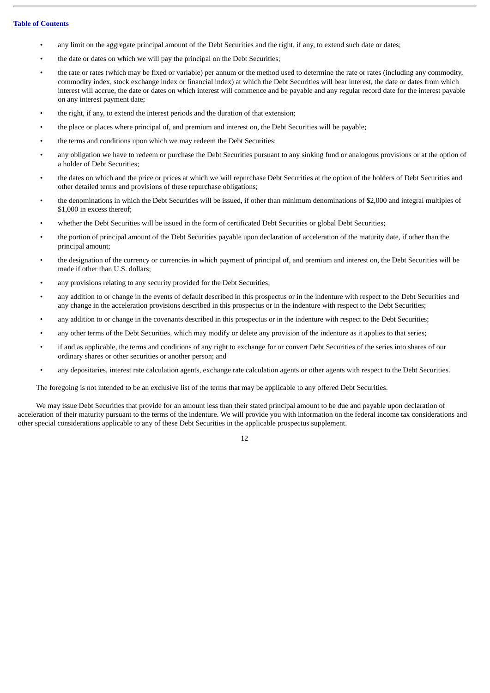- any limit on the aggregate principal amount of the Debt Securities and the right, if any, to extend such date or dates;
- the date or dates on which we will pay the principal on the Debt Securities;
- the rate or rates (which may be fixed or variable) per annum or the method used to determine the rate or rates (including any commodity, commodity index, stock exchange index or financial index) at which the Debt Securities will bear interest, the date or dates from which interest will accrue, the date or dates on which interest will commence and be payable and any regular record date for the interest payable on any interest payment date;
- the right, if any, to extend the interest periods and the duration of that extension;
- the place or places where principal of, and premium and interest on, the Debt Securities will be payable;
- the terms and conditions upon which we may redeem the Debt Securities;
- any obligation we have to redeem or purchase the Debt Securities pursuant to any sinking fund or analogous provisions or at the option of a holder of Debt Securities;
- the dates on which and the price or prices at which we will repurchase Debt Securities at the option of the holders of Debt Securities and other detailed terms and provisions of these repurchase obligations;
- the denominations in which the Debt Securities will be issued, if other than minimum denominations of \$2,000 and integral multiples of \$1,000 in excess thereof;
- whether the Debt Securities will be issued in the form of certificated Debt Securities or global Debt Securities;
- the portion of principal amount of the Debt Securities payable upon declaration of acceleration of the maturity date, if other than the principal amount;
- the designation of the currency or currencies in which payment of principal of, and premium and interest on, the Debt Securities will be made if other than U.S. dollars;
- any provisions relating to any security provided for the Debt Securities;
- any addition to or change in the events of default described in this prospectus or in the indenture with respect to the Debt Securities and any change in the acceleration provisions described in this prospectus or in the indenture with respect to the Debt Securities;
- any addition to or change in the covenants described in this prospectus or in the indenture with respect to the Debt Securities;
- any other terms of the Debt Securities, which may modify or delete any provision of the indenture as it applies to that series;
- if and as applicable, the terms and conditions of any right to exchange for or convert Debt Securities of the series into shares of our ordinary shares or other securities or another person; and
- any depositaries, interest rate calculation agents, exchange rate calculation agents or other agents with respect to the Debt Securities.

The foregoing is not intended to be an exclusive list of the terms that may be applicable to any offered Debt Securities.

We may issue Debt Securities that provide for an amount less than their stated principal amount to be due and payable upon declaration of acceleration of their maturity pursuant to the terms of the indenture. We will provide you with information on the federal income tax considerations and other special considerations applicable to any of these Debt Securities in the applicable prospectus supplement.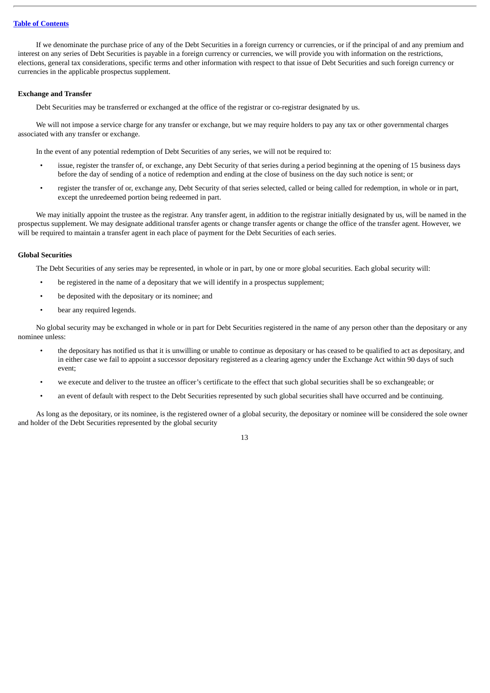If we denominate the purchase price of any of the Debt Securities in a foreign currency or currencies, or if the principal of and any premium and interest on any series of Debt Securities is payable in a foreign currency or currencies, we will provide you with information on the restrictions, elections, general tax considerations, specific terms and other information with respect to that issue of Debt Securities and such foreign currency or currencies in the applicable prospectus supplement.

## **Exchange and Transfer**

Debt Securities may be transferred or exchanged at the office of the registrar or co-registrar designated by us.

We will not impose a service charge for any transfer or exchange, but we may require holders to pay any tax or other governmental charges associated with any transfer or exchange.

In the event of any potential redemption of Debt Securities of any series, we will not be required to:

- issue, register the transfer of, or exchange, any Debt Security of that series during a period beginning at the opening of 15 business days before the day of sending of a notice of redemption and ending at the close of business on the day such notice is sent; or
- register the transfer of or, exchange any, Debt Security of that series selected, called or being called for redemption, in whole or in part, except the unredeemed portion being redeemed in part.

We may initially appoint the trustee as the registrar. Any transfer agent, in addition to the registrar initially designated by us, will be named in the prospectus supplement. We may designate additional transfer agents or change transfer agents or change the office of the transfer agent. However, we will be required to maintain a transfer agent in each place of payment for the Debt Securities of each series.

## **Global Securities**

The Debt Securities of any series may be represented, in whole or in part, by one or more global securities. Each global security will:

- be registered in the name of a depositary that we will identify in a prospectus supplement;
- be deposited with the depositary or its nominee; and
- bear any required legends.

No global security may be exchanged in whole or in part for Debt Securities registered in the name of any person other than the depositary or any nominee unless:

- the depositary has notified us that it is unwilling or unable to continue as depositary or has ceased to be qualified to act as depositary, and in either case we fail to appoint a successor depositary registered as a clearing agency under the Exchange Act within 90 days of such event;
- we execute and deliver to the trustee an officer's certificate to the effect that such global securities shall be so exchangeable; or
- an event of default with respect to the Debt Securities represented by such global securities shall have occurred and be continuing.

As long as the depositary, or its nominee, is the registered owner of a global security, the depositary or nominee will be considered the sole owner and holder of the Debt Securities represented by the global security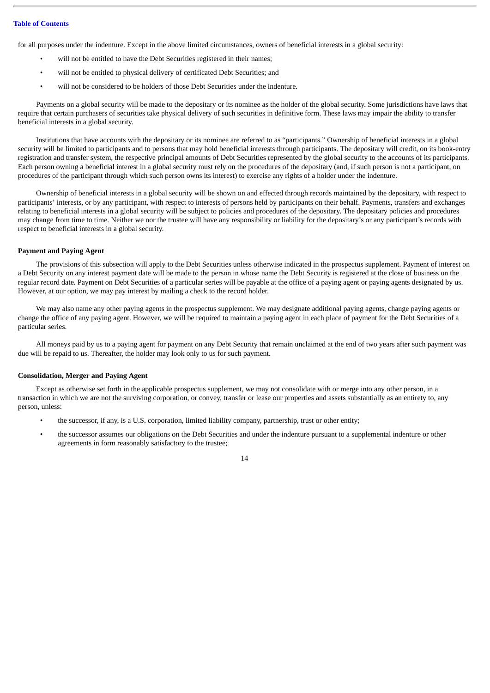for all purposes under the indenture. Except in the above limited circumstances, owners of beneficial interests in a global security:

- will not be entitled to have the Debt Securities registered in their names;
- will not be entitled to physical delivery of certificated Debt Securities; and
- will not be considered to be holders of those Debt Securities under the indenture.

Payments on a global security will be made to the depositary or its nominee as the holder of the global security. Some jurisdictions have laws that require that certain purchasers of securities take physical delivery of such securities in definitive form. These laws may impair the ability to transfer beneficial interests in a global security.

Institutions that have accounts with the depositary or its nominee are referred to as "participants." Ownership of beneficial interests in a global security will be limited to participants and to persons that may hold beneficial interests through participants. The depositary will credit, on its book-entry registration and transfer system, the respective principal amounts of Debt Securities represented by the global security to the accounts of its participants. Each person owning a beneficial interest in a global security must rely on the procedures of the depositary (and, if such person is not a participant, on procedures of the participant through which such person owns its interest) to exercise any rights of a holder under the indenture.

Ownership of beneficial interests in a global security will be shown on and effected through records maintained by the depositary, with respect to participants' interests, or by any participant, with respect to interests of persons held by participants on their behalf. Payments, transfers and exchanges relating to beneficial interests in a global security will be subject to policies and procedures of the depositary. The depositary policies and procedures may change from time to time. Neither we nor the trustee will have any responsibility or liability for the depositary's or any participant's records with respect to beneficial interests in a global security.

#### **Payment and Paying Agent**

The provisions of this subsection will apply to the Debt Securities unless otherwise indicated in the prospectus supplement. Payment of interest on a Debt Security on any interest payment date will be made to the person in whose name the Debt Security is registered at the close of business on the regular record date. Payment on Debt Securities of a particular series will be payable at the office of a paying agent or paying agents designated by us. However, at our option, we may pay interest by mailing a check to the record holder.

We may also name any other paying agents in the prospectus supplement. We may designate additional paying agents, change paying agents or change the office of any paying agent. However, we will be required to maintain a paying agent in each place of payment for the Debt Securities of a particular series.

All moneys paid by us to a paying agent for payment on any Debt Security that remain unclaimed at the end of two years after such payment was due will be repaid to us. Thereafter, the holder may look only to us for such payment.

#### **Consolidation, Merger and Paying Agent**

Except as otherwise set forth in the applicable prospectus supplement, we may not consolidate with or merge into any other person, in a transaction in which we are not the surviving corporation, or convey, transfer or lease our properties and assets substantially as an entirety to, any person, unless:

- the successor, if any, is a U.S. corporation, limited liability company, partnership, trust or other entity;
- the successor assumes our obligations on the Debt Securities and under the indenture pursuant to a supplemental indenture or other agreements in form reasonably satisfactory to the trustee;

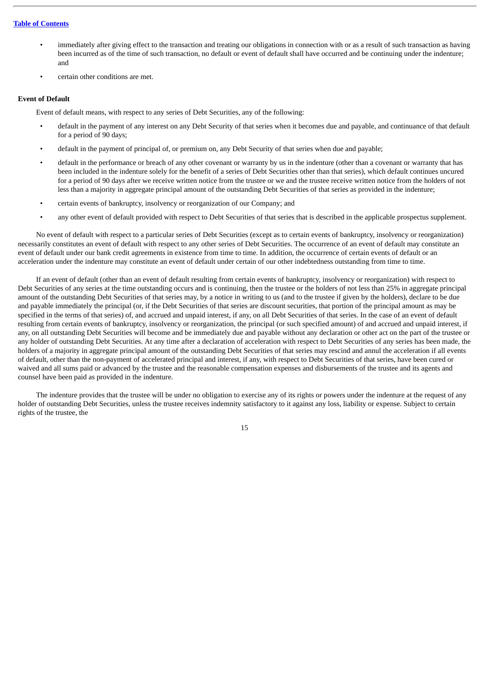- immediately after giving effect to the transaction and treating our obligations in connection with or as a result of such transaction as having been incurred as of the time of such transaction, no default or event of default shall have occurred and be continuing under the indenture; and
- certain other conditions are met.

#### **Event of Default**

Event of default means, with respect to any series of Debt Securities, any of the following:

- default in the payment of any interest on any Debt Security of that series when it becomes due and payable, and continuance of that default for a period of 90 days;
- default in the payment of principal of, or premium on, any Debt Security of that series when due and payable;
- default in the performance or breach of any other covenant or warranty by us in the indenture (other than a covenant or warranty that has been included in the indenture solely for the benefit of a series of Debt Securities other than that series), which default continues uncured for a period of 90 days after we receive written notice from the trustee or we and the trustee receive written notice from the holders of not less than a majority in aggregate principal amount of the outstanding Debt Securities of that series as provided in the indenture;
- certain events of bankruptcy, insolvency or reorganization of our Company; and
- any other event of default provided with respect to Debt Securities of that series that is described in the applicable prospectus supplement.

No event of default with respect to a particular series of Debt Securities (except as to certain events of bankruptcy, insolvency or reorganization) necessarily constitutes an event of default with respect to any other series of Debt Securities. The occurrence of an event of default may constitute an event of default under our bank credit agreements in existence from time to time. In addition, the occurrence of certain events of default or an acceleration under the indenture may constitute an event of default under certain of our other indebtedness outstanding from time to time.

If an event of default (other than an event of default resulting from certain events of bankruptcy, insolvency or reorganization) with respect to Debt Securities of any series at the time outstanding occurs and is continuing, then the trustee or the holders of not less than 25% in aggregate principal amount of the outstanding Debt Securities of that series may, by a notice in writing to us (and to the trustee if given by the holders), declare to be due and payable immediately the principal (or, if the Debt Securities of that series are discount securities, that portion of the principal amount as may be specified in the terms of that series) of, and accrued and unpaid interest, if any, on all Debt Securities of that series. In the case of an event of default resulting from certain events of bankruptcy, insolvency or reorganization, the principal (or such specified amount) of and accrued and unpaid interest, if any, on all outstanding Debt Securities will become and be immediately due and payable without any declaration or other act on the part of the trustee or any holder of outstanding Debt Securities. At any time after a declaration of acceleration with respect to Debt Securities of any series has been made, the holders of a majority in aggregate principal amount of the outstanding Debt Securities of that series may rescind and annul the acceleration if all events of default, other than the non-payment of accelerated principal and interest, if any, with respect to Debt Securities of that series, have been cured or waived and all sums paid or advanced by the trustee and the reasonable compensation expenses and disbursements of the trustee and its agents and counsel have been paid as provided in the indenture.

The indenture provides that the trustee will be under no obligation to exercise any of its rights or powers under the indenture at the request of any holder of outstanding Debt Securities, unless the trustee receives indemnity satisfactory to it against any loss, liability or expense. Subject to certain rights of the trustee, the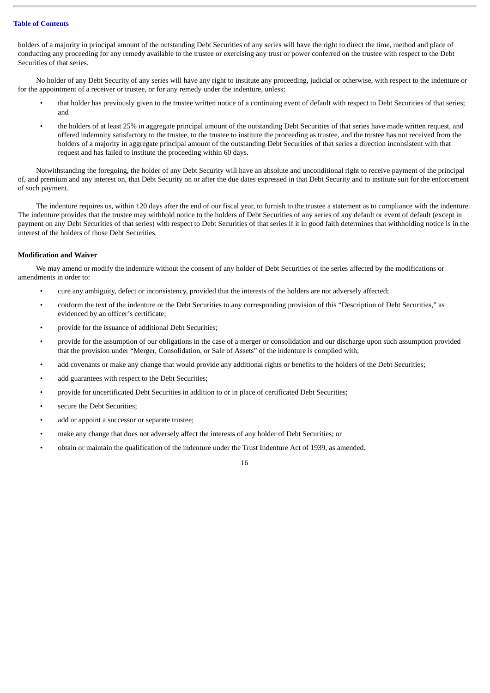holders of a majority in principal amount of the outstanding Debt Securities of any series will have the right to direct the time, method and place of conducting any proceeding for any remedy available to the trustee or exercising any trust or power conferred on the trustee with respect to the Debt Securities of that series.

No holder of any Debt Security of any series will have any right to institute any proceeding, judicial or otherwise, with respect to the indenture or for the appointment of a receiver or trustee, or for any remedy under the indenture, unless:

- that holder has previously given to the trustee written notice of a continuing event of default with respect to Debt Securities of that series; and
- the holders of at least 25% in aggregate principal amount of the outstanding Debt Securities of that series have made written request, and offered indemnity satisfactory to the trustee, to the trustee to institute the proceeding as trustee, and the trustee has not received from the holders of a majority in aggregate principal amount of the outstanding Debt Securities of that series a direction inconsistent with that request and has failed to institute the proceeding within 60 days.

Notwithstanding the foregoing, the holder of any Debt Security will have an absolute and unconditional right to receive payment of the principal of, and premium and any interest on, that Debt Security on or after the due dates expressed in that Debt Security and to institute suit for the enforcement of such payment.

The indenture requires us, within 120 days after the end of our fiscal year, to furnish to the trustee a statement as to compliance with the indenture. The indenture provides that the trustee may withhold notice to the holders of Debt Securities of any series of any default or event of default (except in payment on any Debt Securities of that series) with respect to Debt Securities of that series if it in good faith determines that withholding notice is in the interest of the holders of those Debt Securities.

## **Modification and Waiver**

We may amend or modify the indenture without the consent of any holder of Debt Securities of the series affected by the modifications or amendments in order to:

- cure any ambiguity, defect or inconsistency, provided that the interests of the holders are not adversely affected;
- conform the text of the indenture or the Debt Securities to any corresponding provision of this "Description of Debt Securities," as evidenced by an officer's certificate;
- provide for the issuance of additional Debt Securities;
- provide for the assumption of our obligations in the case of a merger or consolidation and our discharge upon such assumption provided that the provision under "Merger, Consolidation, or Sale of Assets" of the indenture is complied with;
- add covenants or make any change that would provide any additional rights or benefits to the holders of the Debt Securities;
- add guarantees with respect to the Debt Securities;
- provide for uncertificated Debt Securities in addition to or in place of certificated Debt Securities;
- secure the Debt Securities;
- add or appoint a successor or separate trustee;
- make any change that does not adversely affect the interests of any holder of Debt Securities; or
- obtain or maintain the qualification of the indenture under the Trust Indenture Act of 1939, as amended.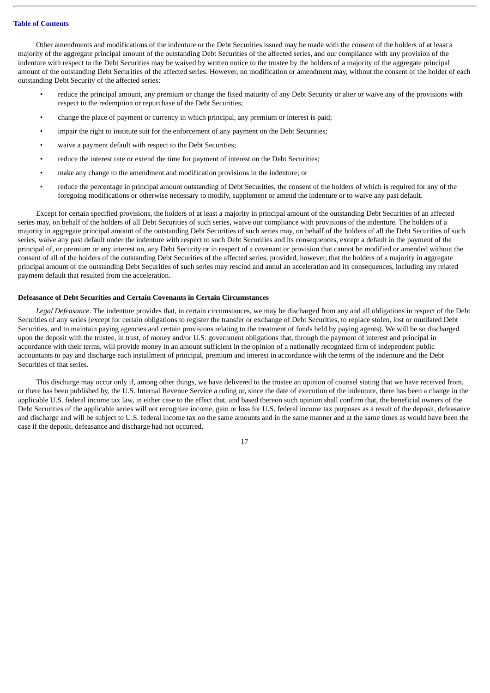Other amendments and modifications of the indenture or the Debt Securities issued may be made with the consent of the holders of at least a majority of the aggregate principal amount of the outstanding Debt Securities of the affected series, and our compliance with any provision of the indenture with respect to the Debt Securities may be waived by written notice to the trustee by the holders of a majority of the aggregate principal amount of the outstanding Debt Securities of the affected series. However, no modification or amendment may, without the consent of the holder of each outstanding Debt Security of the affected series:

- reduce the principal amount, any premium or change the fixed maturity of any Debt Security or alter or waive any of the provisions with respect to the redemption or repurchase of the Debt Securities;
- change the place of payment or currency in which principal, any premium or interest is paid;
- impair the right to institute suit for the enforcement of any payment on the Debt Securities;
- waive a payment default with respect to the Debt Securities;
- reduce the interest rate or extend the time for payment of interest on the Debt Securities;
- make any change to the amendment and modification provisions in the indenture; or
- reduce the percentage in principal amount outstanding of Debt Securities, the consent of the holders of which is required for any of the foregoing modifications or otherwise necessary to modify, supplement or amend the indenture or to waive any past default.

Except for certain specified provisions, the holders of at least a majority in principal amount of the outstanding Debt Securities of an affected series may, on behalf of the holders of all Debt Securities of such series, waive our compliance with provisions of the indenture. The holders of a majority in aggregate principal amount of the outstanding Debt Securities of such series may, on behalf of the holders of all the Debt Securities of such series, waive any past default under the indenture with respect to such Debt Securities and its consequences, except a default in the payment of the principal of, or premium or any interest on, any Debt Security or in respect of a covenant or provision that cannot be modified or amended without the consent of all of the holders of the outstanding Debt Securities of the affected series; provided, however, that the holders of a majority in aggregate principal amount of the outstanding Debt Securities of such series may rescind and annul an acceleration and its consequences, including any related payment default that resulted from the acceleration.

#### **Defeasance of Debt Securities and Certain Covenants in Certain Circumstances**

*Legal Defeasance*. The indenture provides that, in certain circumstances, we may be discharged from any and all obligations in respect of the Debt Securities of any series (except for certain obligations to register the transfer or exchange of Debt Securities, to replace stolen, lost or mutilated Debt Securities, and to maintain paying agencies and certain provisions relating to the treatment of funds held by paying agents). We will be so discharged upon the deposit with the trustee, in trust, of money and/or U.S. government obligations that, through the payment of interest and principal in accordance with their terms, will provide money in an amount sufficient in the opinion of a nationally recognized firm of independent public accountants to pay and discharge each installment of principal, premium and interest in accordance with the terms of the indenture and the Debt Securities of that series.

This discharge may occur only if, among other things, we have delivered to the trustee an opinion of counsel stating that we have received from, or there has been published by, the U.S. Internal Revenue Service a ruling or, since the date of execution of the indenture, there has been a change in the applicable U.S. federal income tax law, in either case to the effect that, and based thereon such opinion shall confirm that, the beneficial owners of the Debt Securities of the applicable series will not recognize income, gain or loss for U.S. federal income tax purposes as a result of the deposit, defeasance and discharge and will be subject to U.S. federal income tax on the same amounts and in the same manner and at the same times as would have been the case if the deposit, defeasance and discharge had not occurred.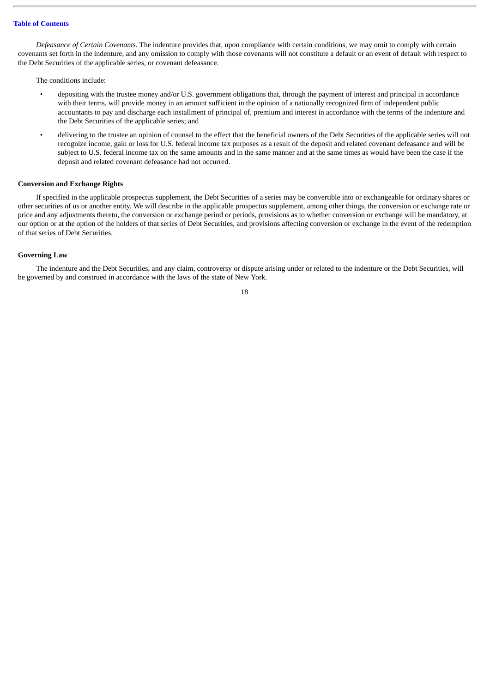*Defeasance of Certain Covenants*. The indenture provides that, upon compliance with certain conditions, we may omit to comply with certain covenants set forth in the indenture, and any omission to comply with those covenants will not constitute a default or an event of default with respect to the Debt Securities of the applicable series, or covenant defeasance.

The conditions include:

- depositing with the trustee money and/or U.S. government obligations that, through the payment of interest and principal in accordance with their terms, will provide money in an amount sufficient in the opinion of a nationally recognized firm of independent public accountants to pay and discharge each installment of principal of, premium and interest in accordance with the terms of the indenture and the Debt Securities of the applicable series; and
- delivering to the trustee an opinion of counsel to the effect that the beneficial owners of the Debt Securities of the applicable series will not recognize income, gain or loss for U.S. federal income tax purposes as a result of the deposit and related covenant defeasance and will be subject to U.S. federal income tax on the same amounts and in the same manner and at the same times as would have been the case if the deposit and related covenant defeasance had not occurred.

## **Conversion and Exchange Rights**

If specified in the applicable prospectus supplement, the Debt Securities of a series may be convertible into or exchangeable for ordinary shares or other securities of us or another entity. We will describe in the applicable prospectus supplement, among other things, the conversion or exchange rate or price and any adjustments thereto, the conversion or exchange period or periods, provisions as to whether conversion or exchange will be mandatory, at our option or at the option of the holders of that series of Debt Securities, and provisions affecting conversion or exchange in the event of the redemption of that series of Debt Securities.

#### **Governing Law**

The indenture and the Debt Securities, and any claim, controversy or dispute arising under or related to the indenture or the Debt Securities, will be governed by and construed in accordance with the laws of the state of New York.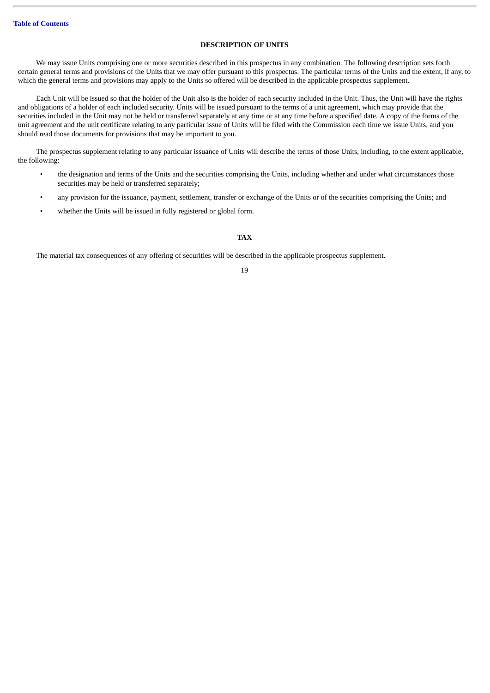## **DESCRIPTION OF UNITS**

<span id="page-68-0"></span>We may issue Units comprising one or more securities described in this prospectus in any combination. The following description sets forth certain general terms and provisions of the Units that we may offer pursuant to this prospectus. The particular terms of the Units and the extent, if any, to which the general terms and provisions may apply to the Units so offered will be described in the applicable prospectus supplement.

Each Unit will be issued so that the holder of the Unit also is the holder of each security included in the Unit. Thus, the Unit will have the rights and obligations of a holder of each included security. Units will be issued pursuant to the terms of a unit agreement, which may provide that the securities included in the Unit may not be held or transferred separately at any time or at any time before a specified date. A copy of the forms of the unit agreement and the unit certificate relating to any particular issue of Units will be filed with the Commission each time we issue Units, and you should read those documents for provisions that may be important to you.

The prospectus supplement relating to any particular issuance of Units will describe the terms of those Units, including, to the extent applicable, the following:

- the designation and terms of the Units and the securities comprising the Units, including whether and under what circumstances those securities may be held or transferred separately;
- any provision for the issuance, payment, settlement, transfer or exchange of the Units or of the securities comprising the Units; and
- whether the Units will be issued in fully registered or global form.

## **TAX**

<span id="page-68-1"></span>The material tax consequences of any offering of securities will be described in the applicable prospectus supplement.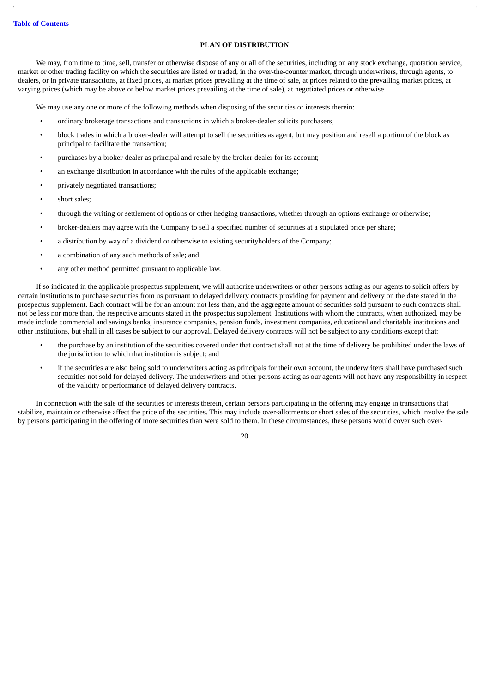## **PLAN OF DISTRIBUTION**

<span id="page-69-0"></span>We may, from time to time, sell, transfer or otherwise dispose of any or all of the securities, including on any stock exchange, quotation service, market or other trading facility on which the securities are listed or traded, in the over-the-counter market, through underwriters, through agents, to dealers, or in private transactions, at fixed prices, at market prices prevailing at the time of sale, at prices related to the prevailing market prices, at varying prices (which may be above or below market prices prevailing at the time of sale), at negotiated prices or otherwise.

We may use any one or more of the following methods when disposing of the securities or interests therein:

- ordinary brokerage transactions and transactions in which a broker-dealer solicits purchasers;
- block trades in which a broker-dealer will attempt to sell the securities as agent, but may position and resell a portion of the block as principal to facilitate the transaction;
- purchases by a broker-dealer as principal and resale by the broker-dealer for its account;
- an exchange distribution in accordance with the rules of the applicable exchange;
- privately negotiated transactions;
- short sales;
- through the writing or settlement of options or other hedging transactions, whether through an options exchange or otherwise;
- broker-dealers may agree with the Company to sell a specified number of securities at a stipulated price per share;
- a distribution by way of a dividend or otherwise to existing securityholders of the Company;
- a combination of any such methods of sale; and
- any other method permitted pursuant to applicable law.

If so indicated in the applicable prospectus supplement, we will authorize underwriters or other persons acting as our agents to solicit offers by certain institutions to purchase securities from us pursuant to delayed delivery contracts providing for payment and delivery on the date stated in the prospectus supplement. Each contract will be for an amount not less than, and the aggregate amount of securities sold pursuant to such contracts shall not be less nor more than, the respective amounts stated in the prospectus supplement. Institutions with whom the contracts, when authorized, may be made include commercial and savings banks, insurance companies, pension funds, investment companies, educational and charitable institutions and other institutions, but shall in all cases be subject to our approval. Delayed delivery contracts will not be subject to any conditions except that:

- the purchase by an institution of the securities covered under that contract shall not at the time of delivery be prohibited under the laws of the jurisdiction to which that institution is subject; and
- if the securities are also being sold to underwriters acting as principals for their own account, the underwriters shall have purchased such securities not sold for delayed delivery. The underwriters and other persons acting as our agents will not have any responsibility in respect of the validity or performance of delayed delivery contracts.

In connection with the sale of the securities or interests therein, certain persons participating in the offering may engage in transactions that stabilize, maintain or otherwise affect the price of the securities. This may include over-allotments or short sales of the securities, which involve the sale by persons participating in the offering of more securities than were sold to them. In these circumstances, these persons would cover such over-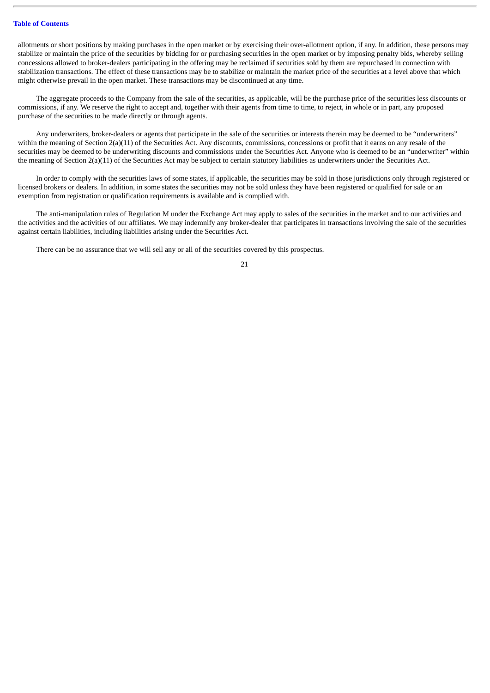allotments or short positions by making purchases in the open market or by exercising their over-allotment option, if any. In addition, these persons may stabilize or maintain the price of the securities by bidding for or purchasing securities in the open market or by imposing penalty bids, whereby selling concessions allowed to broker-dealers participating in the offering may be reclaimed if securities sold by them are repurchased in connection with stabilization transactions. The effect of these transactions may be to stabilize or maintain the market price of the securities at a level above that which might otherwise prevail in the open market. These transactions may be discontinued at any time.

The aggregate proceeds to the Company from the sale of the securities, as applicable, will be the purchase price of the securities less discounts or commissions, if any. We reserve the right to accept and, together with their agents from time to time, to reject, in whole or in part, any proposed purchase of the securities to be made directly or through agents.

Any underwriters, broker-dealers or agents that participate in the sale of the securities or interests therein may be deemed to be "underwriters" within the meaning of Section 2(a)(11) of the Securities Act. Any discounts, commissions, concessions or profit that it earns on any resale of the securities may be deemed to be underwriting discounts and commissions under the Securities Act. Anyone who is deemed to be an "underwriter" within the meaning of Section 2(a)(11) of the Securities Act may be subject to certain statutory liabilities as underwriters under the Securities Act.

In order to comply with the securities laws of some states, if applicable, the securities may be sold in those jurisdictions only through registered or licensed brokers or dealers. In addition, in some states the securities may not be sold unless they have been registered or qualified for sale or an exemption from registration or qualification requirements is available and is complied with.

The anti-manipulation rules of Regulation M under the Exchange Act may apply to sales of the securities in the market and to our activities and the activities and the activities of our affiliates. We may indemnify any broker-dealer that participates in transactions involving the sale of the securities against certain liabilities, including liabilities arising under the Securities Act.

There can be no assurance that we will sell any or all of the securities covered by this prospectus.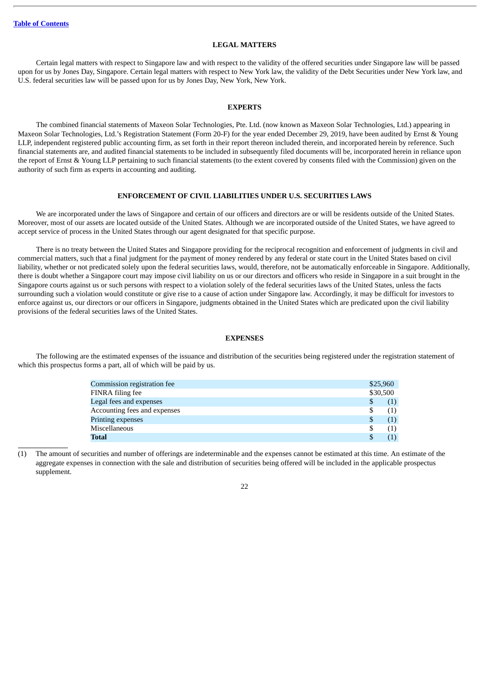## **LEGAL MATTERS**

<span id="page-71-0"></span>Certain legal matters with respect to Singapore law and with respect to the validity of the offered securities under Singapore law will be passed upon for us by Jones Day, Singapore. Certain legal matters with respect to New York law, the validity of the Debt Securities under New York law, and U.S. federal securities law will be passed upon for us by Jones Day, New York, New York.

#### **EXPERTS**

<span id="page-71-1"></span>The combined financial statements of Maxeon Solar Technologies, Pte. Ltd. (now known as Maxeon Solar Technologies, Ltd.) appearing in Maxeon Solar Technologies, Ltd.'s Registration Statement (Form 20-F) for the year ended December 29, 2019, have been audited by Ernst & Young LLP, independent registered public accounting firm, as set forth in their report thereon included therein, and incorporated herein by reference. Such financial statements are, and audited financial statements to be included in subsequently filed documents will be, incorporated herein in reliance upon the report of Ernst & Young LLP pertaining to such financial statements (to the extent covered by consents filed with the Commission) given on the authority of such firm as experts in accounting and auditing.

#### **ENFORCEMENT OF CIVIL LIABILITIES UNDER U.S. SECURITIES LAWS**

<span id="page-71-2"></span>We are incorporated under the laws of Singapore and certain of our officers and directors are or will be residents outside of the United States. Moreover, most of our assets are located outside of the United States. Although we are incorporated outside of the United States, we have agreed to accept service of process in the United States through our agent designated for that specific purpose.

There is no treaty between the United States and Singapore providing for the reciprocal recognition and enforcement of judgments in civil and commercial matters, such that a final judgment for the payment of money rendered by any federal or state court in the United States based on civil liability, whether or not predicated solely upon the federal securities laws, would, therefore, not be automatically enforceable in Singapore. Additionally, there is doubt whether a Singapore court may impose civil liability on us or our directors and officers who reside in Singapore in a suit brought in the Singapore courts against us or such persons with respect to a violation solely of the federal securities laws of the United States, unless the facts surrounding such a violation would constitute or give rise to a cause of action under Singapore law. Accordingly, it may be difficult for investors to enforce against us, our directors or our officers in Singapore, judgments obtained in the United States which are predicated upon the civil liability provisions of the federal securities laws of the United States.

#### **EXPENSES**

<span id="page-71-3"></span>The following are the estimated expenses of the issuance and distribution of the securities being registered under the registration statement of which this prospectus forms a part, all of which will be paid by us.

| Commission registration fee  | \$25,960 |     |
|------------------------------|----------|-----|
| FINRA filing fee             | \$30,500 |     |
| Legal fees and expenses      | \$       | (1) |
| Accounting fees and expenses | S        | (1) |
| Printing expenses            | S        | (1) |
| Miscellaneous                | S        | (1) |
| Total                        | S        |     |

(1) The amount of securities and number of offerings are indeterminable and the expenses cannot be estimated at this time. An estimate of the aggregate expenses in connection with the sale and distribution of securities being offered will be included in the applicable prospectus supplement.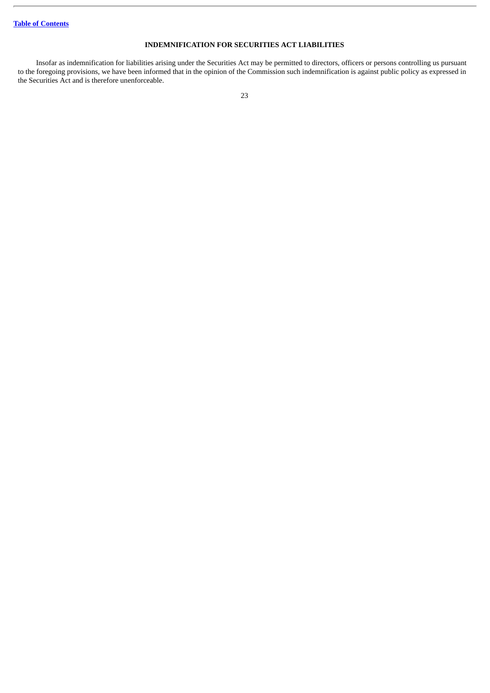## **INDEMNIFICATION FOR SECURITIES ACT LIABILITIES**

Insofar as indemnification for liabilities arising under the Securities Act may be permitted to directors, officers or persons controlling us pursuant to the foregoing provisions, we have been informed that in the opinion of the Commission such indemnification is against public policy as expressed in the Securities Act and is therefore unenforceable.